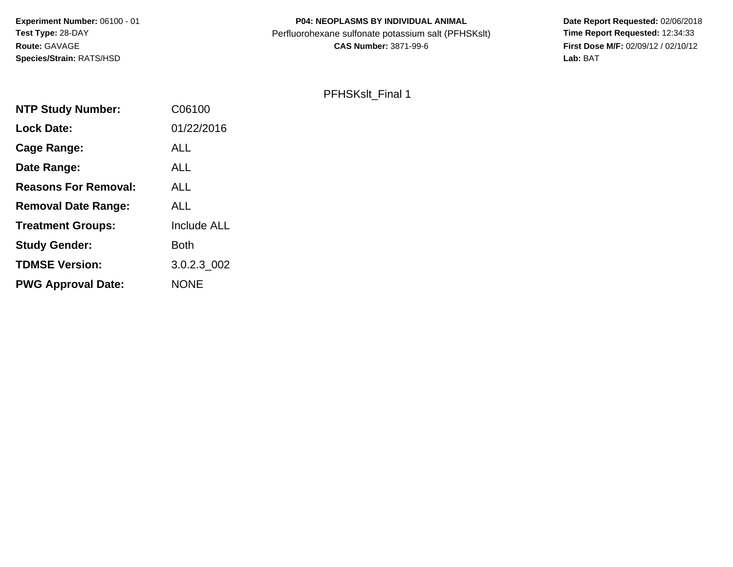# **P04: NEOPLASMS BY INDIVIDUAL ANIMAL**Perfluorohexane sulfonate potassium salt (PFHSKslt)<br>**CAS Number:** 3871-99-6

 **Date Report Requested:** 02/06/2018 **First Dose M/F:** 02/09/12 / 02/10/12<br>Lab: BAT **Lab:** BAT

#### PFHSKslt\_Final 1

| C06100             |
|--------------------|
| 01/22/2016         |
| ALL                |
| <b>ALL</b>         |
| ALL                |
| <b>ALL</b>         |
| <b>Include ALL</b> |
| <b>Both</b>        |
| 3.0.2.3_002        |
| <b>NONE</b>        |
|                    |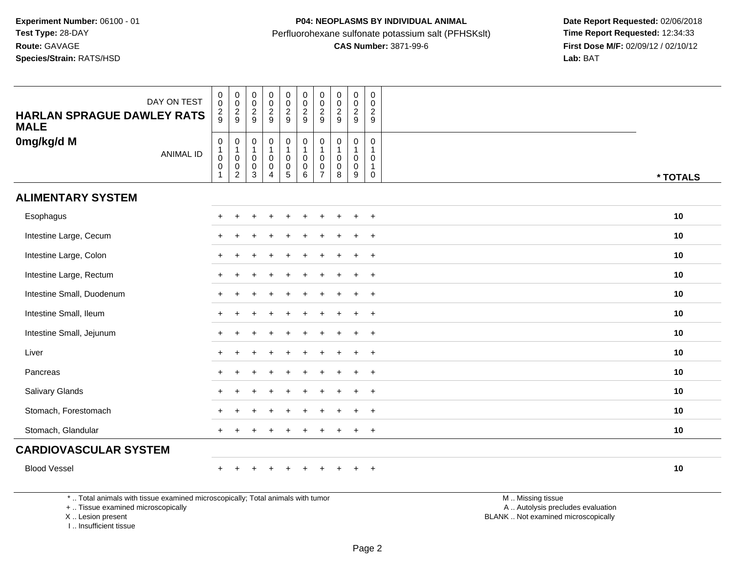## **P04: NEOPLASMS BY INDIVIDUAL ANIMAL**Perfluorohexane sulfonate potassium salt (PFHSKslt)<br>**CAS Number:** 3871-99-6

 **Date Report Requested:** 02/06/2018 **First Dose M/F:** 02/09/12 / 02/10/12<br>Lab: BAT **Lab:** BAT

| DAY ON TEST<br><b>HARLAN SPRAGUE DAWLEY RATS</b><br><b>MALE</b>                 | $\pmb{0}$<br>$\mathbf 0$<br>$\frac{2}{9}$                    | $\begin{smallmatrix}0\\0\end{smallmatrix}$<br>$\frac{2}{9}$ | $_{\rm 0}^{\rm 0}$<br>$\frac{2}{9}$                                     | $\begin{smallmatrix}0\0\0\end{smallmatrix}$<br>$\frac{2}{9}$                      | $\mathbf 0$<br>$\mathsf{O}\xspace$<br>$\frac{2}{9}$               | 0002                                                                          | $\pmb{0}$<br>$\pmb{0}$<br>$\frac{2}{9}$                    | $\pmb{0}$<br>$\pmb{0}$<br>$\boldsymbol{2}$<br>9             | 0<br>$\mathsf 0$<br>$\frac{2}{9}$                  | $\mathbf 0$<br>$\mathbf 0$<br>$\sqrt{2}$<br>9                               |                   |          |
|---------------------------------------------------------------------------------|--------------------------------------------------------------|-------------------------------------------------------------|-------------------------------------------------------------------------|-----------------------------------------------------------------------------------|-------------------------------------------------------------------|-------------------------------------------------------------------------------|------------------------------------------------------------|-------------------------------------------------------------|----------------------------------------------------|-----------------------------------------------------------------------------|-------------------|----------|
| 0mg/kg/d M<br><b>ANIMAL ID</b>                                                  | $\mathbf 0$<br>$\overline{1}$<br>$\mathbf 0$<br>$\mathbf{1}$ | $\mathbf 0$<br>1<br>$\pmb{0}$<br>0<br>$\overline{c}$        | $\pmb{0}$<br>$\mathbf{1}$<br>$\mathbf 0$<br>$\pmb{0}$<br>$\mathfrak{S}$ | $\mathsf{O}\xspace$<br>$\mathbf{1}$<br>$\mathbf 0$<br>$\pmb{0}$<br>$\overline{4}$ | 0<br>1<br>$\mathsf{O}\xspace$<br>$\begin{matrix}0\\5\end{matrix}$ | $\begin{smallmatrix}0\\1\end{smallmatrix}$<br>$\mathbf 0$<br>$\overline{0}$ 6 | 0<br>$\overline{1}$<br>$\mathbf{0}$<br>0<br>$\overline{7}$ | $\mathsf{O}\xspace$<br>1<br>$\mathbf 0$<br>$\mathbf 0$<br>8 | 0<br>$\mathbf 1$<br>$\mathsf{O}$<br>$\pmb{0}$<br>9 | $\mathbf 0$<br>$\overline{1}$<br>$\mathsf 0$<br>$\mathbf{1}$<br>$\mathbf 0$ |                   | * TOTALS |
| <b>ALIMENTARY SYSTEM</b>                                                        |                                                              |                                                             |                                                                         |                                                                                   |                                                                   |                                                                               |                                                            |                                                             |                                                    |                                                                             |                   |          |
| Esophagus                                                                       |                                                              |                                                             |                                                                         |                                                                                   |                                                                   |                                                                               |                                                            |                                                             | $\ddot{}$                                          | $+$                                                                         |                   | 10       |
| Intestine Large, Cecum                                                          |                                                              |                                                             |                                                                         |                                                                                   |                                                                   |                                                                               |                                                            |                                                             |                                                    | $\ddot{}$                                                                   |                   | 10       |
| Intestine Large, Colon                                                          |                                                              |                                                             |                                                                         |                                                                                   |                                                                   |                                                                               |                                                            |                                                             | ÷.                                                 | $+$                                                                         |                   | 10       |
| Intestine Large, Rectum                                                         |                                                              |                                                             |                                                                         |                                                                                   |                                                                   |                                                                               |                                                            |                                                             |                                                    | $\ddot{}$                                                                   |                   | 10       |
| Intestine Small, Duodenum                                                       |                                                              |                                                             |                                                                         |                                                                                   |                                                                   |                                                                               |                                                            |                                                             |                                                    | $\ddot{}$                                                                   |                   | 10       |
| Intestine Small, Ileum                                                          |                                                              |                                                             |                                                                         |                                                                                   |                                                                   |                                                                               |                                                            |                                                             |                                                    | $\overline{+}$                                                              |                   | 10       |
| Intestine Small, Jejunum                                                        |                                                              |                                                             |                                                                         |                                                                                   |                                                                   |                                                                               |                                                            |                                                             | ÷.                                                 | $\overline{+}$                                                              |                   | 10       |
| Liver                                                                           |                                                              |                                                             |                                                                         |                                                                                   |                                                                   |                                                                               |                                                            |                                                             |                                                    | $\ddot{}$                                                                   |                   | 10       |
| Pancreas                                                                        |                                                              |                                                             |                                                                         |                                                                                   |                                                                   |                                                                               |                                                            |                                                             |                                                    | $\ddot{}$                                                                   |                   | 10       |
| <b>Salivary Glands</b>                                                          |                                                              |                                                             |                                                                         |                                                                                   |                                                                   |                                                                               |                                                            |                                                             |                                                    | $\ddot{}$                                                                   |                   | 10       |
| Stomach, Forestomach                                                            |                                                              |                                                             |                                                                         |                                                                                   |                                                                   |                                                                               |                                                            |                                                             | $\ddot{}$                                          | $\overline{+}$                                                              |                   | 10       |
| Stomach, Glandular                                                              |                                                              |                                                             |                                                                         |                                                                                   |                                                                   |                                                                               |                                                            |                                                             | $\div$                                             | $\overline{+}$                                                              |                   | 10       |
| <b>CARDIOVASCULAR SYSTEM</b>                                                    |                                                              |                                                             |                                                                         |                                                                                   |                                                                   |                                                                               |                                                            |                                                             |                                                    |                                                                             |                   |          |
| <b>Blood Vessel</b>                                                             |                                                              |                                                             |                                                                         | $\div$                                                                            | $\div$                                                            |                                                                               |                                                            |                                                             | $\ddot{}$                                          | $+$                                                                         |                   | 10       |
| *  Total animals with tissue examined microscopically; Total animals with tumor |                                                              |                                                             |                                                                         |                                                                                   |                                                                   |                                                                               |                                                            |                                                             |                                                    |                                                                             | M  Missing tissue |          |

+ .. Tissue examined microscopically

X .. Lesion present

I .. Insufficient tissue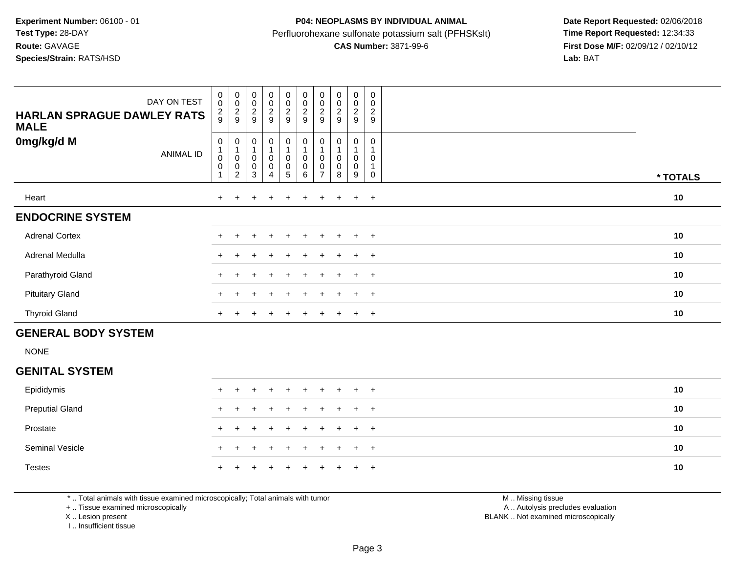### **P04: NEOPLASMS BY INDIVIDUAL ANIMAL**Perfluorohexane sulfonate potassium salt (PFHSKslt)<br>**CAS Number:** 3871-99-6

 **Date Report Requested:** 02/06/2018 **First Dose M/F:** 02/09/12 / 02/10/12<br>Lab: BAT

| DAY ON TEST<br><b>HARLAN SPRAGUE DAWLEY RATS</b><br><b>MALE</b> | $\begin{smallmatrix} 0\\0 \end{smallmatrix}$<br>$\frac{2}{9}$                               | $\mathbf 0$<br>$\mathsf 0$<br>$\frac{2}{9}$        | $_{\rm 0}^{\rm 0}$<br>$\frac{2}{9}$                               | $\begin{smallmatrix}0\0\0\end{smallmatrix}$<br>$\frac{2}{9}$                          | $_0^0$<br>$\frac{2}{9}$                         | $\begin{array}{c} 0 \\ 0 \\ 2 \\ 9 \end{array}$                             | $_{\rm 0}^{\rm 0}$<br>$\sqrt{2}$<br>9         | $\pmb{0}$<br>$\mathbf 0$<br>$\boldsymbol{2}$<br>9  | $\mathbf 0$<br>$\pmb{0}$<br>$\overline{c}$<br>9 | $\mathbf 0$<br>$\pmb{0}$<br>$\overline{2}$<br>9 |          |
|-----------------------------------------------------------------|---------------------------------------------------------------------------------------------|----------------------------------------------------|-------------------------------------------------------------------|---------------------------------------------------------------------------------------|-------------------------------------------------|-----------------------------------------------------------------------------|-----------------------------------------------|----------------------------------------------------|-------------------------------------------------|-------------------------------------------------|----------|
| 0mg/kg/d M<br><b>ANIMAL ID</b>                                  | $\boldsymbol{0}$<br>$\begin{smallmatrix}1\\0\end{smallmatrix}$<br>$\pmb{0}$<br>$\mathbf{1}$ | 0<br>1<br>$\pmb{0}$<br>$\pmb{0}$<br>$\overline{c}$ | $\pmb{0}$<br>$\mathbf{1}$<br>$\pmb{0}$<br>$\pmb{0}$<br>$\sqrt{3}$ | $\begin{smallmatrix}0\1\end{smallmatrix}$<br>$\pmb{0}$<br>$\pmb{0}$<br>$\overline{4}$ | 0<br>0<br>$\begin{array}{c} 0 \\ 5 \end{array}$ | $\begin{smallmatrix}0\\1\end{smallmatrix}$<br>$\pmb{0}$<br>$\overline{0}$ 6 | 0<br>$\mathbf{1}$<br>0<br>0<br>$\overline{7}$ | 0<br>$\overline{1}$<br>$\pmb{0}$<br>$\pmb{0}$<br>8 | 0<br>1<br>0<br>$\mathbf 0$<br>9                 | 0<br>1<br>0<br>$\mathbf{1}$<br>0                | * TOTALS |
| Heart                                                           | $+$                                                                                         | $\pm$                                              | $\pm$                                                             | $\ddot{}$                                                                             | $+$                                             | $+$                                                                         | $\ddot{}$                                     | $+$                                                | $\ddot{}$                                       | $+$                                             | 10       |
| <b>ENDOCRINE SYSTEM</b>                                         |                                                                                             |                                                    |                                                                   |                                                                                       |                                                 |                                                                             |                                               |                                                    |                                                 |                                                 |          |
| <b>Adrenal Cortex</b>                                           | $+$                                                                                         |                                                    |                                                                   |                                                                                       | ÷                                               |                                                                             |                                               | $\pm$                                              | $\ddot{}$                                       | $+$                                             | 10       |
| Adrenal Medulla                                                 |                                                                                             |                                                    |                                                                   |                                                                                       |                                                 |                                                                             |                                               |                                                    |                                                 | $+$                                             | 10       |
| Parathyroid Gland                                               |                                                                                             |                                                    |                                                                   |                                                                                       |                                                 |                                                                             |                                               |                                                    | $\div$                                          | $+$                                             | 10       |
| <b>Pituitary Gland</b>                                          | $\pm$                                                                                       |                                                    |                                                                   |                                                                                       |                                                 |                                                                             |                                               |                                                    | $\ddot{}$                                       | $+$                                             | 10       |
| <b>Thyroid Gland</b>                                            | $+$                                                                                         |                                                    |                                                                   | $\ddot{}$                                                                             | $\ddot{}$                                       | $\ddot{}$                                                                   | $\ddot{}$                                     | $\pm$                                              | $\ddot{}$                                       | $+$                                             | 10       |
| <b>GENERAL BODY SYSTEM</b>                                      |                                                                                             |                                                    |                                                                   |                                                                                       |                                                 |                                                                             |                                               |                                                    |                                                 |                                                 |          |
| <b>NONE</b>                                                     |                                                                                             |                                                    |                                                                   |                                                                                       |                                                 |                                                                             |                                               |                                                    |                                                 |                                                 |          |
| <b>GENITAL SYSTEM</b>                                           |                                                                                             |                                                    |                                                                   |                                                                                       |                                                 |                                                                             |                                               |                                                    |                                                 |                                                 |          |
| Epididymis                                                      |                                                                                             |                                                    |                                                                   |                                                                                       | +                                               |                                                                             |                                               |                                                    | $\pm$                                           | $+$                                             | 10       |

| <b>Preputial Gland</b> |  | + + + + + + + + + + |  |  |  |  | 10 |
|------------------------|--|---------------------|--|--|--|--|----|
| Prostate               |  | + + + + + + + + + + |  |  |  |  | 10 |
| <b>Seminal Vesicle</b> |  | + + + + + + + + + + |  |  |  |  | 10 |
| <b>Testes</b>          |  | + + + + + + + + + + |  |  |  |  | 10 |

\* .. Total animals with tissue examined microscopically; Total animals with tumor

+ .. Tissue examined microscopically

X .. Lesion present

I .. Insufficient tissue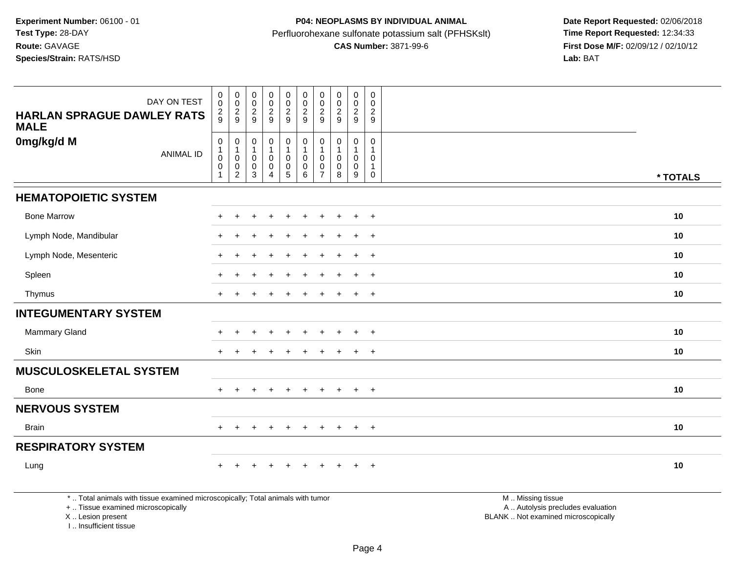| DAY ON TEST<br><b>HARLAN SPRAGUE DAWLEY RATS</b><br><b>MALE</b>                 | 0<br>$\mathbf 0$<br>$\frac{2}{9}$                                              | $\boldsymbol{0}$<br>$\mathbf 0$<br>$\frac{2}{9}$       | $_{\rm 0}^{\rm 0}$<br>$\frac{2}{9}$           | $_{\rm 0}^{\rm 0}$<br>$\frac{2}{9}$           | $\begin{smallmatrix}0\0\0\end{smallmatrix}$<br>$\frac{2}{9}$     | $\pmb{0}$<br>$\mathsf 0$<br>$\frac{2}{9}$                                           | $\pmb{0}$<br>$\pmb{0}$<br>$\overline{c}$<br>9 | $\begin{smallmatrix} 0\\0 \end{smallmatrix}$<br>$\frac{2}{9}$ | $\begin{smallmatrix}0\0\0\end{smallmatrix}$<br>$\frac{2}{9}$                 | $\boldsymbol{0}$<br>0<br>$\overline{c}$<br>9     |                   |          |
|---------------------------------------------------------------------------------|--------------------------------------------------------------------------------|--------------------------------------------------------|-----------------------------------------------|-----------------------------------------------|------------------------------------------------------------------|-------------------------------------------------------------------------------------|-----------------------------------------------|---------------------------------------------------------------|------------------------------------------------------------------------------|--------------------------------------------------|-------------------|----------|
| 0mg/kg/d M<br><b>ANIMAL ID</b>                                                  | $\mathbf 0$<br>$\begin{smallmatrix}1\\0\end{smallmatrix}$<br>0<br>$\mathbf{1}$ | 0<br>1<br>$\pmb{0}$<br>$\mathbf 0$<br>$\boldsymbol{2}$ | 0<br>$\mathbf{1}$<br>0<br>0<br>$\mathfrak{Z}$ | $\pmb{0}$<br>1<br>$\pmb{0}$<br>$\pmb{0}$<br>4 | $\pmb{0}$<br>$\mathbf 0$<br>$\begin{matrix} 0 \\ 5 \end{matrix}$ | $\begin{smallmatrix}0\\1\end{smallmatrix}$<br>$\mathbf 0$<br>$\mathbf 0$<br>$\,6\,$ | 0<br>1<br>0<br>0<br>$\overline{7}$            | $\pmb{0}$<br>1<br>$\mathbf 0$<br>$\pmb{0}$<br>8               | $\mathbf 0$<br>$\mathbf 1$<br>$\mathbf 0$<br>$\mathbf 0$<br>$\boldsymbol{9}$ | $\mathbf 0$<br>0<br>$\mathbf{1}$<br>$\mathsf{O}$ |                   | * TOTALS |
| <b>HEMATOPOIETIC SYSTEM</b>                                                     |                                                                                |                                                        |                                               |                                               |                                                                  |                                                                                     |                                               |                                                               |                                                                              |                                                  |                   |          |
| <b>Bone Marrow</b>                                                              | $\div$                                                                         | ÷                                                      |                                               |                                               | ÷.                                                               |                                                                                     |                                               |                                                               | $\overline{+}$                                                               | $+$                                              |                   | 10       |
| Lymph Node, Mandibular                                                          |                                                                                |                                                        |                                               |                                               |                                                                  |                                                                                     |                                               |                                                               | $\overline{+}$                                                               | $\overline{+}$                                   |                   | 10       |
| Lymph Node, Mesenteric                                                          | $+$                                                                            | $\ddot{}$                                              |                                               | $\overline{ }$                                | $\ddot{}$                                                        | $\ddot{}$                                                                           | $\ddot{}$                                     | $\pm$                                                         | $+$                                                                          | $+$                                              |                   | 10       |
| Spleen                                                                          |                                                                                |                                                        |                                               |                                               |                                                                  |                                                                                     |                                               |                                                               | $\overline{+}$                                                               | $+$                                              |                   | 10       |
| Thymus                                                                          | $+$                                                                            | $\div$                                                 |                                               | $\overline{+}$                                | $\ddot{}$                                                        | $\ddot{}$                                                                           | $\ddot{}$                                     | $\pm$                                                         | $+$                                                                          | $+$                                              |                   | 10       |
| <b>INTEGUMENTARY SYSTEM</b>                                                     |                                                                                |                                                        |                                               |                                               |                                                                  |                                                                                     |                                               |                                                               |                                                                              |                                                  |                   |          |
| Mammary Gland                                                                   |                                                                                |                                                        |                                               | $\ddot{}$                                     | $\ddot{}$                                                        | $\pm$                                                                               | $\ddot{}$                                     |                                                               | $\ddot{}$                                                                    | $+$                                              |                   | 10       |
| Skin                                                                            | $+$                                                                            | ÷                                                      |                                               |                                               |                                                                  |                                                                                     | ÷                                             |                                                               | $+$                                                                          | $+$                                              |                   | 10       |
| <b>MUSCULOSKELETAL SYSTEM</b>                                                   |                                                                                |                                                        |                                               |                                               |                                                                  |                                                                                     |                                               |                                                               |                                                                              |                                                  |                   |          |
| Bone                                                                            | $+$                                                                            | $\ddot{}$                                              | $+$                                           | $+$                                           | $+$                                                              | $+$                                                                                 | $+$                                           | $+$                                                           | $+$                                                                          | $+$                                              |                   | 10       |
| <b>NERVOUS SYSTEM</b>                                                           |                                                                                |                                                        |                                               |                                               |                                                                  |                                                                                     |                                               |                                                               |                                                                              |                                                  |                   |          |
| <b>Brain</b>                                                                    | $+$                                                                            | $\ddot{}$                                              |                                               | $+$                                           | $\pm$                                                            | $+$                                                                                 | $+$                                           | $+$                                                           | $+$                                                                          | $+$                                              |                   | 10       |
| <b>RESPIRATORY SYSTEM</b>                                                       |                                                                                |                                                        |                                               |                                               |                                                                  |                                                                                     |                                               |                                                               |                                                                              |                                                  |                   |          |
| Lung                                                                            | $\ddot{}$                                                                      |                                                        |                                               |                                               |                                                                  |                                                                                     |                                               |                                                               | $+$                                                                          | $+$                                              |                   | 10       |
| *  Total animals with tissue examined microscopically; Total animals with tumor |                                                                                |                                                        |                                               |                                               |                                                                  |                                                                                     |                                               |                                                               |                                                                              |                                                  | M  Missing tissue |          |

+ .. Tissue examined microscopically

X .. Lesion present

I .. Insufficient tissue

M .. Missing tissue A .. Autolysis precludes evaluation Lesion present BLANK .. Not examined microscopically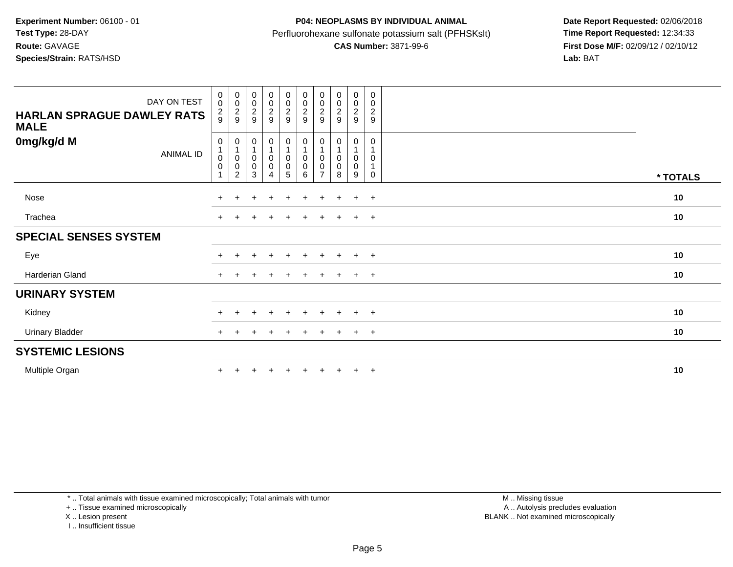## **P04: NEOPLASMS BY INDIVIDUAL ANIMAL**Perfluorohexane sulfonate potassium salt (PFHSKslt)<br>**CAS Number:** 3871-99-6

 **Date Report Requested:** 02/06/2018 **First Dose M/F:** 02/09/12 / 02/10/12<br>Lab: BAT **Lab:** BAT

| DAY ON TEST<br><b>HARLAN SPRAGUE DAWLEY RATS</b><br><b>MALE</b> | $\begin{smallmatrix}0\\0\end{smallmatrix}$<br>$\frac{2}{9}$     | $_{\rm 0}^{\rm 0}$<br>$\frac{2}{9}$                             | $\begin{array}{c} 0 \\ 0 \\ 2 \\ 9 \end{array}$                        | $\begin{array}{c} 0 \\ 0 \\ 2 \\ 9 \end{array}$                                   | $\begin{array}{c} 0 \\ 0 \\ 2 \\ 9 \end{array}$ | 00029                                                                       | $\begin{array}{c} 0 \\ 0 \\ 2 \\ 9 \end{array}$                                        | $\begin{array}{c} 0 \\ 0 \\ 2 \\ 9 \end{array}$  | $\begin{smallmatrix} 0\\0 \end{smallmatrix}$<br>$\frac{2}{9}$ | $\pmb{0}$<br>$\pmb{0}$<br>$\boldsymbol{2}$<br>$\boldsymbol{9}$ |          |
|-----------------------------------------------------------------|-----------------------------------------------------------------|-----------------------------------------------------------------|------------------------------------------------------------------------|-----------------------------------------------------------------------------------|-------------------------------------------------|-----------------------------------------------------------------------------|----------------------------------------------------------------------------------------|--------------------------------------------------|---------------------------------------------------------------|----------------------------------------------------------------|----------|
| 0mg/kg/d M<br><b>ANIMAL ID</b>                                  | $\pmb{0}$<br>$\mathbf{1}$<br>$_{\rm 0}^{\rm 0}$<br>$\mathbf{1}$ | 0<br>$\mathbf{1}$<br>$\pmb{0}$<br>$\mathbf 0$<br>$\overline{c}$ | 0<br>$\overline{1}$<br>$\mathsf{O}\xspace$<br>$\mathsf{O}\xspace$<br>3 | $\begin{smallmatrix}0\1\end{smallmatrix}$<br>$_{\rm 0}^{\rm 0}$<br>$\overline{4}$ | 0<br>$_{\rm 0}^{\rm 0}$<br>5                    | $\begin{smallmatrix}0\\1\end{smallmatrix}$<br>$_{\rm 0}^{\rm 0}$<br>$\,6\,$ | $\begin{smallmatrix}0\\1\end{smallmatrix}$<br>$\pmb{0}$<br>$\pmb{0}$<br>$\overline{7}$ | 0<br>$\mathbf{1}$<br>$\pmb{0}$<br>$\pmb{0}$<br>8 | 0<br>0<br>0<br>9                                              | $\mathbf 0$<br>0<br>$\mathbf{1}$<br>0                          | * TOTALS |
| Nose                                                            |                                                                 |                                                                 | ÷.                                                                     | $\pm$                                                                             | $+$                                             | $+$                                                                         | $+$                                                                                    | $+$                                              | $\ddot{}$                                                     | $+$                                                            | 10       |
| Trachea                                                         | $+$                                                             |                                                                 |                                                                        | $\pm$                                                                             | $\ddot{}$                                       | $\pm$                                                                       | $\pm$                                                                                  |                                                  | $+$                                                           | $+$                                                            | 10       |
| <b>SPECIAL SENSES SYSTEM</b>                                    |                                                                 |                                                                 |                                                                        |                                                                                   |                                                 |                                                                             |                                                                                        |                                                  |                                                               |                                                                |          |
| Eye                                                             |                                                                 |                                                                 |                                                                        |                                                                                   |                                                 |                                                                             |                                                                                        |                                                  | $\div$                                                        | $^{+}$                                                         | 10       |
| Harderian Gland                                                 | $+$                                                             |                                                                 |                                                                        | ٠                                                                                 | ÷                                               |                                                                             |                                                                                        |                                                  | $\div$                                                        | $+$                                                            | 10       |
| <b>URINARY SYSTEM</b>                                           |                                                                 |                                                                 |                                                                        |                                                                                   |                                                 |                                                                             |                                                                                        |                                                  |                                                               |                                                                |          |
| Kidney                                                          |                                                                 |                                                                 |                                                                        | $\ddot{}$                                                                         | $+$                                             | $+$                                                                         |                                                                                        | $+$                                              | $+$                                                           | $+$                                                            | 10       |
| <b>Urinary Bladder</b>                                          | $+$                                                             |                                                                 |                                                                        |                                                                                   | $\pm$                                           |                                                                             | $\ddot{}$                                                                              |                                                  | $+$                                                           | $+$                                                            | 10       |
| <b>SYSTEMIC LESIONS</b>                                         |                                                                 |                                                                 |                                                                        |                                                                                   |                                                 |                                                                             |                                                                                        |                                                  |                                                               |                                                                |          |
| Multiple Organ                                                  |                                                                 |                                                                 |                                                                        |                                                                                   |                                                 |                                                                             |                                                                                        |                                                  | $\ddot{}$                                                     | $+$                                                            | 10       |

\* .. Total animals with tissue examined microscopically; Total animals with tumor

+ .. Tissue examined microscopically

X .. Lesion present

I .. Insufficient tissue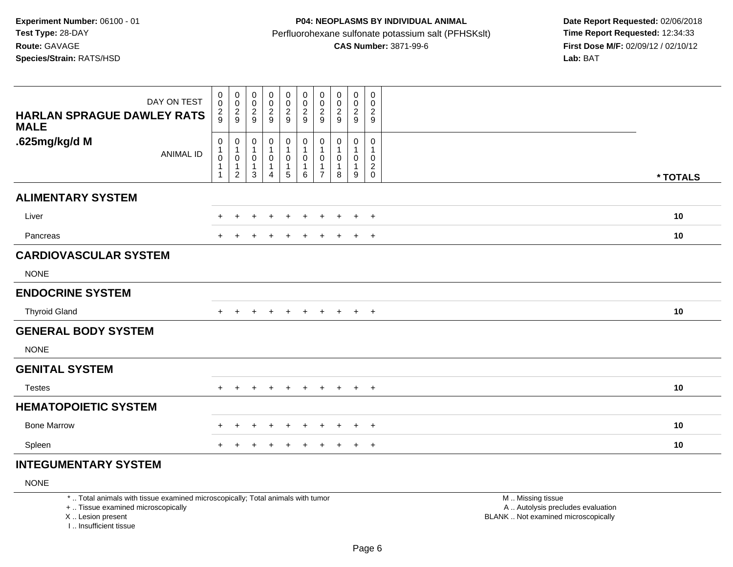| DAY ON TEST<br><b>HARLAN SPRAGUE DAWLEY RATS</b><br><b>MALE</b> | $_{\rm 0}^{\rm 0}$<br>$\frac{2}{9}$                              | $\begin{array}{c} 0 \\ 0 \\ 2 \\ 9 \end{array}$                            | $_{\rm 0}^{\rm 0}$<br>$\boldsymbol{2}$<br>9 | $\pmb{0}$<br>$\mathbf 0$<br>$\overline{c}$<br>$9\,$ | 0<br>$\pmb{0}$<br>$\frac{2}{9}$       | $\begin{smallmatrix} 0\\0 \end{smallmatrix}$<br>$\frac{2}{9}$ | $_{\rm 0}^{\rm 0}$<br>$\frac{2}{9}$   | $\begin{smallmatrix} 0\\0 \end{smallmatrix}$<br>$\frac{2}{9}$ | $\mathbf 0$<br>0<br>$\overline{2}$<br>$\boldsymbol{9}$ | 0<br>0<br>$\overline{c}$<br>$\boldsymbol{9}$   |          |
|-----------------------------------------------------------------|------------------------------------------------------------------|----------------------------------------------------------------------------|---------------------------------------------|-----------------------------------------------------|---------------------------------------|---------------------------------------------------------------|---------------------------------------|---------------------------------------------------------------|--------------------------------------------------------|------------------------------------------------|----------|
| .625mg/kg/d M<br><b>ANIMAL ID</b>                               | 0<br>$\mathbf{1}$<br>$\pmb{0}$<br>$\overline{1}$<br>$\mathbf{1}$ | $\pmb{0}$<br>$\mathbf{1}$<br>$\mathbf 0$<br>$\mathbf{1}$<br>$\overline{2}$ | 0<br>$\mathbf{1}$<br>0<br>$\mathbf{1}$<br>3 | 0<br>1<br>$\mathbf 0$<br>1<br>4                     | 0<br>$\mathbf{1}$<br>$\mathbf 0$<br>5 | $\pmb{0}$<br>$\mathbf{1}$<br>$\mathbf 0$<br>1<br>6            | $\pmb{0}$<br>1<br>0<br>$\overline{7}$ | $\mathbf 0$<br>$\mathbf{1}$<br>0<br>$\overline{1}$<br>8       | 0<br>$\mathbf{1}$<br>0<br>$\mathbf{1}$<br>9            | 0<br>1<br>0<br>$\boldsymbol{2}$<br>$\mathbf 0$ | * TOTALS |
| <b>ALIMENTARY SYSTEM</b>                                        |                                                                  |                                                                            |                                             |                                                     |                                       |                                                               |                                       |                                                               |                                                        |                                                |          |
| Liver                                                           | $+$                                                              | $\ddot{}$                                                                  | $\ddot{}$                                   | $\pm$                                               | $\ddot{}$                             | $\ddot{}$                                                     | $\ddot{}$                             | $\ddot{}$                                                     | $+$                                                    | $+$                                            | 10       |
| Pancreas                                                        | $+$                                                              |                                                                            |                                             |                                                     | ÷                                     | $\ddot{}$                                                     | $\ddot{}$                             | $\pm$                                                         | $+$                                                    | $+$                                            | 10       |
| <b>CARDIOVASCULAR SYSTEM</b>                                    |                                                                  |                                                                            |                                             |                                                     |                                       |                                                               |                                       |                                                               |                                                        |                                                |          |
| <b>NONE</b>                                                     |                                                                  |                                                                            |                                             |                                                     |                                       |                                                               |                                       |                                                               |                                                        |                                                |          |
| <b>ENDOCRINE SYSTEM</b>                                         |                                                                  |                                                                            |                                             |                                                     |                                       |                                                               |                                       |                                                               |                                                        |                                                |          |
| <b>Thyroid Gland</b>                                            | $+$                                                              | $\pm$                                                                      | $\div$                                      | $\ddot{}$                                           | $\ddot{}$                             | $+$                                                           | $+$                                   | $+$                                                           | $+$                                                    | $+$                                            | 10       |
| <b>GENERAL BODY SYSTEM</b>                                      |                                                                  |                                                                            |                                             |                                                     |                                       |                                                               |                                       |                                                               |                                                        |                                                |          |
| <b>NONE</b>                                                     |                                                                  |                                                                            |                                             |                                                     |                                       |                                                               |                                       |                                                               |                                                        |                                                |          |
| <b>GENITAL SYSTEM</b>                                           |                                                                  |                                                                            |                                             |                                                     |                                       |                                                               |                                       |                                                               |                                                        |                                                |          |
| <b>Testes</b>                                                   | $+$                                                              | $\ddot{}$                                                                  | +                                           | $\ddot{}$                                           | $\ddot{}$                             | $+$                                                           | $+$                                   | $+$                                                           | $+$ $+$                                                |                                                | 10       |
| <b>HEMATOPOIETIC SYSTEM</b>                                     |                                                                  |                                                                            |                                             |                                                     |                                       |                                                               |                                       |                                                               |                                                        |                                                |          |
| <b>Bone Marrow</b>                                              |                                                                  |                                                                            |                                             |                                                     |                                       | ÷                                                             | ÷                                     |                                                               | ÷                                                      | $+$                                            | 10       |
| Spleen                                                          |                                                                  |                                                                            |                                             |                                                     |                                       |                                                               |                                       |                                                               |                                                        | $\overline{+}$                                 | 10       |
|                                                                 |                                                                  |                                                                            |                                             |                                                     |                                       |                                                               |                                       |                                                               |                                                        |                                                |          |

#### **INTEGUMENTARY SYSTEM**

NONE

\* .. Total animals with tissue examined microscopically; Total animals with tumor

+ .. Tissue examined microscopically

X .. Lesion present

I .. Insufficient tissue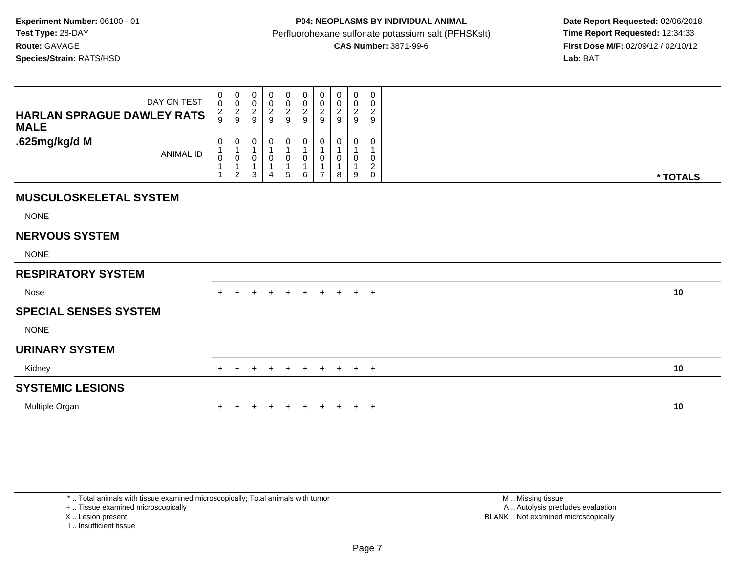| DAY ON TEST<br><b>HARLAN SPRAGUE DAWLEY RATS</b><br><b>MALE</b> | 0<br>$\pmb{0}$<br>$\frac{2}{9}$                     | $\mathbf 0$<br>$\mathsf{O}\xspace$<br>$\overline{c}$<br>9        | 0<br>0<br>$\overline{c}$<br>9 | $\boldsymbol{0}$<br>$\frac{0}{2}$<br>$\overline{9}$ | 0<br>$\pmb{0}$<br>$\frac{2}{9}$ | 0<br>$\mathbf 0$<br>$\overline{c}$<br>9 | 0<br>0<br>$\overline{\mathbf{c}}$<br>9 | 0<br>0<br>$\overline{c}$<br>9 | $\pmb{0}$<br>$\pmb{0}$<br>$\boldsymbol{2}$<br>9 | 0<br>0<br>$\overline{c}$<br>9         |          |  |
|-----------------------------------------------------------------|-----------------------------------------------------|------------------------------------------------------------------|-------------------------------|-----------------------------------------------------|---------------------------------|-----------------------------------------|----------------------------------------|-------------------------------|-------------------------------------------------|---------------------------------------|----------|--|
| .625mg/kg/d M<br><b>ANIMAL ID</b>                               | 0<br>$\mathbf{1}$<br>$\pmb{0}$<br>1<br>$\mathbf{1}$ | 0<br>$\mathbf{1}$<br>$\pmb{0}$<br>$\mathbf{1}$<br>$\overline{2}$ | 0<br>0<br>3                   | 0<br>$\mathbf 1$<br>$\pmb{0}$<br>$\mathbf 1$<br>4   | 0<br>1<br>0<br>1<br>5           | 0<br>1<br>$\mathsf{O}\xspace$<br>1<br>6 | 0<br>0<br>$\overline{7}$               | 0<br>8                        | 0<br>$\pmb{0}$<br>9                             | 0<br>0<br>$\overline{c}$<br>$\pmb{0}$ | * TOTALS |  |
| <b>MUSCULOSKELETAL SYSTEM</b>                                   |                                                     |                                                                  |                               |                                                     |                                 |                                         |                                        |                               |                                                 |                                       |          |  |
| <b>NONE</b>                                                     |                                                     |                                                                  |                               |                                                     |                                 |                                         |                                        |                               |                                                 |                                       |          |  |
| <b>NERVOUS SYSTEM</b>                                           |                                                     |                                                                  |                               |                                                     |                                 |                                         |                                        |                               |                                                 |                                       |          |  |
| <b>NONE</b>                                                     |                                                     |                                                                  |                               |                                                     |                                 |                                         |                                        |                               |                                                 |                                       |          |  |
| <b>RESPIRATORY SYSTEM</b>                                       |                                                     |                                                                  |                               |                                                     |                                 |                                         |                                        |                               |                                                 |                                       |          |  |
| Nose                                                            |                                                     |                                                                  |                               |                                                     | $+$                             | $+$                                     | $+$                                    | $+$                           | $+$ $+$                                         |                                       | 10       |  |
| <b>SPECIAL SENSES SYSTEM</b>                                    |                                                     |                                                                  |                               |                                                     |                                 |                                         |                                        |                               |                                                 |                                       |          |  |
| <b>NONE</b>                                                     |                                                     |                                                                  |                               |                                                     |                                 |                                         |                                        |                               |                                                 |                                       |          |  |
| <b>URINARY SYSTEM</b>                                           |                                                     |                                                                  |                               |                                                     |                                 |                                         |                                        |                               |                                                 |                                       |          |  |
| Kidney                                                          |                                                     | $\pm$                                                            | $+$                           | $+$                                                 | $+$                             | $+$                                     | $+$                                    | $+$                           | $+$ $+$                                         |                                       | 10       |  |
| <b>SYSTEMIC LESIONS</b>                                         |                                                     |                                                                  |                               |                                                     |                                 |                                         |                                        |                               |                                                 |                                       |          |  |
| Multiple Organ                                                  |                                                     |                                                                  |                               |                                                     |                                 |                                         |                                        |                               | $\pm$                                           | $+$                                   | 10       |  |

\* .. Total animals with tissue examined microscopically; Total animals with tumor

+ .. Tissue examined microscopically

X .. Lesion present

I .. Insufficient tissue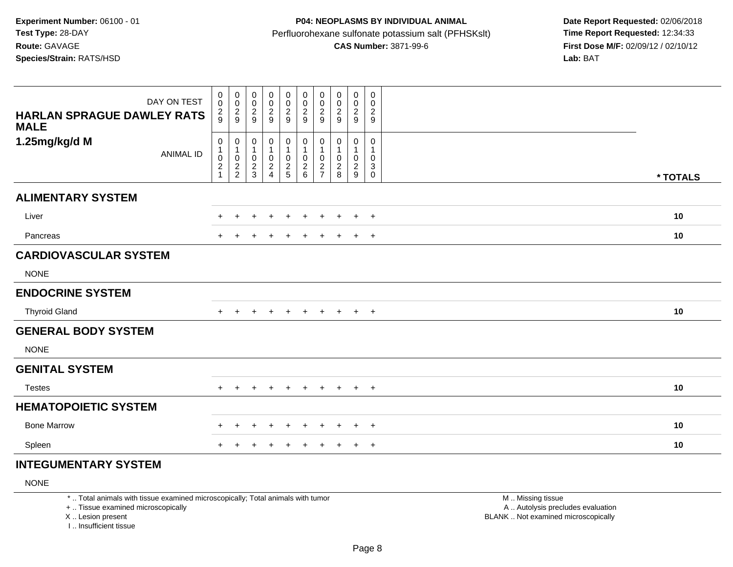## **P04: NEOPLASMS BY INDIVIDUAL ANIMAL**Perfluorohexane sulfonate potassium salt (PFHSKslt)<br>**CAS Number:** 3871-99-6

 **Date Report Requested:** 02/06/2018 **First Dose M/F:** 02/09/12 / 02/10/12<br>Lab: BAT

| DAY ON TEST<br><b>HARLAN SPRAGUE DAWLEY RATS</b><br><b>MALE</b> | 0<br>$\mathbf 0$<br>$\frac{2}{9}$ | 00029                                                   | $\boldsymbol{0}$<br>$\mathsf 0$<br>$\frac{2}{9}$ | $\pmb{0}$<br>$\mathbf 0$<br>$\boldsymbol{2}$<br>9              | 0<br>$\pmb{0}$<br>$\frac{2}{9}$    | $\pmb{0}$<br>$\mathsf{O}\xspace$<br>$\frac{2}{9}$         | $\pmb{0}$<br>$\pmb{0}$<br>$\frac{2}{9}$ | $\mathbf 0$<br>$\pmb{0}$<br>$\frac{2}{9}$                      | $\mathbf 0$<br>$\pmb{0}$<br>$\boldsymbol{2}$<br>9               | $\mathbf 0$<br>0<br>$\sqrt{2}$<br>$\boldsymbol{9}$         |          |
|-----------------------------------------------------------------|-----------------------------------|---------------------------------------------------------|--------------------------------------------------|----------------------------------------------------------------|------------------------------------|-----------------------------------------------------------|-----------------------------------------|----------------------------------------------------------------|-----------------------------------------------------------------|------------------------------------------------------------|----------|
| 1.25mg/kg/d M<br><b>ANIMAL ID</b>                               | 0<br>$\pmb{0}$<br>$\frac{2}{1}$   | $\mathbf 0$<br>$\overline{\mathbf{1}}$<br>$\frac{0}{2}$ | 0<br>$\mathbf{1}$<br>0<br>$\frac{2}{3}$          | 0<br>$\mathbf{1}$<br>$\pmb{0}$<br>$\overline{\mathbf{c}}$<br>4 | 0<br>1<br>$\pmb{0}$<br>$rac{2}{5}$ | $\pmb{0}$<br>$\mathbf{1}$<br>$\mathsf 0$<br>$\frac{2}{6}$ | 0<br>-1<br>$\pmb{0}$<br>$\frac{2}{7}$   | $\mathbf 0$<br>$\overline{1}$<br>$\mathbf 0$<br>$_{8}^{\rm 2}$ | $\pmb{0}$<br>$\mathbf{1}$<br>$\mathbf 0$<br>$\overline{c}$<br>9 | $\pmb{0}$<br>$\mathbf{1}$<br>$\mathbf 0$<br>3<br>$\pmb{0}$ | * TOTALS |
| <b>ALIMENTARY SYSTEM</b>                                        |                                   |                                                         |                                                  |                                                                |                                    |                                                           |                                         |                                                                |                                                                 |                                                            |          |
| Liver                                                           | ٠.                                | $\div$                                                  | $\ddot{}$                                        | $\ddot{}$                                                      | $\ddot{}$                          | $\ddot{}$                                                 | $+$                                     | $+$                                                            | $+$                                                             | $+$                                                        | 10       |
| Pancreas                                                        |                                   |                                                         | $\div$                                           | ٠                                                              | $\pm$                              | $\ddot{}$                                                 | $\ddot{}$                               | $+$                                                            | $+$ $+$                                                         |                                                            | 10       |
| <b>CARDIOVASCULAR SYSTEM</b>                                    |                                   |                                                         |                                                  |                                                                |                                    |                                                           |                                         |                                                                |                                                                 |                                                            |          |
| <b>NONE</b>                                                     |                                   |                                                         |                                                  |                                                                |                                    |                                                           |                                         |                                                                |                                                                 |                                                            |          |
| <b>ENDOCRINE SYSTEM</b>                                         |                                   |                                                         |                                                  |                                                                |                                    |                                                           |                                         |                                                                |                                                                 |                                                            |          |
| <b>Thyroid Gland</b>                                            |                                   |                                                         | $\div$                                           | $\div$                                                         | $\pm$                              | $\ddot{}$                                                 | $+$                                     | $+$                                                            | $+$                                                             | $+$                                                        | 10       |
| <b>GENERAL BODY SYSTEM</b>                                      |                                   |                                                         |                                                  |                                                                |                                    |                                                           |                                         |                                                                |                                                                 |                                                            |          |
| <b>NONE</b>                                                     |                                   |                                                         |                                                  |                                                                |                                    |                                                           |                                         |                                                                |                                                                 |                                                            |          |
| <b>GENITAL SYSTEM</b>                                           |                                   |                                                         |                                                  |                                                                |                                    |                                                           |                                         |                                                                |                                                                 |                                                            |          |
| <b>Testes</b>                                                   | $+$                               |                                                         |                                                  |                                                                | $\ddot{}$                          | $+$                                                       | $+$                                     | $+$                                                            | $+$ $+$                                                         |                                                            | 10       |
| <b>HEMATOPOIETIC SYSTEM</b>                                     |                                   |                                                         |                                                  |                                                                |                                    |                                                           |                                         |                                                                |                                                                 |                                                            |          |
| <b>Bone Marrow</b>                                              |                                   |                                                         | +                                                |                                                                | $\div$                             | $\div$                                                    | $\div$                                  | $\div$                                                         | $\div$                                                          | $+$                                                        | 10       |
| Spleen                                                          |                                   |                                                         |                                                  |                                                                |                                    |                                                           | $\pm$                                   |                                                                | $\pm$                                                           | $+$                                                        | 10       |

#### **INTEGUMENTARY SYSTEM**

NONE

\* .. Total animals with tissue examined microscopically; Total animals with tumor

+ .. Tissue examined microscopically

X .. Lesion present

I .. Insufficient tissue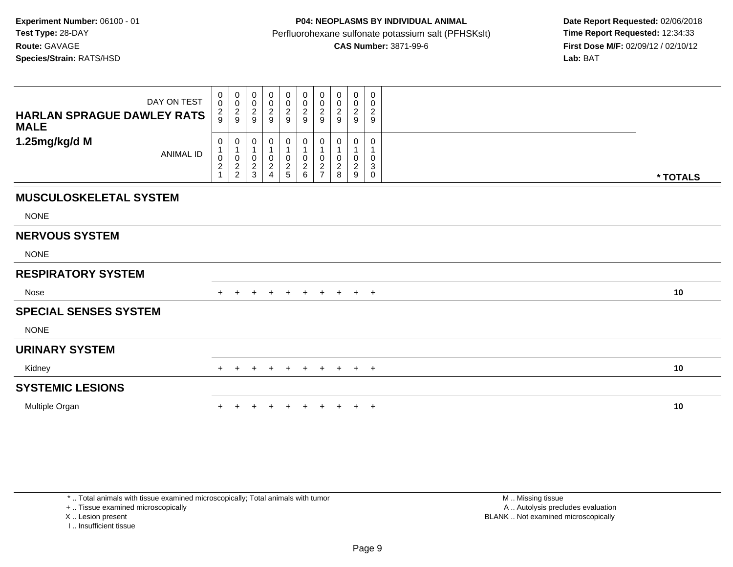| DAY ON TEST<br><b>HARLAN SPRAGUE DAWLEY RATS</b><br><b>MALE</b> | $\pmb{0}$<br>$\pmb{0}$<br>$\frac{2}{9}$             | $\begin{array}{c} 0 \\ 0 \\ 2 \\ 9 \end{array}$                                | 0<br>$\pmb{0}$<br>$\frac{2}{9}$                | $_{\rm 0}^{\rm 0}$<br>$\frac{2}{9}$                       | 0<br>$\pmb{0}$<br>$\frac{2}{9}$        | 0<br>$\pmb{0}$<br>$\frac{2}{9}$                                | 0<br>$\pmb{0}$<br>$\frac{2}{9}$            | 0<br>0<br>$\frac{2}{9}$       | $\mathbf 0$<br>$\frac{0}{2}$          | 0<br>$\pmb{0}$<br>$\boldsymbol{2}$<br>9 |          |
|-----------------------------------------------------------------|-----------------------------------------------------|--------------------------------------------------------------------------------|------------------------------------------------|-----------------------------------------------------------|----------------------------------------|----------------------------------------------------------------|--------------------------------------------|-------------------------------|---------------------------------------|-----------------------------------------|----------|
| 1.25mg/kg/d M<br><b>ANIMAL ID</b>                               | 0<br>$\begin{smallmatrix} 0 \\ 2 \end{smallmatrix}$ | $\boldsymbol{0}$<br>$\mathbf{1}$<br>$\begin{array}{c} 0 \\ 2 \\ 2 \end{array}$ | 0<br>$\mathbf 1$<br>$\pmb{0}$<br>$\frac{2}{3}$ | 0<br>1<br>$\mathbf 0$<br>$\overline{2}$<br>$\overline{4}$ | 0<br>1<br>$\mathbf 0$<br>$\frac{2}{5}$ | 0<br>$\mathbf{1}$<br>$\begin{matrix} 0 \\ 2 \\ 6 \end{matrix}$ | 0<br>0<br>$\overline{c}$<br>$\overline{7}$ | O<br>0<br>$\overline{c}$<br>8 | 0<br>$\pmb{0}$<br>$\overline{2}$<br>9 | 0<br>0<br>3<br>0                        | * TOTALS |
| <b>MUSCULOSKELETAL SYSTEM</b>                                   |                                                     |                                                                                |                                                |                                                           |                                        |                                                                |                                            |                               |                                       |                                         |          |
| <b>NONE</b>                                                     |                                                     |                                                                                |                                                |                                                           |                                        |                                                                |                                            |                               |                                       |                                         |          |
| <b>NERVOUS SYSTEM</b>                                           |                                                     |                                                                                |                                                |                                                           |                                        |                                                                |                                            |                               |                                       |                                         |          |
| <b>NONE</b>                                                     |                                                     |                                                                                |                                                |                                                           |                                        |                                                                |                                            |                               |                                       |                                         |          |
| <b>RESPIRATORY SYSTEM</b>                                       |                                                     |                                                                                |                                                |                                                           |                                        |                                                                |                                            |                               |                                       |                                         |          |
| <b>Nose</b>                                                     |                                                     |                                                                                |                                                |                                                           | $\pm$                                  |                                                                | $+$                                        | $+$                           | $+$ $+$                               |                                         | 10       |
| <b>SPECIAL SENSES SYSTEM</b>                                    |                                                     |                                                                                |                                                |                                                           |                                        |                                                                |                                            |                               |                                       |                                         |          |
| <b>NONE</b>                                                     |                                                     |                                                                                |                                                |                                                           |                                        |                                                                |                                            |                               |                                       |                                         |          |
| <b>URINARY SYSTEM</b>                                           |                                                     |                                                                                |                                                |                                                           |                                        |                                                                |                                            |                               |                                       |                                         |          |
| Kidney                                                          |                                                     | ÷                                                                              | +                                              | $\pm$                                                     | $+$                                    | $+$                                                            | $+$                                        | $+$                           | $+$ $+$                               |                                         | 10       |
| <b>SYSTEMIC LESIONS</b>                                         |                                                     |                                                                                |                                                |                                                           |                                        |                                                                |                                            |                               |                                       |                                         |          |
| Multiple Organ                                                  |                                                     |                                                                                |                                                |                                                           |                                        |                                                                |                                            |                               | $+$                                   | $+$                                     | 10       |

\* .. Total animals with tissue examined microscopically; Total animals with tumor

+ .. Tissue examined microscopically

X .. Lesion present

I .. Insufficient tissue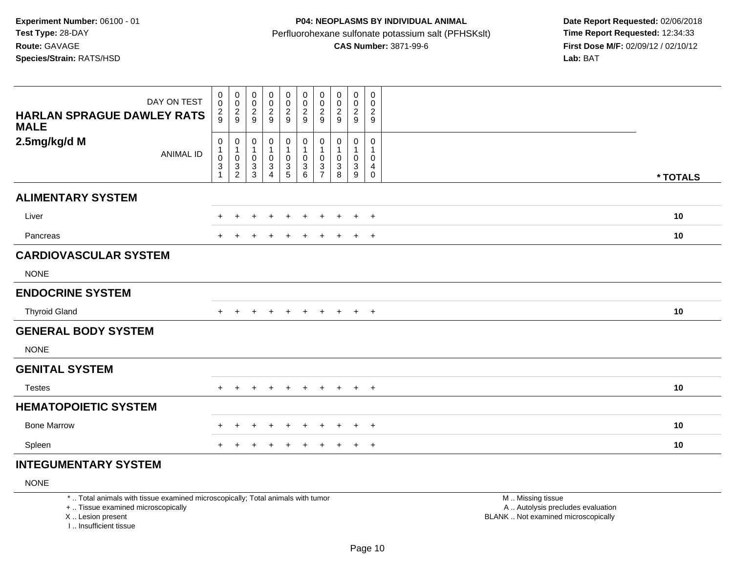## **P04: NEOPLASMS BY INDIVIDUAL ANIMAL**Perfluorohexane sulfonate potassium salt (PFHSKslt)<br>**CAS Number:** 3871-99-6

 **Date Report Requested:** 02/06/2018 **First Dose M/F:** 02/09/12 / 02/10/12<br>Lab: BAT

| DAY ON TEST<br><b>HARLAN SPRAGUE DAWLEY RATS</b><br><b>MALE</b> | 0<br>$\mathbf 0$<br>$\frac{2}{9}$                  | 00029                                          | 0<br>0<br>$\frac{2}{9}$                                             | 0<br>$\mathbf 0$<br>$\overline{\mathbf{c}}$<br>9 | 0<br>$\pmb{0}$<br>$\frac{2}{9}$      | $\pmb{0}$<br>$\mathsf 0$<br>$\frac{2}{9}$                 | $\pmb{0}$<br>$\pmb{0}$<br>$\frac{2}{9}$                             | $\mathbf 0$<br>$\pmb{0}$<br>$\frac{2}{9}$                             | $\mathbf 0$<br>$\pmb{0}$<br>$\boldsymbol{2}$<br>9  | $\mathbf 0$<br>0<br>$\sqrt{2}$<br>$\boldsymbol{9}$           |          |
|-----------------------------------------------------------------|----------------------------------------------------|------------------------------------------------|---------------------------------------------------------------------|--------------------------------------------------|--------------------------------------|-----------------------------------------------------------|---------------------------------------------------------------------|-----------------------------------------------------------------------|----------------------------------------------------|--------------------------------------------------------------|----------|
| 2.5mg/kg/d M<br><b>ANIMAL ID</b>                                | 0<br>$\pmb{0}$<br>$\overline{3}$<br>$\overline{1}$ | $\mathbf 0$<br>$\overline{1}$<br>$\frac{0}{3}$ | 0<br>$\mathbf{1}$<br>0<br>$\ensuremath{\mathsf{3}}$<br>$\mathbf{3}$ | 0<br>$\mathbf 1$<br>$\mathsf 0$<br>3<br>4        | 0<br>1<br>$\pmb{0}$<br>$\frac{3}{5}$ | $\pmb{0}$<br>$\mathbf{1}$<br>$\mathsf 0$<br>$\frac{3}{6}$ | 0<br>-1<br>$\pmb{0}$<br>$\ensuremath{\mathsf{3}}$<br>$\overline{7}$ | $\mathbf 0$<br>$\overline{1}$<br>$\mathbf 0$<br>$\sqrt{3}$<br>$\,8\,$ | $\pmb{0}$<br>$\mathbf{1}$<br>$\mathbf 0$<br>3<br>9 | $\pmb{0}$<br>1<br>$\mathbf 0$<br>$\overline{4}$<br>$\pmb{0}$ | * TOTALS |
| <b>ALIMENTARY SYSTEM</b>                                        |                                                    |                                                |                                                                     |                                                  |                                      |                                                           |                                                                     |                                                                       |                                                    |                                                              |          |
| Liver                                                           | ٠.                                                 | $\div$                                         | $\ddot{}$                                                           | $\ddot{}$                                        | $\ddot{}$                            | $\ddot{}$                                                 | $+$                                                                 | $\ddot{}$                                                             | $+$                                                | $+$                                                          | 10       |
| Pancreas                                                        |                                                    |                                                | $\div$                                                              | ٠                                                | $\pm$                                | $\ddot{}$                                                 | $+$                                                                 | $+$                                                                   | $+$                                                | $+$                                                          | 10       |
| <b>CARDIOVASCULAR SYSTEM</b>                                    |                                                    |                                                |                                                                     |                                                  |                                      |                                                           |                                                                     |                                                                       |                                                    |                                                              |          |
| <b>NONE</b>                                                     |                                                    |                                                |                                                                     |                                                  |                                      |                                                           |                                                                     |                                                                       |                                                    |                                                              |          |
| <b>ENDOCRINE SYSTEM</b>                                         |                                                    |                                                |                                                                     |                                                  |                                      |                                                           |                                                                     |                                                                       |                                                    |                                                              |          |
| <b>Thyroid Gland</b>                                            |                                                    |                                                | $\div$                                                              | $\div$                                           | $\pm$                                | $\ddot{}$                                                 | $+$                                                                 | $+$                                                                   | $+$                                                | $+$                                                          | 10       |
| <b>GENERAL BODY SYSTEM</b>                                      |                                                    |                                                |                                                                     |                                                  |                                      |                                                           |                                                                     |                                                                       |                                                    |                                                              |          |
| <b>NONE</b>                                                     |                                                    |                                                |                                                                     |                                                  |                                      |                                                           |                                                                     |                                                                       |                                                    |                                                              |          |
| <b>GENITAL SYSTEM</b>                                           |                                                    |                                                |                                                                     |                                                  |                                      |                                                           |                                                                     |                                                                       |                                                    |                                                              |          |
| <b>Testes</b>                                                   | $+$                                                |                                                |                                                                     |                                                  | $\ddot{}$                            | $+$                                                       | $+$                                                                 | $+$                                                                   | $+$ $+$                                            |                                                              | 10       |
| <b>HEMATOPOIETIC SYSTEM</b>                                     |                                                    |                                                |                                                                     |                                                  |                                      |                                                           |                                                                     |                                                                       |                                                    |                                                              |          |
| <b>Bone Marrow</b>                                              |                                                    |                                                |                                                                     |                                                  |                                      | $\div$                                                    | ÷                                                                   | $\div$                                                                | $\div$                                             | $+$                                                          | 10       |
| Spleen                                                          |                                                    |                                                |                                                                     |                                                  |                                      |                                                           | $\pm$                                                               |                                                                       | $\pm$                                              | $+$                                                          | 10       |

#### **INTEGUMENTARY SYSTEM**

NONE

\* .. Total animals with tissue examined microscopically; Total animals with tumor

+ .. Tissue examined microscopically

X .. Lesion present

I .. Insufficient tissue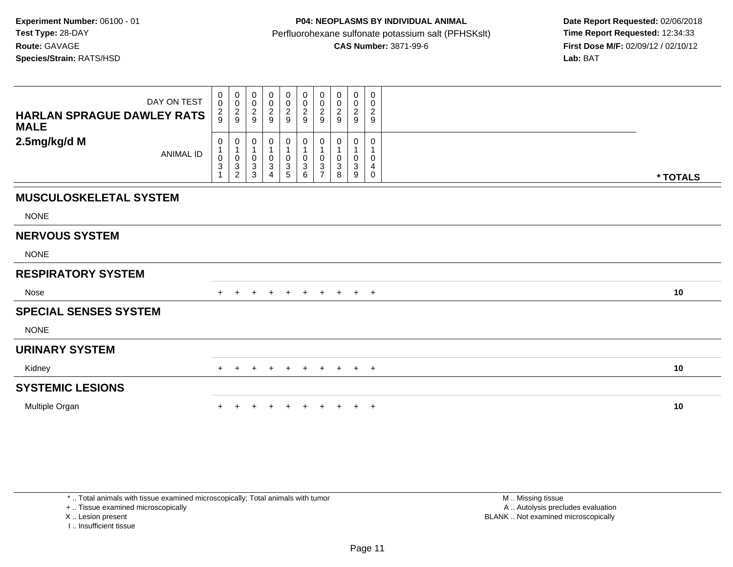| DAY ON TEST<br><b>HARLAN SPRAGUE DAWLEY RATS</b><br><b>MALE</b> | 0<br>$\mathbf 0$<br>$\frac{2}{9}$                                           | $_{\rm 0}^{\rm 0}$<br>$\frac{2}{9}$                   | 0<br>0<br>$\frac{2}{9}$ | 00029                                      | $\begin{smallmatrix}0\0\0\end{smallmatrix}$<br>$\frac{2}{9}$ | 0<br>$\pmb{0}$<br>$\frac{2}{9}$                       | 0<br>$\pmb{0}$<br>$\frac{2}{9}$ | 0<br>$\pmb{0}$<br>$\frac{2}{9}$ | $\boldsymbol{0}$<br>$\frac{0}{2}$ | 0<br>0<br>$\frac{2}{9}$ |          |
|-----------------------------------------------------------------|-----------------------------------------------------------------------------|-------------------------------------------------------|-------------------------|--------------------------------------------|--------------------------------------------------------------|-------------------------------------------------------|---------------------------------|---------------------------------|-----------------------------------|-------------------------|----------|
| 2.5mg/kg/d M<br><b>ANIMAL ID</b>                                | 0<br>$\mathbf{1}$<br>$\pmb{0}$<br>$\ensuremath{\mathsf{3}}$<br>$\mathbf{1}$ | 0<br>$\mathbf{1}$<br>$\pmb{0}$<br>3<br>$\overline{2}$ | 0<br>0<br>3<br>3        | 0<br>1<br>$_{3}^{\rm 0}$<br>$\overline{4}$ | 0<br>1<br>0<br>3<br>5                                        | 0<br>1<br>$\pmb{0}$<br>$\ensuremath{\mathsf{3}}$<br>6 | 0<br>0<br>3<br>$\overline{7}$   | 0<br>3<br>8                     | 0<br>$\pmb{0}$<br>$\sqrt{3}$<br>9 | 0<br>0<br>4<br>0        | * TOTALS |
| <b>MUSCULOSKELETAL SYSTEM</b>                                   |                                                                             |                                                       |                         |                                            |                                                              |                                                       |                                 |                                 |                                   |                         |          |
| <b>NONE</b>                                                     |                                                                             |                                                       |                         |                                            |                                                              |                                                       |                                 |                                 |                                   |                         |          |
| <b>NERVOUS SYSTEM</b>                                           |                                                                             |                                                       |                         |                                            |                                                              |                                                       |                                 |                                 |                                   |                         |          |
| <b>NONE</b>                                                     |                                                                             |                                                       |                         |                                            |                                                              |                                                       |                                 |                                 |                                   |                         |          |
| <b>RESPIRATORY SYSTEM</b>                                       |                                                                             |                                                       |                         |                                            |                                                              |                                                       |                                 |                                 |                                   |                         |          |
| Nose                                                            |                                                                             |                                                       |                         |                                            | $+$                                                          | $+$                                                   | $+$                             | $+$                             | $+$ $+$                           |                         | 10       |
| <b>SPECIAL SENSES SYSTEM</b>                                    |                                                                             |                                                       |                         |                                            |                                                              |                                                       |                                 |                                 |                                   |                         |          |
| <b>NONE</b>                                                     |                                                                             |                                                       |                         |                                            |                                                              |                                                       |                                 |                                 |                                   |                         |          |
| <b>URINARY SYSTEM</b>                                           |                                                                             |                                                       |                         |                                            |                                                              |                                                       |                                 |                                 |                                   |                         |          |
| Kidney                                                          | $+$                                                                         | $+$                                                   | $+$                     | $+$                                        | $+$                                                          | $+$                                                   | $+$                             |                                 | $+$ $+$ $+$                       |                         | 10       |
| <b>SYSTEMIC LESIONS</b>                                         |                                                                             |                                                       |                         |                                            |                                                              |                                                       |                                 |                                 |                                   |                         |          |
| Multiple Organ                                                  |                                                                             |                                                       |                         |                                            |                                                              |                                                       |                                 |                                 | $\pm$                             | $+$                     | 10       |

\* .. Total animals with tissue examined microscopically; Total animals with tumor

+ .. Tissue examined microscopically

X .. Lesion present

I .. Insufficient tissue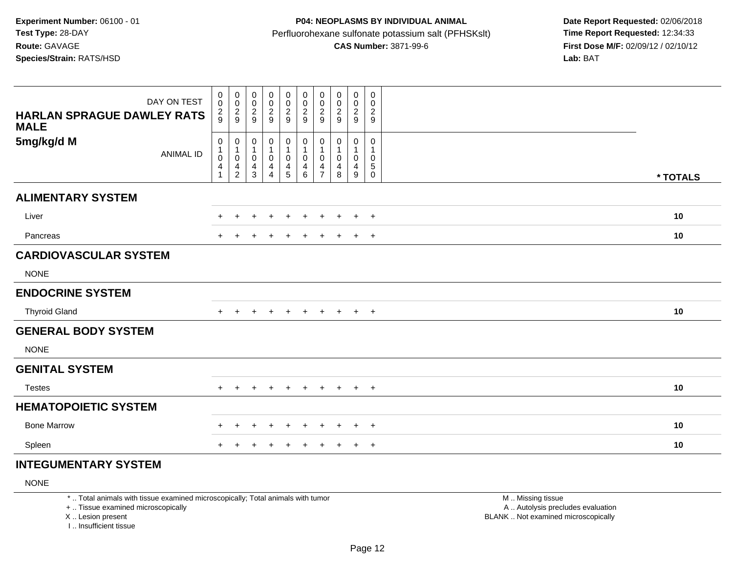# **P04: NEOPLASMS BY INDIVIDUAL ANIMAL**Perfluorohexane sulfonate potassium salt (PFHSKslt)<br>**CAS Number:** 3871-99-6

 **Date Report Requested:** 02/06/2018 **First Dose M/F:** 02/09/12 / 02/10/12<br>Lab: BAT

| DAY ON TEST<br><b>HARLAN SPRAGUE DAWLEY RATS</b><br><b>MALE</b> | 0<br>$\mathbf 0$<br>$\frac{2}{9}$                  | $\begin{matrix} 0 \\ 0 \\ 2 \\ 9 \end{matrix}$            | 0<br>0<br>$\frac{2}{9}$                                 | 0<br>$\pmb{0}$<br>$\boldsymbol{2}$<br>9 | 0<br>$\pmb{0}$<br>$\frac{2}{9}$            | $\pmb{0}$<br>$\pmb{0}$<br>$\overline{c}$<br>9                           | 0<br>$\pmb{0}$<br>$\overline{c}$<br>9                              | 0<br>0<br>$\frac{2}{9}$                       | $\pmb{0}$<br>$\boldsymbol{0}$<br>$\sqrt{2}$<br>9   | 0<br>$\mathbf 0$<br>$\sqrt{2}$<br>$9\,$                    |          |    |
|-----------------------------------------------------------------|----------------------------------------------------|-----------------------------------------------------------|---------------------------------------------------------|-----------------------------------------|--------------------------------------------|-------------------------------------------------------------------------|--------------------------------------------------------------------|-----------------------------------------------|----------------------------------------------------|------------------------------------------------------------|----------|----|
| 5mg/kg/d M<br><b>ANIMAL ID</b>                                  | 0<br>$\pmb{0}$<br>$\overline{4}$<br>$\overline{1}$ | $\mathbf 0$<br>$\mathbf{1}$<br>$\pmb{0}$<br>$\frac{4}{2}$ | 0<br>$\mathbf{1}$<br>$\mathsf 0$<br>4<br>$\mathfrak{Z}$ | 0<br>1<br>$\pmb{0}$<br>4<br>4           | 0<br>$\mathbf{1}$<br>$\mathbf 0$<br>4<br>5 | $\pmb{0}$<br>$\mathbf{1}$<br>$\mathsf{O}\xspace$<br>4<br>$6\phantom{a}$ | 0<br>$\mathbf{1}$<br>$\pmb{0}$<br>$\overline{4}$<br>$\overline{7}$ | 0<br>$\mathbf{1}$<br>0<br>$\overline{4}$<br>8 | $\pmb{0}$<br>$\mathbf{1}$<br>$\mathbf 0$<br>4<br>9 | $\pmb{0}$<br>$\mathbf{1}$<br>$\pmb{0}$<br>$\,$ 5 $\,$<br>0 | * TOTALS |    |
| <b>ALIMENTARY SYSTEM</b>                                        |                                                    |                                                           |                                                         |                                         |                                            |                                                                         |                                                                    |                                               |                                                    |                                                            |          |    |
| Liver                                                           | +                                                  |                                                           | $\div$                                                  | $\ddot{}$                               | $\ddot{}$                                  | $\ddot{}$                                                               | $+$                                                                | $+$                                           | $+$                                                | $+$                                                        |          | 10 |
| Pancreas                                                        | +                                                  |                                                           | $\ddot{}$                                               | +                                       | $\ddot{}$                                  | $\ddot{}$                                                               | $\ddot{}$                                                          | $+$                                           | $+$ $+$                                            |                                                            |          | 10 |
| <b>CARDIOVASCULAR SYSTEM</b>                                    |                                                    |                                                           |                                                         |                                         |                                            |                                                                         |                                                                    |                                               |                                                    |                                                            |          |    |
| <b>NONE</b>                                                     |                                                    |                                                           |                                                         |                                         |                                            |                                                                         |                                                                    |                                               |                                                    |                                                            |          |    |
| <b>ENDOCRINE SYSTEM</b>                                         |                                                    |                                                           |                                                         |                                         |                                            |                                                                         |                                                                    |                                               |                                                    |                                                            |          |    |
| <b>Thyroid Gland</b>                                            | $\pm$                                              |                                                           | +                                                       | $\ddot{}$                               | $\ddot{}$                                  | $\ddot{}$                                                               | $+$                                                                | $+$                                           | $+$                                                | $+$                                                        |          | 10 |
| <b>GENERAL BODY SYSTEM</b>                                      |                                                    |                                                           |                                                         |                                         |                                            |                                                                         |                                                                    |                                               |                                                    |                                                            |          |    |
| <b>NONE</b>                                                     |                                                    |                                                           |                                                         |                                         |                                            |                                                                         |                                                                    |                                               |                                                    |                                                            |          |    |
| <b>GENITAL SYSTEM</b>                                           |                                                    |                                                           |                                                         |                                         |                                            |                                                                         |                                                                    |                                               |                                                    |                                                            |          |    |
| <b>Testes</b>                                                   | $+$                                                |                                                           |                                                         |                                         | $\ddot{}$                                  | $\ddot{}$                                                               | $\ddot{}$                                                          | $+$                                           | $+$ $+$                                            |                                                            |          | 10 |
| <b>HEMATOPOIETIC SYSTEM</b>                                     |                                                    |                                                           |                                                         |                                         |                                            |                                                                         |                                                                    |                                               |                                                    |                                                            |          |    |
| <b>Bone Marrow</b>                                              |                                                    |                                                           | +                                                       |                                         | $\div$                                     | $\div$                                                                  | $\div$                                                             | $\div$                                        | $\pm$                                              | $^{+}$                                                     |          | 10 |
| Spleen                                                          |                                                    |                                                           |                                                         |                                         |                                            | $\pm$                                                                   | $\pm$                                                              | $\pm$                                         | $\pm$                                              | $+$                                                        |          | 10 |
|                                                                 |                                                    |                                                           |                                                         |                                         |                                            |                                                                         |                                                                    |                                               |                                                    |                                                            |          |    |

#### **INTEGUMENTARY SYSTEM**

NONE

\* .. Total animals with tissue examined microscopically; Total animals with tumor

+ .. Tissue examined microscopically

X .. Lesion present

I .. Insufficient tissue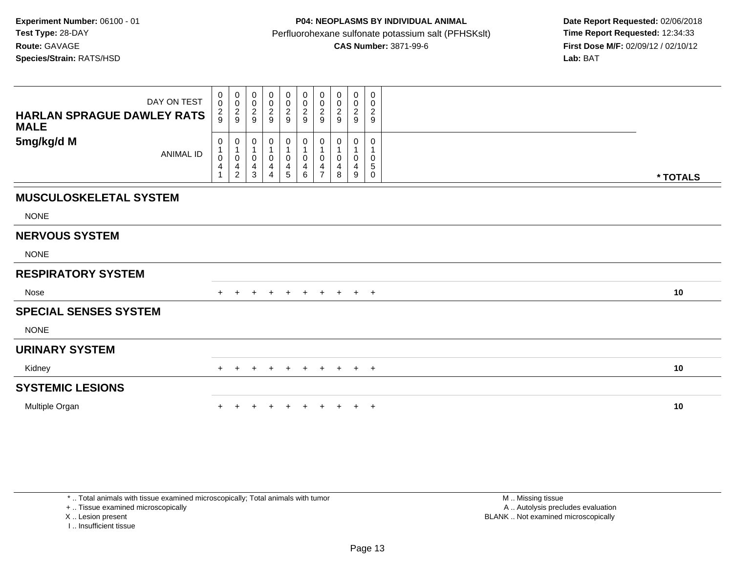| DAY ON TEST<br><b>HARLAN SPRAGUE DAWLEY RATS</b><br><b>MALE</b> | $\pmb{0}$<br>$\ddot{\mathbf{0}}$<br>$\frac{2}{9}$         | $\begin{smallmatrix} 0\\0 \end{smallmatrix}$<br>$\frac{2}{9}$ | 0<br>0<br>$\overline{c}$<br>9 | $_{\rm 0}^{\rm 0}$<br>$\frac{2}{9}$                   | 0<br>$\pmb{0}$<br>$\frac{2}{9}$ | 0<br>$\mathsf 0$<br>$\overline{c}$<br>9 | 0<br>$\pmb{0}$<br>$\overline{\mathbf{c}}$<br>9 | $\mathbf 0$<br>0<br>$\overline{c}$<br>9 | $\pmb{0}$<br>$\pmb{0}$<br>$\sqrt{2}$<br>9 | 0<br>0<br>$\sqrt{2}$<br>9 |          |
|-----------------------------------------------------------------|-----------------------------------------------------------|---------------------------------------------------------------|-------------------------------|-------------------------------------------------------|---------------------------------|-----------------------------------------|------------------------------------------------|-----------------------------------------|-------------------------------------------|---------------------------|----------|
| 5mg/kg/d M<br><b>ANIMAL ID</b>                                  | 0<br>$\mathbf{1}$<br>$\pmb{0}$<br>$\overline{\mathbf{4}}$ | 0<br>$\mathbf{1}$<br>0<br>4<br>$\overline{2}$                 | 0<br>0<br>4<br>3              | 0<br>$\mathbf{1}$<br>$\pmb{0}$<br>4<br>$\overline{A}$ | 0<br>1<br>$\pmb{0}$<br>4<br>5   | 0<br>1<br>$\mathbf 0$<br>4<br>6         | 0<br>0<br>4<br>$\overline{ }$                  | 0<br>4<br>8                             | 0<br>1<br>$\pmb{0}$<br>4<br>9             | 0<br>0<br>5<br>0          | * TOTALS |
| <b>MUSCULOSKELETAL SYSTEM</b>                                   |                                                           |                                                               |                               |                                                       |                                 |                                         |                                                |                                         |                                           |                           |          |
| <b>NONE</b>                                                     |                                                           |                                                               |                               |                                                       |                                 |                                         |                                                |                                         |                                           |                           |          |
| <b>NERVOUS SYSTEM</b>                                           |                                                           |                                                               |                               |                                                       |                                 |                                         |                                                |                                         |                                           |                           |          |
| <b>NONE</b>                                                     |                                                           |                                                               |                               |                                                       |                                 |                                         |                                                |                                         |                                           |                           |          |
| <b>RESPIRATORY SYSTEM</b>                                       |                                                           |                                                               |                               |                                                       |                                 |                                         |                                                |                                         |                                           |                           |          |
| Nose                                                            |                                                           |                                                               | +                             | $\overline{+}$                                        | $+$                             | $+$                                     | $+$                                            |                                         | $+$ $+$ $+$                               |                           | 10       |
| <b>SPECIAL SENSES SYSTEM</b>                                    |                                                           |                                                               |                               |                                                       |                                 |                                         |                                                |                                         |                                           |                           |          |
| <b>NONE</b>                                                     |                                                           |                                                               |                               |                                                       |                                 |                                         |                                                |                                         |                                           |                           |          |
| <b>URINARY SYSTEM</b>                                           |                                                           |                                                               |                               |                                                       |                                 |                                         |                                                |                                         |                                           |                           |          |
| Kidney                                                          | $+$                                                       | $+$                                                           | $+$                           | $+$                                                   | $+$                             | $+$                                     | $+$                                            |                                         | $+$ $+$ $+$                               |                           | 10       |
| <b>SYSTEMIC LESIONS</b>                                         |                                                           |                                                               |                               |                                                       |                                 |                                         |                                                |                                         |                                           |                           |          |
| Multiple Organ                                                  |                                                           |                                                               |                               |                                                       |                                 |                                         |                                                |                                         | $\pm$                                     | $+$                       | 10       |

\* .. Total animals with tissue examined microscopically; Total animals with tumor

+ .. Tissue examined microscopically

X .. Lesion present

I .. Insufficient tissue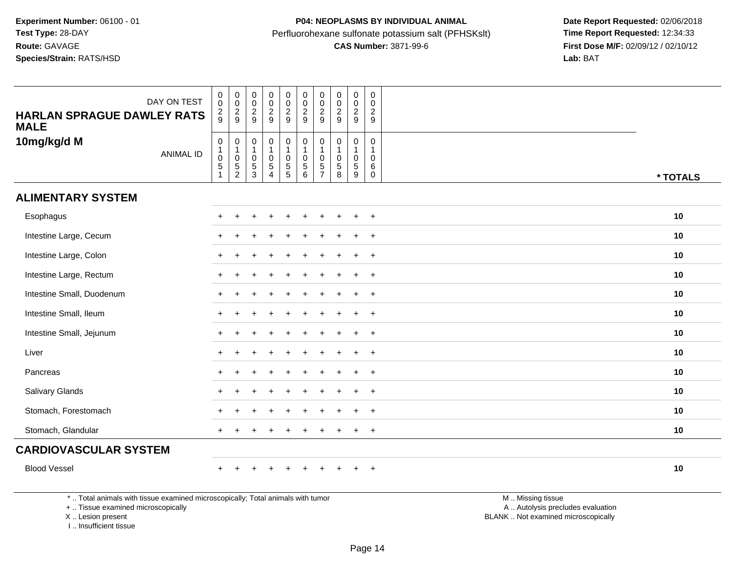| DAY ON TEST<br><b>HARLAN SPRAGUE DAWLEY RATS</b><br><b>MALE</b>                |                  | $\pmb{0}$<br>$\mathbf 0$<br>$\frac{2}{9}$                                 | $\pmb{0}$<br>$\mathbf 0$<br>$\overline{c}$<br>9 | $\begin{smallmatrix}0\\0\end{smallmatrix}$<br>$\sqrt{2}$<br>9 | $\pmb{0}$<br>$\mathsf{O}\xspace$<br>$\overline{c}$<br>9                | 0<br>$\pmb{0}$<br>$\frac{2}{9}$         | $_{\rm 0}^{\rm 0}$<br>$\frac{2}{9}$                                                                | $\pmb{0}$<br>$\mathbf 0$<br>$\sqrt{2}$<br>9                               | $\pmb{0}$<br>$\mathbf 0$<br>$\boldsymbol{2}$<br>9 | $\pmb{0}$<br>$\mathbf 0$<br>$\overline{\mathbf{c}}$<br>9 | $\mathbf 0$<br>$\mathbf 0$<br>$\overline{2}$<br>9 |                 |          |
|--------------------------------------------------------------------------------|------------------|---------------------------------------------------------------------------|-------------------------------------------------|---------------------------------------------------------------|------------------------------------------------------------------------|-----------------------------------------|----------------------------------------------------------------------------------------------------|---------------------------------------------------------------------------|---------------------------------------------------|----------------------------------------------------------|---------------------------------------------------|-----------------|----------|
| 10mg/kg/d M                                                                    | <b>ANIMAL ID</b> | $\mathbf 0$<br>$\begin{smallmatrix}1\0\end{smallmatrix}$<br>$\frac{5}{1}$ | 0<br>$\mathsf 0$<br>$\frac{5}{2}$               | $\pmb{0}$<br>$\mathbf{1}$<br>$\pmb{0}$<br>$\frac{5}{3}$       | $\boldsymbol{0}$<br>$\mathbf{1}$<br>$\mathsf 0$<br>5<br>$\overline{4}$ | $\mathbf 0$<br>0<br>$\overline{5}$<br>5 | $\begin{smallmatrix}0\\1\end{smallmatrix}$<br>$\mathbf 0$<br>$\begin{array}{c} 5 \\ 6 \end{array}$ | $\mathbf 0$<br>$\overline{1}$<br>$\Omega$<br>$\sqrt{5}$<br>$\overline{7}$ | $\mathbf 0$<br>1<br>$\mathbf 0$<br>5<br>8         | 0<br>0<br>5<br>9                                         | $\mathbf 0$<br>$\mathbf 0$<br>6<br>0              |                 | * TOTALS |
| <b>ALIMENTARY SYSTEM</b>                                                       |                  |                                                                           |                                                 |                                                               |                                                                        |                                         |                                                                                                    |                                                                           |                                                   |                                                          |                                                   |                 |          |
| Esophagus                                                                      |                  |                                                                           |                                                 |                                                               |                                                                        |                                         |                                                                                                    |                                                                           |                                                   |                                                          | $+$                                               |                 | 10       |
| Intestine Large, Cecum                                                         |                  |                                                                           |                                                 |                                                               |                                                                        |                                         |                                                                                                    |                                                                           |                                                   |                                                          | $\ddot{}$                                         |                 | 10       |
| Intestine Large, Colon                                                         |                  |                                                                           |                                                 |                                                               |                                                                        |                                         |                                                                                                    |                                                                           |                                                   | $\ddot{}$                                                | $+$                                               |                 | 10       |
| Intestine Large, Rectum                                                        |                  |                                                                           |                                                 |                                                               |                                                                        |                                         |                                                                                                    |                                                                           |                                                   | $\ddot{}$                                                | $+$                                               |                 | 10       |
| Intestine Small, Duodenum                                                      |                  |                                                                           |                                                 |                                                               |                                                                        |                                         |                                                                                                    |                                                                           |                                                   | ÷                                                        | $\overline{+}$                                    |                 | 10       |
| Intestine Small, Ileum                                                         |                  |                                                                           |                                                 |                                                               |                                                                        |                                         |                                                                                                    |                                                                           |                                                   |                                                          | $\overline{+}$                                    |                 | 10       |
| Intestine Small, Jejunum                                                       |                  |                                                                           |                                                 |                                                               |                                                                        |                                         |                                                                                                    |                                                                           |                                                   | $\div$                                                   | $+$                                               |                 | 10       |
| Liver                                                                          |                  |                                                                           |                                                 |                                                               |                                                                        |                                         |                                                                                                    |                                                                           |                                                   | $\ddot{}$                                                | $+$                                               |                 | 10       |
| Pancreas                                                                       |                  |                                                                           |                                                 |                                                               |                                                                        |                                         |                                                                                                    |                                                                           |                                                   |                                                          | $+$                                               |                 | 10       |
| Salivary Glands                                                                |                  |                                                                           |                                                 |                                                               |                                                                        |                                         |                                                                                                    |                                                                           |                                                   |                                                          | $+$                                               |                 | 10       |
| Stomach, Forestomach                                                           |                  |                                                                           |                                                 |                                                               |                                                                        |                                         |                                                                                                    |                                                                           |                                                   |                                                          | $\ddot{}$                                         |                 | 10       |
| Stomach, Glandular                                                             |                  | $\ddot{}$                                                                 |                                                 |                                                               |                                                                        |                                         |                                                                                                    |                                                                           |                                                   | $\pm$                                                    | $+$                                               |                 | 10       |
| <b>CARDIOVASCULAR SYSTEM</b>                                                   |                  |                                                                           |                                                 |                                                               |                                                                        |                                         |                                                                                                    |                                                                           |                                                   |                                                          |                                                   |                 |          |
| <b>Blood Vessel</b>                                                            |                  |                                                                           |                                                 |                                                               |                                                                        |                                         |                                                                                                    |                                                                           |                                                   |                                                          | $+$                                               |                 | 10       |
| * Total animals with tissue examined microsconically: Total animals with tumor |                  |                                                                           |                                                 |                                                               |                                                                        |                                         |                                                                                                    |                                                                           |                                                   |                                                          |                                                   | M Miccinaticcup |          |

\* .. Total animals with tissue examined microscopically; Total animals with tumor

+ .. Tissue examined microscopically

X .. Lesion present

I .. Insufficient tissue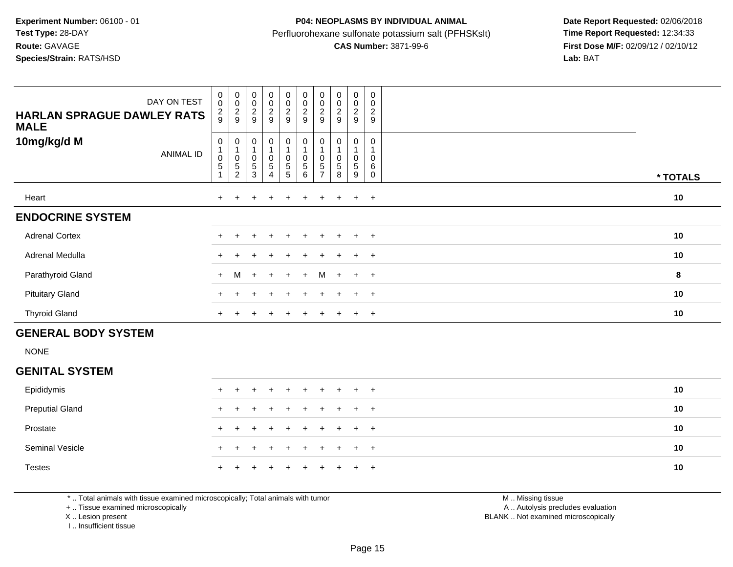|                                                                                                                                                                                                                                | DAY ON TEST | $_{\rm 0}^{\rm 0}$    | $\pmb{0}$<br>$\pmb{0}$ | 0<br>$\mathbf 0$        | $\begin{smallmatrix}0\0\0\end{smallmatrix}$ | $\begin{smallmatrix}0\0\0\end{smallmatrix}$ | $\begin{smallmatrix} 0\\0 \end{smallmatrix}$ | $\begin{smallmatrix} 0\\0 \end{smallmatrix}$ | $\pmb{0}$<br>$\pmb{0}$       | 0<br>$\mathbf 0$    | 0<br>$\mathbf 0$    |                |
|--------------------------------------------------------------------------------------------------------------------------------------------------------------------------------------------------------------------------------|-------------|-----------------------|------------------------|-------------------------|---------------------------------------------|---------------------------------------------|----------------------------------------------|----------------------------------------------|------------------------------|---------------------|---------------------|----------------|
| <b>HARLAN SPRAGUE DAWLEY RATS</b><br><b>MALE</b>                                                                                                                                                                               |             | $\frac{2}{9}$         | $\frac{2}{9}$          | 2<br>9                  | $\frac{2}{9}$                               | $\frac{2}{9}$                               | $\sqrt{2}$<br>9                              | $\frac{2}{9}$                                | $\overline{\mathbf{c}}$<br>9 | $\overline{c}$<br>9 | $\overline{c}$<br>9 |                |
| 10mg/kg/d M                                                                                                                                                                                                                    | ANIMAL ID   | 0<br>$\mathbf 0$<br>5 | 0<br>0<br>5<br>2       | 0<br>$\Omega$<br>5<br>3 | 0<br>0<br>5                                 | $\pmb{0}$<br>0<br>5<br>5                    | 0<br>$\mathbf 0$<br>5<br>6                   | 0<br>$\mathbf 0$<br>5                        | 5<br>8                       | 0<br>0<br>5<br>9    | 0<br>0<br>6<br>0    | * TOTALS       |
| Heart                                                                                                                                                                                                                          |             | $+$                   | $\overline{+}$         | $\pm$                   | $\overline{+}$                              | $+$                                         | $+$                                          | $+$                                          | $+$                          | $+$                 | $+$                 | 10             |
| <b>ENDOCRINE SYSTEM</b>                                                                                                                                                                                                        |             |                       |                        |                         |                                             |                                             |                                              |                                              |                              |                     |                     |                |
| <b>Adrenal Cortex</b>                                                                                                                                                                                                          |             |                       |                        |                         |                                             |                                             |                                              |                                              |                              |                     | $\overline{+}$      | 10             |
| Adrenal Medulla                                                                                                                                                                                                                |             |                       |                        |                         |                                             | $\div$                                      |                                              |                                              |                              | $\ddot{}$           | $+$                 | 10             |
| Parathyroid Gland                                                                                                                                                                                                              |             | $+$                   | M                      | $+$                     | $+$                                         | $+$                                         | $+$                                          |                                              | $M +$                        | $+$ $+$             |                     | 8              |
| <b>Pituitary Gland</b>                                                                                                                                                                                                         |             |                       |                        |                         |                                             |                                             |                                              |                                              |                              | $\pm$               | $+$                 | 10             |
| <b>Thyroid Gland</b>                                                                                                                                                                                                           |             |                       |                        |                         |                                             |                                             |                                              |                                              |                              | $\pm$               | $+$                 | 10             |
| <b>GENERAL BODY SYSTEM</b>                                                                                                                                                                                                     |             |                       |                        |                         |                                             |                                             |                                              |                                              |                              |                     |                     |                |
| <b>NONE</b>                                                                                                                                                                                                                    |             |                       |                        |                         |                                             |                                             |                                              |                                              |                              |                     |                     |                |
| <b>GENITAL SYSTEM</b>                                                                                                                                                                                                          |             |                       |                        |                         |                                             |                                             |                                              |                                              |                              |                     |                     |                |
| and and the second control of the second second second second second second second second second second second second second second second second second second second second second second second second second second second |             |                       |                        |                         |                                             |                                             |                                              |                                              |                              |                     |                     | $\overline{a}$ |

| Epididymis             |  | + + + + + + + + + + |  |  |  |  | 10 |
|------------------------|--|---------------------|--|--|--|--|----|
| <b>Preputial Gland</b> |  | + + + + + + + + + + |  |  |  |  | 10 |
| Prostate               |  | + + + + + + + + + + |  |  |  |  | 10 |
| Seminal Vesicle        |  | + + + + + + + + + + |  |  |  |  | 10 |
| <b>Testes</b>          |  | + + + + + + + + + + |  |  |  |  | 10 |

\* .. Total animals with tissue examined microscopically; Total animals with tumor

+ .. Tissue examined microscopically

X .. Lesion present

I .. Insufficient tissue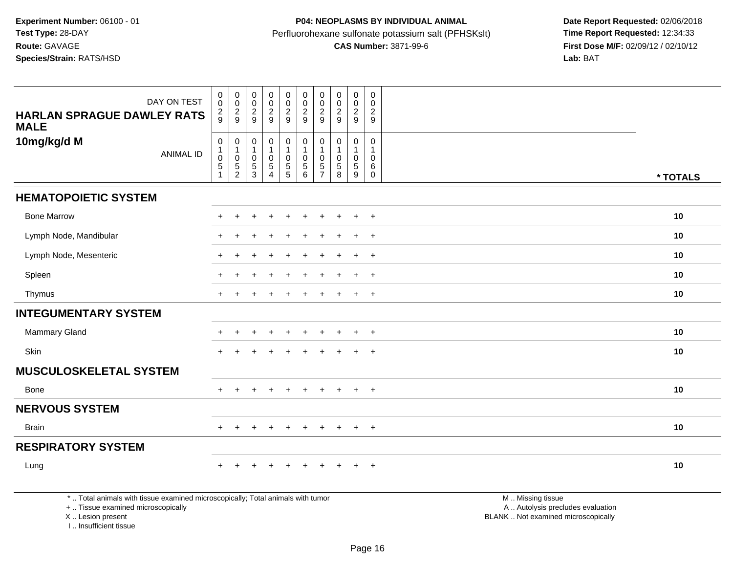| DAY ON TEST<br><b>HARLAN SPRAGUE DAWLEY RATS</b><br><b>MALE</b>                 | $_{0}^{0}$<br>$\frac{2}{9}$                                              | $\begin{smallmatrix}0\\0\end{smallmatrix}$<br>$\frac{2}{9}$ | $_{\rm 0}^{\rm 0}$<br>$\frac{2}{9}$                          | 00029                                                        | $_0^0$<br>$\frac{2}{9}$                   | $_{\rm 0}^{\rm 0}$<br>$\frac{2}{9}$                                                                | $\mathbf 0$<br>$\mathbf 0$<br>$\frac{2}{9}$         | $\begin{smallmatrix} 0\\0 \end{smallmatrix}$<br>$\frac{2}{9}$ | $_0^0$<br>$\frac{2}{9}$           | $\pmb{0}$<br>$\pmb{0}$<br>$\frac{2}{9}$ |                   |          |
|---------------------------------------------------------------------------------|--------------------------------------------------------------------------|-------------------------------------------------------------|--------------------------------------------------------------|--------------------------------------------------------------|-------------------------------------------|----------------------------------------------------------------------------------------------------|-----------------------------------------------------|---------------------------------------------------------------|-----------------------------------|-----------------------------------------|-------------------|----------|
| 10mg/kg/d M<br><b>ANIMAL ID</b>                                                 | $\pmb{0}$<br>$\begin{smallmatrix}1\\0\end{smallmatrix}$<br>$\frac{5}{1}$ | 0<br>1<br>$\pmb{0}$<br>$\frac{5}{2}$                        | $\mathbf 0$<br>$\mathbf{1}$<br>$\pmb{0}$<br>$\,$ 5 $\,$<br>3 | $\pmb{0}$<br>1<br>$\pmb{0}$<br>$\,$ 5 $\,$<br>$\overline{4}$ | $\pmb{0}$<br>$\mathbf 0$<br>$\frac{5}{5}$ | $\begin{smallmatrix}0\\1\end{smallmatrix}$<br>$\mathbf 0$<br>$\begin{array}{c} 5 \\ 6 \end{array}$ | 0<br>$\overline{1}$<br>$\mathbf 0$<br>$\frac{5}{7}$ | 0<br>$\mathbf 0$<br>5<br>8                                    | 0<br>$\mathbf 0$<br>$\frac{5}{9}$ | 0<br>0<br>$^6_{\rm 0}$                  |                   | * TOTALS |
| <b>HEMATOPOIETIC SYSTEM</b>                                                     |                                                                          |                                                             |                                                              |                                                              |                                           |                                                                                                    |                                                     |                                                               |                                   |                                         |                   |          |
| <b>Bone Marrow</b>                                                              | $\div$                                                                   |                                                             |                                                              |                                                              |                                           |                                                                                                    |                                                     |                                                               | $\ddot{}$                         | $+$                                     |                   | 10       |
| Lymph Node, Mandibular                                                          |                                                                          |                                                             |                                                              |                                                              |                                           |                                                                                                    |                                                     |                                                               |                                   | $\ddot{}$                               |                   | 10       |
| Lymph Node, Mesenteric                                                          | $\ddot{}$                                                                |                                                             |                                                              | $\div$                                                       | ÷                                         |                                                                                                    |                                                     |                                                               | $\ddot{}$                         | $+$                                     |                   | 10       |
| Spleen                                                                          |                                                                          |                                                             |                                                              |                                                              |                                           |                                                                                                    |                                                     |                                                               | $\ddot{}$                         | $\ddot{}$                               |                   | 10       |
| Thymus                                                                          | $+$                                                                      |                                                             |                                                              |                                                              |                                           |                                                                                                    |                                                     |                                                               | $\ddot{}$                         | $+$                                     |                   | 10       |
| <b>INTEGUMENTARY SYSTEM</b>                                                     |                                                                          |                                                             |                                                              |                                                              |                                           |                                                                                                    |                                                     |                                                               |                                   |                                         |                   |          |
| Mammary Gland                                                                   |                                                                          |                                                             |                                                              |                                                              |                                           |                                                                                                    |                                                     |                                                               | $\ddot{}$                         | $\overline{+}$                          |                   | 10       |
| Skin                                                                            | $+$                                                                      | ÷                                                           |                                                              |                                                              |                                           |                                                                                                    | ÷                                                   |                                                               | $\ddot{}$                         | $\overline{+}$                          |                   | 10       |
| <b>MUSCULOSKELETAL SYSTEM</b>                                                   |                                                                          |                                                             |                                                              |                                                              |                                           |                                                                                                    |                                                     |                                                               |                                   |                                         |                   |          |
| Bone                                                                            | $+$                                                                      | $\ddot{}$                                                   | $\pm$                                                        | $+$                                                          | $+$                                       | $+$                                                                                                | $+$                                                 | $+$                                                           | $+$                               | $+$                                     |                   | 10       |
| <b>NERVOUS SYSTEM</b>                                                           |                                                                          |                                                             |                                                              |                                                              |                                           |                                                                                                    |                                                     |                                                               |                                   |                                         |                   |          |
| <b>Brain</b>                                                                    | $+$                                                                      | $\overline{+}$                                              | $\pm$                                                        | $+$                                                          | $+$                                       | $+$                                                                                                | $+$                                                 | $+$                                                           | $+$                               | $+$                                     |                   | 10       |
| <b>RESPIRATORY SYSTEM</b>                                                       |                                                                          |                                                             |                                                              |                                                              |                                           |                                                                                                    |                                                     |                                                               |                                   |                                         |                   |          |
| Lung                                                                            | $+$                                                                      |                                                             |                                                              | ÷                                                            |                                           |                                                                                                    |                                                     |                                                               | $\pm$                             | $+$                                     |                   | 10       |
| *  Total animals with tissue examined microscopically; Total animals with tumor |                                                                          |                                                             |                                                              |                                                              |                                           |                                                                                                    |                                                     |                                                               |                                   |                                         | M  Missing tissue |          |

+ .. Tissue examined microscopically

X .. Lesion present

I .. Insufficient tissue

M .. Missing tissue A .. Autolysis precludes evaluation Lesion present BLANK .. Not examined microscopically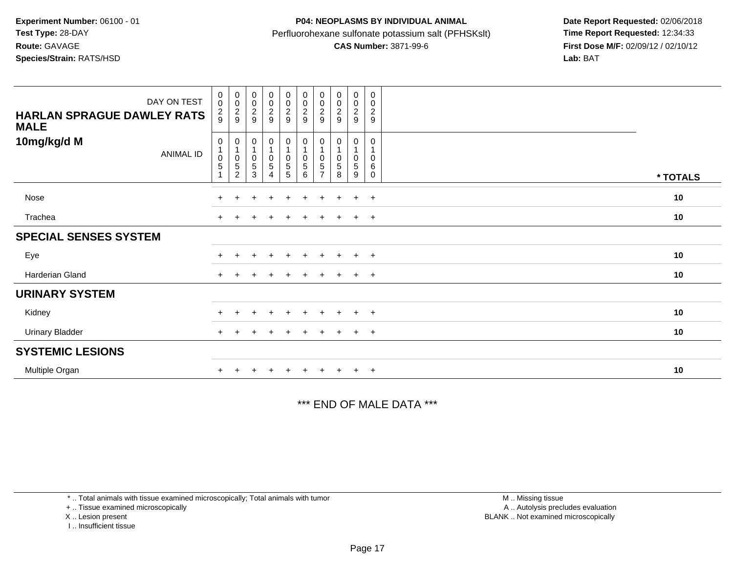## **P04: NEOPLASMS BY INDIVIDUAL ANIMAL**Perfluorohexane sulfonate potassium salt (PFHSKslt)<br>**CAS Number:** 3871-99-6

 **Date Report Requested:** 02/06/2018 **First Dose M/F:** 02/09/12 / 02/10/12<br>Lab: BAT

| DAY ON TEST<br><b>HARLAN SPRAGUE DAWLEY RATS</b><br><b>MALE</b> | $\begin{smallmatrix} 0\\0 \end{smallmatrix}$<br>$\frac{2}{9}$ | 00029                                                                        | $_{0}^{0}$<br>$\frac{2}{9}$                        | 00029                             | $\begin{array}{c} 0 \\ 0 \\ 2 \\ 9 \end{array}$     | 00029                                                     | 00029                                                                           | 00029                                              | 00029                            | $\mathbf 0$<br>$\pmb{0}$<br>$\boldsymbol{2}$<br>$\boldsymbol{9}$ |          |
|-----------------------------------------------------------------|---------------------------------------------------------------|------------------------------------------------------------------------------|----------------------------------------------------|-----------------------------------|-----------------------------------------------------|-----------------------------------------------------------|---------------------------------------------------------------------------------|----------------------------------------------------|----------------------------------|------------------------------------------------------------------|----------|
| 10mg/kg/d M<br><b>ANIMAL ID</b>                                 | 0<br>$\begin{array}{c} 0 \\ 5 \end{array}$                    | 0<br>$\mathbf{1}$<br>$\begin{array}{c} 0 \\ 5 \end{array}$<br>$\overline{c}$ | 0<br>$\mathbf{1}$<br>$\pmb{0}$<br>$\mathbf 5$<br>3 | 0<br>$\pmb{0}$<br>$\sqrt{5}$<br>4 | 0<br>$\overline{1}$<br>$\pmb{0}$<br>$\sqrt{5}$<br>5 | 0<br>$\begin{smallmatrix}0\0\0\end{smallmatrix}$<br>$\,6$ | $\boldsymbol{0}$<br>$\overline{1}$<br>$\pmb{0}$<br>$\sqrt{5}$<br>$\overline{7}$ | 0<br>$\mathbf 1$<br>$\mathsf 0$<br>$\sqrt{5}$<br>8 | 0<br>$\mathbf{1}$<br>0<br>5<br>9 | 0<br>$\mathbf{1}$<br>$\pmb{0}$<br>6<br>$\mathbf 0$               | * TOTALS |
| Nose                                                            |                                                               |                                                                              |                                                    | $\div$                            | $\ddot{}$                                           | $+$                                                       | $\pm$                                                                           | $\pm$                                              | $+$                              | $+$                                                              | 10       |
| Trachea                                                         |                                                               |                                                                              |                                                    |                                   | $\pm$                                               | $\pm$                                                     |                                                                                 | $\pm$                                              | $\ddot{}$                        | $+$                                                              | 10       |
| <b>SPECIAL SENSES SYSTEM</b>                                    |                                                               |                                                                              |                                                    |                                   |                                                     |                                                           |                                                                                 |                                                    |                                  |                                                                  |          |
| Eye                                                             |                                                               |                                                                              |                                                    |                                   |                                                     |                                                           |                                                                                 |                                                    | $\pm$                            | $+$                                                              | 10       |
| Harderian Gland                                                 | $+$                                                           |                                                                              |                                                    | $\pm$                             | $\pm$                                               | $\pm$                                                     | $\pm$                                                                           | $\pm$                                              | $\ddot{}$                        | $+$                                                              | 10       |
| <b>URINARY SYSTEM</b>                                           |                                                               |                                                                              |                                                    |                                   |                                                     |                                                           |                                                                                 |                                                    |                                  |                                                                  |          |
| Kidney                                                          |                                                               |                                                                              |                                                    | $\ddot{}$                         | $+$                                                 | $+$                                                       | $+$                                                                             | $\pm$                                              | $+$                              | $+$                                                              | 10       |
| <b>Urinary Bladder</b>                                          |                                                               |                                                                              |                                                    |                                   | $\pm$                                               | $\ddot{}$                                                 | $^+$                                                                            | $\ddot{}$                                          | $+$                              | $+$                                                              | 10       |
| <b>SYSTEMIC LESIONS</b>                                         |                                                               |                                                                              |                                                    |                                   |                                                     |                                                           |                                                                                 |                                                    |                                  |                                                                  |          |
| Multiple Organ                                                  |                                                               |                                                                              |                                                    |                                   |                                                     |                                                           |                                                                                 |                                                    | $\ddot{}$                        | $+$                                                              | 10       |

\*\*\* END OF MALE DATA \*\*\*

\* .. Total animals with tissue examined microscopically; Total animals with tumor

+ .. Tissue examined microscopically

X .. Lesion present

I .. Insufficient tissue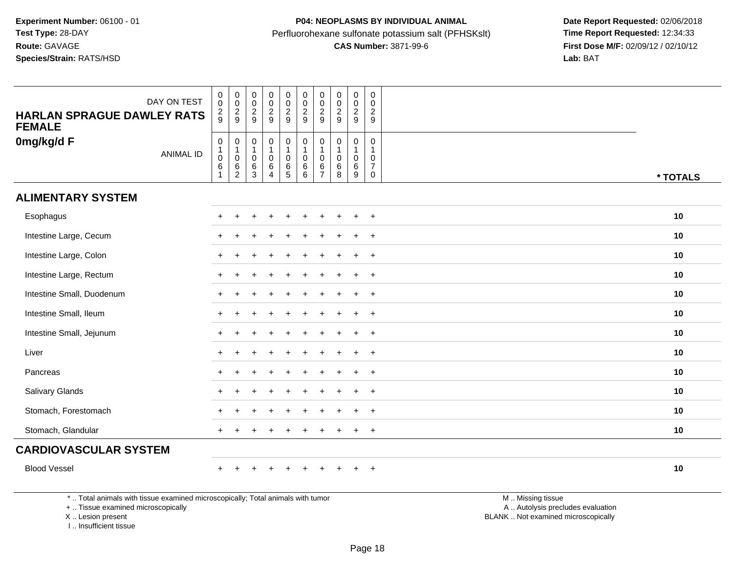| <b>HARLAN SPRAGUE DAWLEY RATS</b><br><b>FEMALE</b>                             | DAY ON TEST      | $\boldsymbol{0}$<br>$\mathbf 0$<br>$\frac{2}{9}$                                  | $\pmb{0}$<br>$\mathbf 0$<br>$\overline{2}$<br>9   | $\pmb{0}$<br>$\frac{0}{2}$<br>9                                       | $_{\rm 0}^{\rm 0}$<br>$\overline{\mathbf{c}}$<br>9              | 0<br>$_{2}^{\rm 0}$<br>9                | $_{\rm 0}^{\rm 0}$<br>$\frac{2}{9}$                        | $\mathbf 0$<br>$\mathbf 0$<br>$\overline{2}$<br>9          | $\pmb{0}$<br>$\mathbf 0$<br>$\overline{c}$<br>9 | $\pmb{0}$<br>$\mathbf 0$<br>$\overline{2}$<br>9 | $\mathbf 0$<br>$\mathbf 0$<br>$\overline{2}$<br>9    |                 |          |
|--------------------------------------------------------------------------------|------------------|-----------------------------------------------------------------------------------|---------------------------------------------------|-----------------------------------------------------------------------|-----------------------------------------------------------------|-----------------------------------------|------------------------------------------------------------|------------------------------------------------------------|-------------------------------------------------|-------------------------------------------------|------------------------------------------------------|-----------------|----------|
| 0mg/kg/d F                                                                     | <b>ANIMAL ID</b> | $\pmb{0}$<br>$\begin{smallmatrix}1\0\end{smallmatrix}$<br>$\,6\,$<br>$\mathbf{1}$ | $\mathbf 0$<br>$\mathbf 0$<br>6<br>$\overline{c}$ | $\mathbf 0$<br>$\mathbf{1}$<br>$\mathbf 0$<br>$\,6$<br>$\mathfrak{Z}$ | $\mathbf 0$<br>$\mathbf{1}$<br>$\pmb{0}$<br>6<br>$\overline{4}$ | 0<br>$\mathbf 0$<br>6<br>$\overline{5}$ | $\pmb{0}$<br>$\overline{1}$<br>$\mathbf 0$<br>6<br>$\,6\,$ | 0<br>$\overline{1}$<br>$\mathbf{0}$<br>6<br>$\overline{7}$ | $\mathbf 0$<br>-1<br>$\mathbf 0$<br>6<br>8      | 0<br>1.<br>$\mathbf 0$<br>6<br>$9\,$            | 0<br>-1<br>$\Omega$<br>$\overline{7}$<br>$\mathbf 0$ |                 | * TOTALS |
| <b>ALIMENTARY SYSTEM</b>                                                       |                  |                                                                                   |                                                   |                                                                       |                                                                 |                                         |                                                            |                                                            |                                                 |                                                 |                                                      |                 |          |
| Esophagus                                                                      |                  |                                                                                   |                                                   |                                                                       |                                                                 |                                         |                                                            |                                                            |                                                 | $\div$                                          | $+$                                                  |                 | 10       |
| Intestine Large, Cecum                                                         |                  |                                                                                   |                                                   |                                                                       |                                                                 |                                         |                                                            |                                                            |                                                 |                                                 | $\ddot{}$                                            |                 | 10       |
| Intestine Large, Colon                                                         |                  |                                                                                   |                                                   |                                                                       |                                                                 |                                         |                                                            |                                                            |                                                 |                                                 | $\ddot{}$                                            |                 | 10       |
| Intestine Large, Rectum                                                        |                  |                                                                                   |                                                   |                                                                       |                                                                 |                                         |                                                            |                                                            |                                                 | $\div$                                          | $+$                                                  |                 | 10       |
| Intestine Small, Duodenum                                                      |                  | $\pm$                                                                             | $\ddot{}$                                         |                                                                       |                                                                 |                                         |                                                            |                                                            |                                                 | $\ddot{}$                                       | $+$                                                  |                 | 10       |
| Intestine Small, Ileum                                                         |                  |                                                                                   |                                                   |                                                                       |                                                                 |                                         |                                                            |                                                            |                                                 | $\ddot{}$                                       | $\ddot{}$                                            |                 | 10       |
| Intestine Small, Jejunum                                                       |                  |                                                                                   |                                                   |                                                                       |                                                                 |                                         |                                                            |                                                            |                                                 | $\ddot{}$                                       | $\ddot{}$                                            |                 | 10       |
| Liver                                                                          |                  |                                                                                   |                                                   |                                                                       |                                                                 |                                         |                                                            |                                                            |                                                 | $\ddot{+}$                                      | $+$                                                  |                 | 10       |
| Pancreas                                                                       |                  |                                                                                   |                                                   |                                                                       |                                                                 |                                         |                                                            |                                                            |                                                 | ÷                                               | $+$                                                  |                 | 10       |
| Salivary Glands                                                                |                  |                                                                                   |                                                   |                                                                       |                                                                 |                                         |                                                            |                                                            |                                                 |                                                 | $\overline{+}$                                       |                 | 10       |
| Stomach, Forestomach                                                           |                  |                                                                                   |                                                   |                                                                       |                                                                 |                                         |                                                            |                                                            |                                                 |                                                 | $\ddot{}$                                            |                 | 10       |
| Stomach, Glandular                                                             |                  | $\pm$                                                                             |                                                   |                                                                       | $\div$                                                          | $\div$                                  |                                                            |                                                            |                                                 | $\ddot{}$                                       | $+$                                                  |                 | 10       |
| <b>CARDIOVASCULAR SYSTEM</b>                                                   |                  |                                                                                   |                                                   |                                                                       |                                                                 |                                         |                                                            |                                                            |                                                 |                                                 |                                                      |                 |          |
| <b>Blood Vessel</b>                                                            |                  |                                                                                   |                                                   |                                                                       |                                                                 |                                         |                                                            |                                                            |                                                 |                                                 | $+$                                                  |                 | 10       |
| * Total animals with tissue examined microsconically: Total animals with tumor |                  |                                                                                   |                                                   |                                                                       |                                                                 |                                         |                                                            |                                                            |                                                 |                                                 |                                                      | M Miccinaticcup |          |

\* .. Total animals with tissue examined microscopically; Total animals with tumor

+ .. Tissue examined microscopically

X .. Lesion present

I .. Insufficient tissue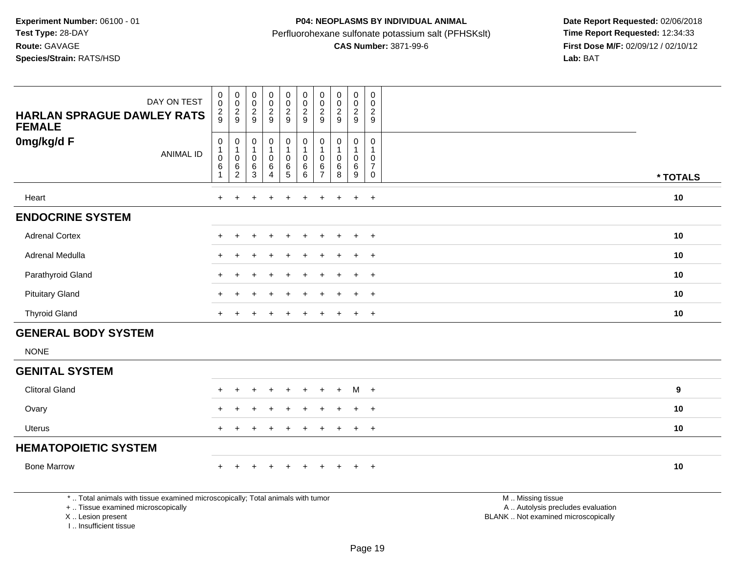| DAY ON TEST<br><b>HARLAN SPRAGUE DAWLEY RATS</b><br><b>FEMALE</b>                                                     | $\begin{smallmatrix} 0\\0 \end{smallmatrix}$<br>$\frac{2}{9}$     | $_{\rm 0}^{\rm 0}$<br>$\frac{2}{9}$                                   | $_{\rm 0}^{\rm 0}$<br>$\frac{2}{9}$                               | $_{\rm 0}^{\rm 0}$<br>$\frac{2}{9}$                             | $\mathsf{O}\xspace$<br>$\ddot{\mathbf{0}}$<br>$\frac{2}{9}$                   | $_{\rm 0}^{\rm 0}$<br>$\overline{c}$<br>$\overline{9}$       | $\begin{smallmatrix} 0\\0 \end{smallmatrix}$<br>$\frac{2}{9}$   | $\mathbf 0$<br>$\pmb{0}$<br>$\frac{2}{9}$                | $\pmb{0}$<br>$\ddot{\mathbf{0}}$<br>$\frac{2}{9}$         | $\mathbf 0$<br>$\mathsf 0$<br>$\overline{2}$<br>9                           |                                                        |                  |
|-----------------------------------------------------------------------------------------------------------------------|-------------------------------------------------------------------|-----------------------------------------------------------------------|-------------------------------------------------------------------|-----------------------------------------------------------------|-------------------------------------------------------------------------------|--------------------------------------------------------------|-----------------------------------------------------------------|----------------------------------------------------------|-----------------------------------------------------------|-----------------------------------------------------------------------------|--------------------------------------------------------|------------------|
| 0mg/kg/d F<br><b>ANIMAL ID</b>                                                                                        | $\pmb{0}$<br>$\mathbf{1}$<br>$\pmb{0}$<br>$\,6\,$<br>$\mathbf{1}$ | $\pmb{0}$<br>$\mathbf{1}$<br>$\pmb{0}$<br>$\,6\,$<br>$\boldsymbol{2}$ | $\boldsymbol{0}$<br>$\overline{1}$<br>$\mathbf 0$<br>$\,6\,$<br>3 | $\pmb{0}$<br>$\mathbf{1}$<br>$\mathbf 0$<br>6<br>$\overline{4}$ | $\pmb{0}$<br>$\mathbf{1}$<br>$\mathsf{O}\xspace$<br>$\,6\,$<br>$\overline{5}$ | $\pmb{0}$<br>$\mathbf{1}$<br>$\pmb{0}$<br>$\,6\,$<br>$\,6\,$ | $\mathbf 0$<br>$\overline{1}$<br>0<br>$\,6\,$<br>$\overline{7}$ | $\pmb{0}$<br>$\mathbf{1}$<br>$\mathbf 0$<br>$\,6\,$<br>8 | 0<br>1<br>$\pmb{0}$<br>$6\phantom{a}$<br>$\boldsymbol{9}$ | $\mathbf 0$<br>$\mathbf{1}$<br>$\mathbf 0$<br>$\overline{7}$<br>$\mathbf 0$ |                                                        | * TOTALS         |
| Heart                                                                                                                 | $\ddot{}$                                                         |                                                                       |                                                                   |                                                                 |                                                                               | $\ddot{}$                                                    |                                                                 |                                                          | $\ddot{}$                                                 | $+$                                                                         |                                                        | 10               |
| <b>ENDOCRINE SYSTEM</b>                                                                                               |                                                                   |                                                                       |                                                                   |                                                                 |                                                                               |                                                              |                                                                 |                                                          |                                                           |                                                                             |                                                        |                  |
| <b>Adrenal Cortex</b>                                                                                                 |                                                                   |                                                                       |                                                                   |                                                                 | ÷                                                                             |                                                              |                                                                 |                                                          | $\ddot{}$                                                 | $+$                                                                         |                                                        | 10               |
| Adrenal Medulla                                                                                                       |                                                                   |                                                                       |                                                                   |                                                                 |                                                                               |                                                              |                                                                 |                                                          |                                                           | $\overline{1}$                                                              |                                                        | 10               |
| Parathyroid Gland                                                                                                     |                                                                   |                                                                       |                                                                   |                                                                 |                                                                               |                                                              |                                                                 |                                                          |                                                           | $\ddot{}$                                                                   |                                                        | 10               |
| <b>Pituitary Gland</b>                                                                                                | $\ddot{}$                                                         |                                                                       |                                                                   |                                                                 | ÷                                                                             | $\div$                                                       |                                                                 |                                                          | $\pm$                                                     | $+$                                                                         |                                                        | 10               |
| <b>Thyroid Gland</b>                                                                                                  |                                                                   |                                                                       |                                                                   |                                                                 |                                                                               |                                                              |                                                                 |                                                          | $\ddot{}$                                                 | $+$                                                                         |                                                        | 10               |
| <b>GENERAL BODY SYSTEM</b>                                                                                            |                                                                   |                                                                       |                                                                   |                                                                 |                                                                               |                                                              |                                                                 |                                                          |                                                           |                                                                             |                                                        |                  |
| <b>NONE</b>                                                                                                           |                                                                   |                                                                       |                                                                   |                                                                 |                                                                               |                                                              |                                                                 |                                                          |                                                           |                                                                             |                                                        |                  |
| <b>GENITAL SYSTEM</b>                                                                                                 |                                                                   |                                                                       |                                                                   |                                                                 |                                                                               |                                                              |                                                                 |                                                          |                                                           |                                                                             |                                                        |                  |
| <b>Clitoral Gland</b>                                                                                                 |                                                                   |                                                                       |                                                                   |                                                                 |                                                                               |                                                              |                                                                 |                                                          | M +                                                       |                                                                             |                                                        | $\boldsymbol{9}$ |
| Ovary                                                                                                                 |                                                                   |                                                                       |                                                                   |                                                                 |                                                                               |                                                              |                                                                 |                                                          | $\ddot{}$                                                 | $+$                                                                         |                                                        | 10               |
| <b>Uterus</b>                                                                                                         |                                                                   |                                                                       |                                                                   |                                                                 |                                                                               |                                                              |                                                                 |                                                          |                                                           | $\overline{+}$                                                              |                                                        | 10               |
| <b>HEMATOPOIETIC SYSTEM</b>                                                                                           |                                                                   |                                                                       |                                                                   |                                                                 |                                                                               |                                                              |                                                                 |                                                          |                                                           |                                                                             |                                                        |                  |
| <b>Bone Marrow</b>                                                                                                    |                                                                   |                                                                       |                                                                   | $\ddot{}$                                                       | $\ddot{}$                                                                     | $\ddot{}$                                                    |                                                                 |                                                          | $\ddot{}$                                                 | $+$                                                                         |                                                        | 10               |
| *  Total animals with tissue examined microscopically; Total animals with tumor<br>+  Tissue examined microscopically |                                                                   |                                                                       |                                                                   |                                                                 |                                                                               |                                                              |                                                                 |                                                          |                                                           |                                                                             | M  Missing tissue<br>A  Autolysis precludes evaluation |                  |

X .. Lesion present

I .. Insufficient tissue

Lesion present BLANK .. Not examined microscopically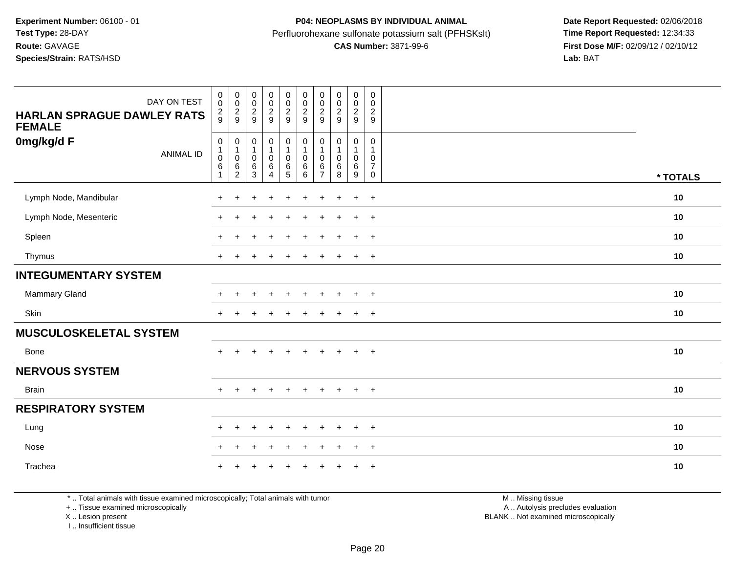| DAY ON TEST<br><b>HARLAN SPRAGUE DAWLEY RATS</b><br><b>FEMALE</b> | $\begin{smallmatrix}0\0\0\end{smallmatrix}$<br>$\frac{2}{9}$ | $_{\rm 0}^{\rm 0}$<br>$\frac{2}{9}$                       | $\begin{smallmatrix} 0\\0 \end{smallmatrix}$<br>$\frac{2}{9}$       | $\begin{smallmatrix} 0\\0 \end{smallmatrix}$<br>$\frac{2}{9}$       | $\begin{smallmatrix}0\0\0\end{smallmatrix}$<br>$\frac{2}{9}$  | $_{\rm 0}^{\rm 0}$<br>$\frac{2}{9}$                                            | $\boldsymbol{0}$<br>$\mathbf 0$<br>$\frac{2}{9}$                    | $\pmb{0}$<br>$\pmb{0}$<br>$\frac{2}{9}$                | $\pmb{0}$<br>$\pmb{0}$<br>$\frac{2}{9}$                       | $\mathbf 0$<br>0<br>$\overline{c}$<br>9                           |          |
|-------------------------------------------------------------------|--------------------------------------------------------------|-----------------------------------------------------------|---------------------------------------------------------------------|---------------------------------------------------------------------|---------------------------------------------------------------|--------------------------------------------------------------------------------|---------------------------------------------------------------------|--------------------------------------------------------|---------------------------------------------------------------|-------------------------------------------------------------------|----------|
| 0mg/kg/d F<br><b>ANIMAL ID</b>                                    | $\mathbf 0$<br>$\mathbf{1}$<br>$\pmb{0}$<br>$\,6\,$<br>1     | $\pmb{0}$<br>$\overline{1}$<br>$\pmb{0}$<br>$\frac{6}{2}$ | $\pmb{0}$<br>$\mathbf{1}$<br>$\pmb{0}$<br>$\,6\,$<br>$\overline{3}$ | $\pmb{0}$<br>$\mathbf{1}$<br>$\pmb{0}$<br>$\,6\,$<br>$\overline{4}$ | 0<br>$\mathbf{1}$<br>$\mathbf 0$<br>$\,6\,$<br>$\overline{5}$ | $\pmb{0}$<br>$\mathbf{1}$<br>$\pmb{0}$<br>$\begin{matrix} 6 \\ 6 \end{matrix}$ | $\pmb{0}$<br>$\mathbf{1}$<br>$\pmb{0}$<br>$\,6\,$<br>$\overline{7}$ | $\pmb{0}$<br>$\mathbf{1}$<br>$\mathbf 0$<br>$\,6$<br>8 | 0<br>$\mathbf{1}$<br>$\mathbf 0$<br>$\,6$<br>$\boldsymbol{9}$ | $\mathbf 0$<br>$\mathbf{1}$<br>$\mathbf 0$<br>$\overline{7}$<br>0 | * TOTALS |
| Lymph Node, Mandibular                                            | $\ddot{}$                                                    |                                                           |                                                                     |                                                                     |                                                               |                                                                                |                                                                     |                                                        | $\ddot{}$                                                     | $+$                                                               | 10       |
| Lymph Node, Mesenteric                                            | ÷                                                            |                                                           |                                                                     |                                                                     |                                                               |                                                                                |                                                                     |                                                        | $\ddot{}$                                                     | $^{+}$                                                            | 10       |
| Spleen                                                            | $\ddot{}$                                                    |                                                           |                                                                     |                                                                     |                                                               |                                                                                |                                                                     |                                                        | $\ddot{}$                                                     | $\ddot{}$                                                         | 10       |
| Thymus                                                            | $\ddot{}$                                                    |                                                           |                                                                     | $\div$                                                              |                                                               | $\ddot{}$                                                                      | ÷                                                                   |                                                        | $+$                                                           | $+$                                                               | 10       |
| <b>INTEGUMENTARY SYSTEM</b>                                       |                                                              |                                                           |                                                                     |                                                                     |                                                               |                                                                                |                                                                     |                                                        |                                                               |                                                                   |          |
| Mammary Gland                                                     |                                                              |                                                           |                                                                     | $\overline{1}$                                                      | $\div$                                                        | $\ddot{}$                                                                      |                                                                     | $\div$                                                 | $\ddot{}$                                                     | $^{+}$                                                            | 10       |
| Skin                                                              | $\ddot{}$                                                    |                                                           |                                                                     |                                                                     |                                                               |                                                                                |                                                                     |                                                        | $\ddot{}$                                                     | $^{+}$                                                            | 10       |
| <b>MUSCULOSKELETAL SYSTEM</b>                                     |                                                              |                                                           |                                                                     |                                                                     |                                                               |                                                                                |                                                                     |                                                        |                                                               |                                                                   |          |
| <b>Bone</b>                                                       | $\ddot{}$                                                    |                                                           |                                                                     |                                                                     |                                                               |                                                                                |                                                                     |                                                        | $\ddot{}$                                                     | $^{+}$                                                            | 10       |
| <b>NERVOUS SYSTEM</b>                                             |                                                              |                                                           |                                                                     |                                                                     |                                                               |                                                                                |                                                                     |                                                        |                                                               |                                                                   |          |
| <b>Brain</b>                                                      | $+$                                                          | $\ddot{}$                                                 | $\pm$                                                               | $+$                                                                 | $+$                                                           | $+$                                                                            | $\pm$                                                               | $+$                                                    | $+$                                                           | $+$                                                               | 10       |
| <b>RESPIRATORY SYSTEM</b>                                         |                                                              |                                                           |                                                                     |                                                                     |                                                               |                                                                                |                                                                     |                                                        |                                                               |                                                                   |          |
| Lung                                                              | $\ddot{}$                                                    | $\ddot{}$                                                 |                                                                     | $\overline{1}$                                                      |                                                               |                                                                                |                                                                     |                                                        | $\ddot{}$                                                     | $+$                                                               | 10       |
| Nose                                                              | $\pm$                                                        | ٠                                                         |                                                                     |                                                                     |                                                               |                                                                                |                                                                     |                                                        | ÷                                                             | $^{+}$                                                            | 10       |
| Trachea                                                           |                                                              |                                                           |                                                                     |                                                                     |                                                               |                                                                                |                                                                     |                                                        |                                                               | $\overline{1}$                                                    | 10       |

\* .. Total animals with tissue examined microscopically; Total animals with tumor

+ .. Tissue examined microscopically

X .. Lesion present

I .. Insufficient tissue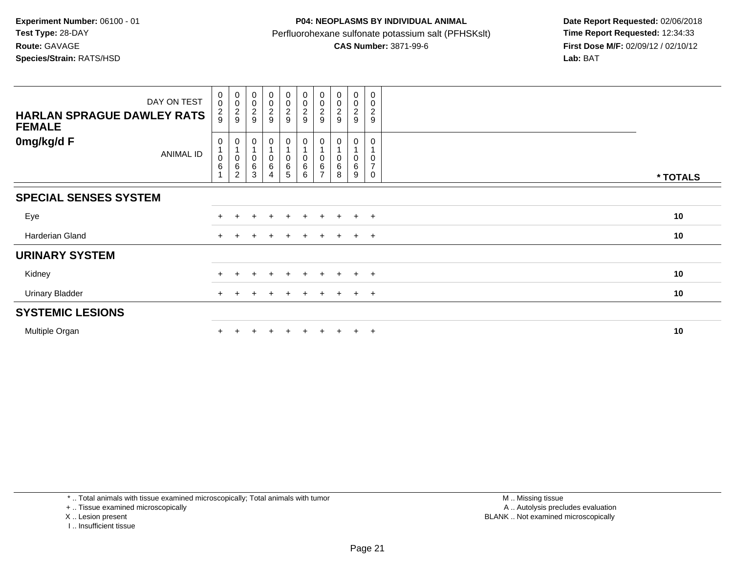| <b>HARLAN SPRAGUE DAWLEY RATS</b><br><b>FEMALE</b> | DAY ON TEST | $_{\rm 0}^{\rm 0}$<br>$\frac{2}{9}$             | 00029                         | $\begin{array}{c} 0 \\ 0 \\ 2 \\ 9 \end{array}$                      | $\begin{array}{c} 0 \\ 0 \\ 2 \\ 9 \end{array}$ | 00029                                                        | $\begin{smallmatrix} 0\\0 \end{smallmatrix}$<br>$\frac{2}{9}$ | $_{\rm 0}^{\rm 0}$<br>$\overline{\mathbf{c}}$<br>9 | 00029            | $\pmb{0}$<br>$\pmb{0}$<br>$\frac{2}{9}$ | 0<br>$\pmb{0}$<br>$\boldsymbol{2}$<br>$9\,$    |          |
|----------------------------------------------------|-------------|-------------------------------------------------|-------------------------------|----------------------------------------------------------------------|-------------------------------------------------|--------------------------------------------------------------|---------------------------------------------------------------|----------------------------------------------------|------------------|-----------------------------------------|------------------------------------------------|----------|
| 0mg/kg/d F                                         | ANIMAL ID   | 0<br>$\blacktriangleleft$<br>$\pmb{0}$<br>$\,6$ | 0<br>0<br>6<br>$\overline{c}$ | $\mathbf 0$<br>$\begin{array}{c} 0 \\ 6 \end{array}$<br>$\mathbf{3}$ | 0<br>$_{6}^{\rm 0}$<br>4                        | $\pmb{0}$<br>1<br>$\begin{array}{c} 0 \\ 6 \end{array}$<br>5 | 0<br>$\pmb{0}$<br>$\,6$<br>6                                  | 6                                                  | 0<br>0<br>6<br>8 | 0<br>0<br>6<br>9                        | 0<br>$\mathbf 0$<br>$\overline{7}$<br>$\Omega$ | * TOTALS |
| <b>SPECIAL SENSES SYSTEM</b>                       |             |                                                 |                               |                                                                      |                                                 |                                                              |                                                               |                                                    |                  |                                         |                                                |          |
| Eye                                                |             |                                                 |                               |                                                                      | $+$                                             | $+$                                                          | $+$                                                           | $+$                                                | $+$              | $+$                                     | $+$                                            | 10       |
| Harderian Gland                                    |             | $\pm$                                           |                               |                                                                      | $\pm$                                           |                                                              |                                                               |                                                    | $+$              | $+$                                     | $+$                                            | 10       |
| <b>URINARY SYSTEM</b>                              |             |                                                 |                               |                                                                      |                                                 |                                                              |                                                               |                                                    |                  |                                         |                                                |          |
| Kidney                                             |             | $\pm$                                           | $\pm$                         | $\div$                                                               | $+$                                             | $+$                                                          | $\ddot{}$                                                     | $+$                                                | $+$              | $+$                                     | $+$                                            | 10       |
| <b>Urinary Bladder</b>                             |             | $+$                                             | $^+$                          | $\pm$                                                                | $+$                                             | $+$                                                          | $+$                                                           | $+$                                                | $+$              | $+$                                     | $+$                                            | 10       |
| <b>SYSTEMIC LESIONS</b>                            |             |                                                 |                               |                                                                      |                                                 |                                                              |                                                               |                                                    |                  |                                         |                                                |          |
| Multiple Organ                                     |             |                                                 |                               |                                                                      | $\ddot{}$                                       |                                                              |                                                               |                                                    | $+$              | $+$                                     | $+$                                            | 10       |

\* .. Total animals with tissue examined microscopically; Total animals with tumor

+ .. Tissue examined microscopically

X .. Lesion present

I .. Insufficient tissue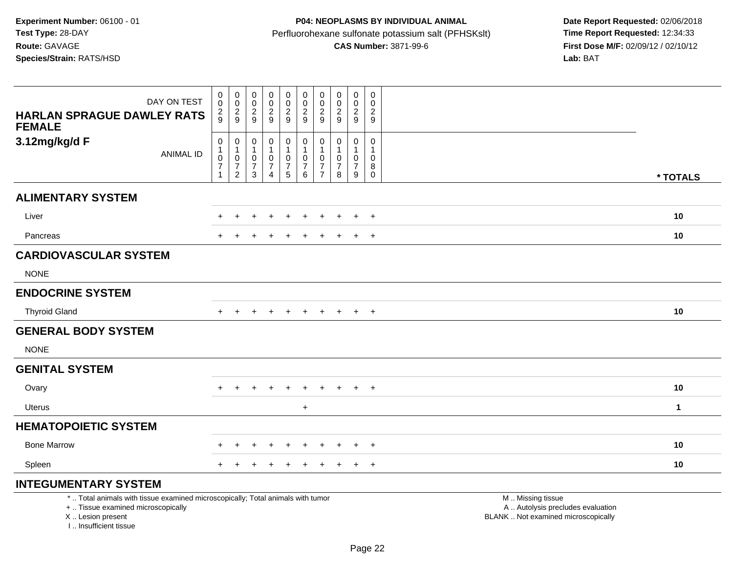# **P04: NEOPLASMS BY INDIVIDUAL ANIMAL**Perfluorohexane sulfonate potassium salt (PFHSKslt)<br>**CAS Number:** 3871-99-6

 **Date Report Requested:** 02/06/2018 **First Dose M/F:** 02/09/12 / 02/10/12<br>Lab: BAT

| DAY ON TEST<br><b>HARLAN SPRAGUE DAWLEY RATS</b><br><b>FEMALE</b>                                                                                                   | 0<br>0<br>$\frac{2}{9}$                               | $\begin{smallmatrix} 0\\0 \end{smallmatrix}$<br>$\frac{2}{9}$          | 0<br>$\mathbf 0$<br>$\overline{c}$<br>9           | $\mathbf 0$<br>$\mathbf 0$<br>$\boldsymbol{2}$<br>9                              | 0<br>$\mathbf 0$<br>$\frac{2}{9}$    | $\mathbf 0$<br>$\mathbf 0$<br>$\frac{2}{9}$                                    | $\mathbf 0$<br>$\mathbf 0$<br>$\overline{c}$<br>9                            | 0<br>0<br>$\overline{c}$<br>9 | $\pmb{0}$<br>$\mathbf 0$<br>$\sqrt{2}$<br>$9\,$                                  | $\mathbf 0$<br>$\mathbf 0$<br>$\overline{c}$<br>9        |                                                                                               |              |
|---------------------------------------------------------------------------------------------------------------------------------------------------------------------|-------------------------------------------------------|------------------------------------------------------------------------|---------------------------------------------------|----------------------------------------------------------------------------------|--------------------------------------|--------------------------------------------------------------------------------|------------------------------------------------------------------------------|-------------------------------|----------------------------------------------------------------------------------|----------------------------------------------------------|-----------------------------------------------------------------------------------------------|--------------|
| 3.12mg/kg/d F<br><b>ANIMAL ID</b>                                                                                                                                   | 0<br>1<br>$\pmb{0}$<br>$\overline{7}$<br>$\mathbf{1}$ | $\boldsymbol{0}$<br>$\mathbf{1}$<br>$\pmb{0}$<br>$\boldsymbol{7}$<br>2 | 0<br>$\overline{1}$<br>0<br>$\boldsymbol{7}$<br>3 | $\mathbf 0$<br>$\mathbf{1}$<br>$\mathbf 0$<br>$\boldsymbol{7}$<br>$\overline{4}$ | 0<br>1<br>$\pmb{0}$<br>$\frac{7}{5}$ | $\pmb{0}$<br>$\mathbf{1}$<br>$\mathbf 0$<br>$\boldsymbol{7}$<br>$6\phantom{1}$ | $\mathbf 0$<br>$\mathbf{1}$<br>$\pmb{0}$<br>$\overline{7}$<br>$\overline{7}$ | 0<br>0<br>$\overline{7}$<br>8 | $\mathbf 0$<br>$\mathbf{1}$<br>$\mathbf 0$<br>$\overline{7}$<br>$\boldsymbol{9}$ | 0<br>-1<br>$\mathbf 0$<br>$\,8\,$<br>$\mathsf{O}\xspace$ |                                                                                               | * TOTALS     |
| <b>ALIMENTARY SYSTEM</b>                                                                                                                                            |                                                       |                                                                        |                                                   |                                                                                  |                                      |                                                                                |                                                                              |                               |                                                                                  |                                                          |                                                                                               |              |
| Liver                                                                                                                                                               | +                                                     |                                                                        |                                                   |                                                                                  |                                      |                                                                                |                                                                              |                               |                                                                                  | $\overline{+}$                                           |                                                                                               | 10           |
| Pancreas                                                                                                                                                            | $+$                                                   |                                                                        |                                                   |                                                                                  |                                      | $\ddot{}$                                                                      | $\ddot{}$                                                                    | $\pm$                         | $\ddot{}$                                                                        | $+$                                                      |                                                                                               | 10           |
| <b>CARDIOVASCULAR SYSTEM</b>                                                                                                                                        |                                                       |                                                                        |                                                   |                                                                                  |                                      |                                                                                |                                                                              |                               |                                                                                  |                                                          |                                                                                               |              |
| <b>NONE</b>                                                                                                                                                         |                                                       |                                                                        |                                                   |                                                                                  |                                      |                                                                                |                                                                              |                               |                                                                                  |                                                          |                                                                                               |              |
| <b>ENDOCRINE SYSTEM</b>                                                                                                                                             |                                                       |                                                                        |                                                   |                                                                                  |                                      |                                                                                |                                                                              |                               |                                                                                  |                                                          |                                                                                               |              |
| <b>Thyroid Gland</b>                                                                                                                                                | $+$                                                   | $\pm$                                                                  | $\div$                                            |                                                                                  | $\pm$                                | $\ddot{}$                                                                      | $\pm$                                                                        | $\pm$                         | $+$                                                                              | $+$                                                      |                                                                                               | 10           |
| <b>GENERAL BODY SYSTEM</b>                                                                                                                                          |                                                       |                                                                        |                                                   |                                                                                  |                                      |                                                                                |                                                                              |                               |                                                                                  |                                                          |                                                                                               |              |
| <b>NONE</b>                                                                                                                                                         |                                                       |                                                                        |                                                   |                                                                                  |                                      |                                                                                |                                                                              |                               |                                                                                  |                                                          |                                                                                               |              |
| <b>GENITAL SYSTEM</b>                                                                                                                                               |                                                       |                                                                        |                                                   |                                                                                  |                                      |                                                                                |                                                                              |                               |                                                                                  |                                                          |                                                                                               |              |
| Ovary                                                                                                                                                               |                                                       |                                                                        |                                                   |                                                                                  |                                      |                                                                                |                                                                              |                               | $\ddot{}$                                                                        | $+$                                                      |                                                                                               | 10           |
| <b>Uterus</b>                                                                                                                                                       |                                                       |                                                                        |                                                   |                                                                                  |                                      | $\ddot{}$                                                                      |                                                                              |                               |                                                                                  |                                                          |                                                                                               | $\mathbf{1}$ |
| <b>HEMATOPOIETIC SYSTEM</b>                                                                                                                                         |                                                       |                                                                        |                                                   |                                                                                  |                                      |                                                                                |                                                                              |                               |                                                                                  |                                                          |                                                                                               |              |
| <b>Bone Marrow</b>                                                                                                                                                  | +                                                     |                                                                        |                                                   |                                                                                  | $\div$                               |                                                                                | ÷                                                                            |                               | $\div$                                                                           | $+$                                                      |                                                                                               | 10           |
| Spleen                                                                                                                                                              |                                                       |                                                                        |                                                   |                                                                                  |                                      |                                                                                | $\div$                                                                       |                               | $\pm$                                                                            | $+$                                                      |                                                                                               | 10           |
| <b>INTEGUMENTARY SYSTEM</b>                                                                                                                                         |                                                       |                                                                        |                                                   |                                                                                  |                                      |                                                                                |                                                                              |                               |                                                                                  |                                                          |                                                                                               |              |
| *  Total animals with tissue examined microscopically; Total animals with tumor<br>+  Tissue examined microscopically<br>X  Lesion present<br>I Insufficient tissue |                                                       |                                                                        |                                                   |                                                                                  |                                      |                                                                                |                                                                              |                               |                                                                                  |                                                          | M  Missing tissue<br>A  Autolysis precludes evaluation<br>BLANK  Not examined microscopically |              |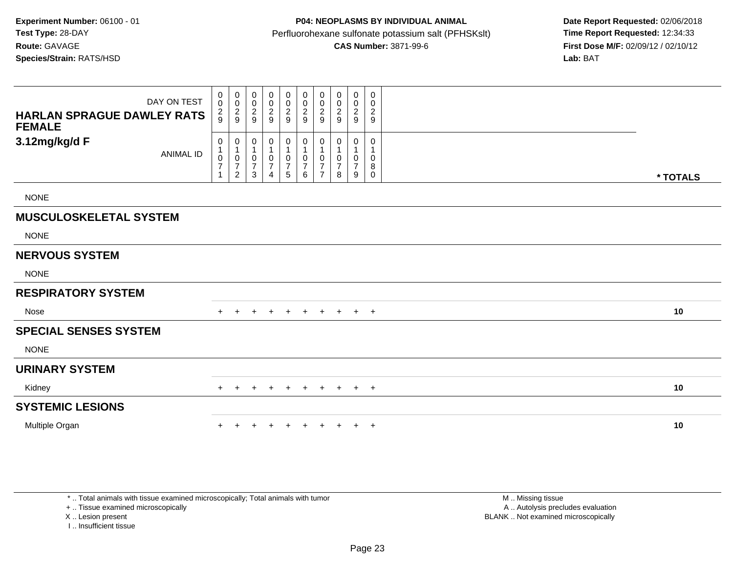| DAY ON TEST<br><b>HARLAN SPRAGUE DAWLEY RATS</b><br><b>FEMALE</b> | 0<br>$\pmb{0}$<br>$\frac{2}{9}$    | $\overline{0}$<br>$\pmb{0}$<br>$\frac{2}{9}$                                        | 0<br>0<br>$\overline{c}$<br>9                        | $\mathbf 0$<br>$\pmb{0}$<br>$\overline{\mathbf{c}}$<br>9 | 0<br>$\pmb{0}$<br>$\boldsymbol{2}$<br>$\boldsymbol{9}$  | 0<br>$\pmb{0}$<br>$\overline{c}$<br>$\boldsymbol{9}$    | 0<br>0<br>$\overline{c}$<br>9              | 0<br>0<br>$\overline{c}$<br>9 | $\mathbf 0$<br>$\pmb{0}$<br>$\boldsymbol{2}$<br>$\boldsymbol{9}$ | 0<br>0<br>$\overline{2}$<br>9 |          |  |
|-------------------------------------------------------------------|------------------------------------|-------------------------------------------------------------------------------------|------------------------------------------------------|----------------------------------------------------------|---------------------------------------------------------|---------------------------------------------------------|--------------------------------------------|-------------------------------|------------------------------------------------------------------|-------------------------------|----------|--|
| 3.12mg/kg/d F<br><b>ANIMAL ID</b>                                 | 0<br>0<br>$\overline{\mathcal{I}}$ | $\boldsymbol{0}$<br>$\mathbf{1}$<br>$\pmb{0}$<br>$\boldsymbol{7}$<br>$\overline{2}$ | 0<br>$\mathbf 1$<br>$\pmb{0}$<br>$\overline{7}$<br>3 | 0<br>1<br>$\pmb{0}$<br>$\boldsymbol{7}$<br>4             | 0<br>$\mathbf{1}$<br>$\pmb{0}$<br>$\boldsymbol{7}$<br>5 | 0<br>$\mathbf{1}$<br>$\mathbf 0$<br>$\overline{7}$<br>6 | 0<br>0<br>$\overline{7}$<br>$\overline{7}$ | 0<br>0<br>7<br>8              | 0<br>0<br>$\overline{7}$<br>9                                    | 0<br>0<br>8<br>0              | * TOTALS |  |
| <b>NONE</b>                                                       |                                    |                                                                                     |                                                      |                                                          |                                                         |                                                         |                                            |                               |                                                                  |                               |          |  |
| <b>MUSCULOSKELETAL SYSTEM</b>                                     |                                    |                                                                                     |                                                      |                                                          |                                                         |                                                         |                                            |                               |                                                                  |                               |          |  |
| <b>NONE</b>                                                       |                                    |                                                                                     |                                                      |                                                          |                                                         |                                                         |                                            |                               |                                                                  |                               |          |  |
| <b>NERVOUS SYSTEM</b>                                             |                                    |                                                                                     |                                                      |                                                          |                                                         |                                                         |                                            |                               |                                                                  |                               |          |  |
| <b>NONE</b>                                                       |                                    |                                                                                     |                                                      |                                                          |                                                         |                                                         |                                            |                               |                                                                  |                               |          |  |
| <b>RESPIRATORY SYSTEM</b>                                         |                                    |                                                                                     |                                                      |                                                          |                                                         |                                                         |                                            |                               |                                                                  |                               |          |  |
| <b>Nose</b>                                                       |                                    | $\pm$                                                                               | $\pm$                                                | $+$                                                      | $+$                                                     | $+$                                                     | $+$                                        | $+$                           |                                                                  | $+$ $+$                       | 10       |  |
| <b>SPECIAL SENSES SYSTEM</b>                                      |                                    |                                                                                     |                                                      |                                                          |                                                         |                                                         |                                            |                               |                                                                  |                               |          |  |
| <b>NONE</b>                                                       |                                    |                                                                                     |                                                      |                                                          |                                                         |                                                         |                                            |                               |                                                                  |                               |          |  |
| <b>URINARY SYSTEM</b>                                             |                                    |                                                                                     |                                                      |                                                          |                                                         |                                                         |                                            |                               |                                                                  |                               |          |  |
| Kidney                                                            |                                    | $+$<br>$\ddot{}$                                                                    |                                                      |                                                          | $+$                                                     | $+$                                                     | $+$                                        | $+$                           |                                                                  | $+$ $+$                       | 10       |  |
| <b>SYSTEMIC LESIONS</b>                                           |                                    |                                                                                     |                                                      |                                                          |                                                         |                                                         |                                            |                               |                                                                  |                               |          |  |
| Multiple Organ                                                    |                                    |                                                                                     |                                                      |                                                          |                                                         |                                                         |                                            |                               | $\pm$                                                            | $+$                           | 10       |  |

\* .. Total animals with tissue examined microscopically; Total animals with tumor

+ .. Tissue examined microscopically

X .. Lesion present

I .. Insufficient tissue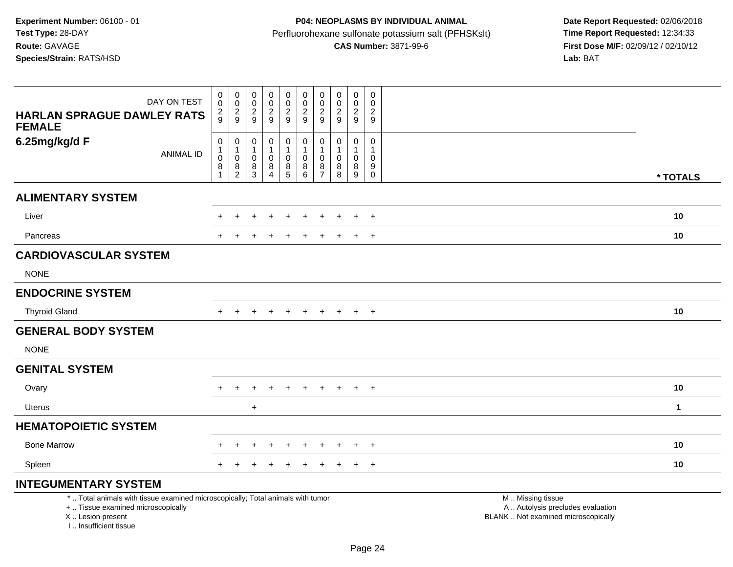# **P04: NEOPLASMS BY INDIVIDUAL ANIMAL**Perfluorohexane sulfonate potassium salt (PFHSKslt)<br>**CAS Number:** 3871-99-6

 **Date Report Requested:** 02/06/2018 **First Dose M/F:** 02/09/12 / 02/10/12<br>Lab: BAT

| DAY ON TEST<br><b>HARLAN SPRAGUE DAWLEY RATS</b><br><b>FEMALE</b>                                                                                                   | $\mathbf 0$<br>$\mathbf 0$<br>$\frac{2}{9}$             | $_{\rm 0}^{\rm 0}$<br>$\frac{2}{9}$                                                        | $\pmb{0}$<br>$\mathbf 0$<br>$\overline{c}$<br>$\overline{9}$                        | $\mathbf 0$<br>$\mathbf 0$<br>$\boldsymbol{2}$<br>9               | $\begin{smallmatrix}0\0\0\end{smallmatrix}$<br>$\frac{2}{9}$ | $\pmb{0}$<br>$\mathbf 0$<br>$\sqrt{2}$<br>$9\,$ | $\pmb{0}$<br>$\mathbf 0$<br>$\boldsymbol{2}$<br>$\boldsymbol{9}$ | $\mathbf 0$<br>$\mathbf 0$<br>$\overline{2}$<br>9            | $\mathbf 0$<br>$\mathbf 0$<br>$\sqrt{2}$<br>9 | $\mathbf 0$<br>$\mathbf 0$<br>$\overline{c}$<br>9         |                                                                                               |              |
|---------------------------------------------------------------------------------------------------------------------------------------------------------------------|---------------------------------------------------------|--------------------------------------------------------------------------------------------|-------------------------------------------------------------------------------------|-------------------------------------------------------------------|--------------------------------------------------------------|-------------------------------------------------|------------------------------------------------------------------|--------------------------------------------------------------|-----------------------------------------------|-----------------------------------------------------------|-----------------------------------------------------------------------------------------------|--------------|
| 6.25mg/kg/d F<br><b>ANIMAL ID</b>                                                                                                                                   | $\mathsf 0$<br>$\mathbf{1}$<br>$\mathsf{O}\xspace$<br>8 | $\mathbf 0$<br>$\mathbf{1}$<br>$\pmb{0}$<br>$\begin{smallmatrix} 8 \\ 2 \end{smallmatrix}$ | $\mathbf 0$<br>$\mathbf{1}$<br>$\mathbf 0$<br>$\begin{array}{c} 8 \\ 3 \end{array}$ | $\mathbf 0$<br>$\mathbf{1}$<br>$\mathbf 0$<br>8<br>$\overline{4}$ | 0<br>$\mathbf{1}$<br>$\mathsf 0$<br>$\frac{8}{5}$            | 0<br>$\mathbf{1}$<br>$\mathbf 0$<br>$^8_6$      | $\mathbf 0$<br>$\mathbf{1}$<br>$\mathbf 0$<br>$\frac{8}{7}$      | $\mathbf 0$<br>$\overline{1}$<br>$\mathbf{0}$<br>$\bf8$<br>8 | 0<br>$\overline{1}$<br>$\mathbf 0$<br>8<br>9  | $\mathbf 0$<br>-1<br>$\Omega$<br>9<br>$\mathsf{O}\xspace$ |                                                                                               | * TOTALS     |
| <b>ALIMENTARY SYSTEM</b>                                                                                                                                            |                                                         |                                                                                            |                                                                                     |                                                                   |                                                              |                                                 |                                                                  |                                                              |                                               |                                                           |                                                                                               |              |
| Liver                                                                                                                                                               |                                                         |                                                                                            |                                                                                     |                                                                   |                                                              |                                                 |                                                                  |                                                              |                                               | $+$                                                       |                                                                                               | 10           |
| Pancreas                                                                                                                                                            |                                                         |                                                                                            |                                                                                     |                                                                   |                                                              | <b>+</b>                                        |                                                                  |                                                              | $\pm$                                         | $+$                                                       |                                                                                               | 10           |
| <b>CARDIOVASCULAR SYSTEM</b>                                                                                                                                        |                                                         |                                                                                            |                                                                                     |                                                                   |                                                              |                                                 |                                                                  |                                                              |                                               |                                                           |                                                                                               |              |
| <b>NONE</b>                                                                                                                                                         |                                                         |                                                                                            |                                                                                     |                                                                   |                                                              |                                                 |                                                                  |                                                              |                                               |                                                           |                                                                                               |              |
| <b>ENDOCRINE SYSTEM</b>                                                                                                                                             |                                                         |                                                                                            |                                                                                     |                                                                   |                                                              |                                                 |                                                                  |                                                              |                                               |                                                           |                                                                                               |              |
| <b>Thyroid Gland</b>                                                                                                                                                | $\ddot{}$                                               |                                                                                            |                                                                                     |                                                                   |                                                              | $\ddot{}$                                       | $\ddot{}$                                                        | $\ddot{}$                                                    | $+$                                           | $+$                                                       |                                                                                               | 10           |
| <b>GENERAL BODY SYSTEM</b>                                                                                                                                          |                                                         |                                                                                            |                                                                                     |                                                                   |                                                              |                                                 |                                                                  |                                                              |                                               |                                                           |                                                                                               |              |
| <b>NONE</b>                                                                                                                                                         |                                                         |                                                                                            |                                                                                     |                                                                   |                                                              |                                                 |                                                                  |                                                              |                                               |                                                           |                                                                                               |              |
| <b>GENITAL SYSTEM</b>                                                                                                                                               |                                                         |                                                                                            |                                                                                     |                                                                   |                                                              |                                                 |                                                                  |                                                              |                                               |                                                           |                                                                                               |              |
| Ovary                                                                                                                                                               |                                                         |                                                                                            |                                                                                     |                                                                   |                                                              |                                                 | +                                                                |                                                              | $\div$                                        | $+$                                                       |                                                                                               | 10           |
| Uterus                                                                                                                                                              |                                                         |                                                                                            | $\ddot{}$                                                                           |                                                                   |                                                              |                                                 |                                                                  |                                                              |                                               |                                                           |                                                                                               | $\mathbf{1}$ |
| <b>HEMATOPOIETIC SYSTEM</b>                                                                                                                                         |                                                         |                                                                                            |                                                                                     |                                                                   |                                                              |                                                 |                                                                  |                                                              |                                               |                                                           |                                                                                               |              |
| <b>Bone Marrow</b>                                                                                                                                                  |                                                         |                                                                                            |                                                                                     |                                                                   |                                                              | ÷                                               |                                                                  |                                                              | ÷                                             | $+$                                                       |                                                                                               | 10           |
| Spleen                                                                                                                                                              |                                                         |                                                                                            |                                                                                     |                                                                   |                                                              |                                                 | +                                                                |                                                              | $\pm$                                         | $+$                                                       |                                                                                               | 10           |
| <b>INTEGUMENTARY SYSTEM</b>                                                                                                                                         |                                                         |                                                                                            |                                                                                     |                                                                   |                                                              |                                                 |                                                                  |                                                              |                                               |                                                           |                                                                                               |              |
| *  Total animals with tissue examined microscopically; Total animals with tumor<br>+  Tissue examined microscopically<br>X  Lesion present<br>I Insufficient tissue |                                                         |                                                                                            |                                                                                     |                                                                   |                                                              |                                                 |                                                                  |                                                              |                                               |                                                           | M  Missing tissue<br>A  Autolysis precludes evaluation<br>BLANK  Not examined microscopically |              |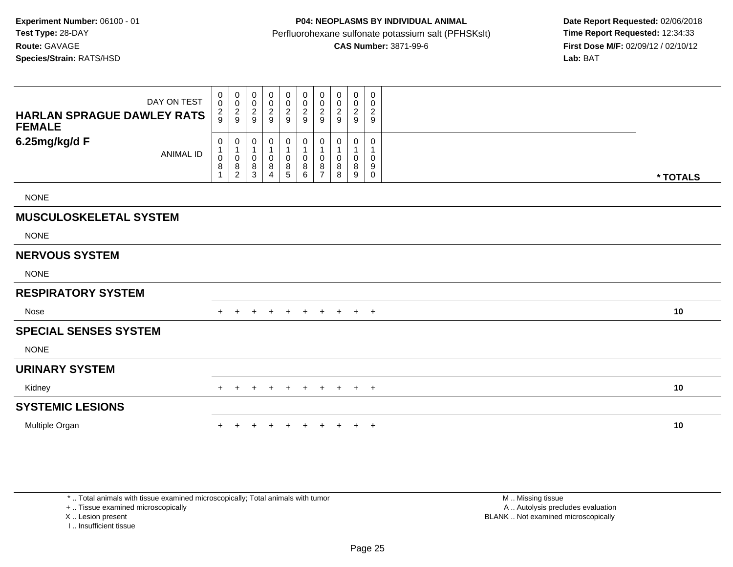| DAY ON TEST<br><b>HARLAN SPRAGUE DAWLEY RATS</b><br><b>FEMALE</b> | $_{\rm 0}^{\rm 0}$<br>$\frac{2}{9}$        | $\begin{smallmatrix} 0\\0 \end{smallmatrix}$<br>$\frac{2}{9}$ | 0<br>0<br>$\overline{c}$<br>9 | $_{\rm 0}^{\rm 0}$<br>$\frac{2}{9}$                                 | 0<br>$\pmb{0}$<br>$\frac{2}{9}$ | 0<br>$\pmb{0}$<br>$\overline{\mathbf{c}}$<br>9 | 0<br>$\mathbf 0$<br>$\overline{c}$<br>9 | 0<br>0<br>$\overline{\mathbf{c}}$<br>9 | $\pmb{0}$<br>$\pmb{0}$<br>$\boldsymbol{2}$<br>9 | 0<br>$\mathbf 0$<br>$\overline{c}$<br>9 |          |
|-------------------------------------------------------------------|--------------------------------------------|---------------------------------------------------------------|-------------------------------|---------------------------------------------------------------------|---------------------------------|------------------------------------------------|-----------------------------------------|----------------------------------------|-------------------------------------------------|-----------------------------------------|----------|
| 6.25mg/kg/d F<br><b>ANIMAL ID</b>                                 | $\pmb{0}$<br>$\mathbf 1$<br>$\pmb{0}$<br>8 | 0<br>1<br>0<br>8<br>2                                         | 0<br>0<br>8<br>3              | 0<br>$\mathbf 1$<br>$\pmb{0}$<br>$\,8\,$<br>$\overline{\mathbf{4}}$ | 0<br>1<br>$\pmb{0}$<br>$^8$ 5   | 0<br>1<br>$\mathbf 0$<br>8<br>6                | 0<br>1<br>0<br>8<br>$\overline{ }$      | 0<br>0<br>8<br>8                       | 0<br>$\pmb{0}$<br>8<br>9                        | 0<br>0<br>$9\,$<br>$\mathbf 0$          | * TOTALS |
| <b>NONE</b>                                                       |                                            |                                                               |                               |                                                                     |                                 |                                                |                                         |                                        |                                                 |                                         |          |
| <b>MUSCULOSKELETAL SYSTEM</b>                                     |                                            |                                                               |                               |                                                                     |                                 |                                                |                                         |                                        |                                                 |                                         |          |
| <b>NONE</b>                                                       |                                            |                                                               |                               |                                                                     |                                 |                                                |                                         |                                        |                                                 |                                         |          |
| <b>NERVOUS SYSTEM</b>                                             |                                            |                                                               |                               |                                                                     |                                 |                                                |                                         |                                        |                                                 |                                         |          |
| <b>NONE</b>                                                       |                                            |                                                               |                               |                                                                     |                                 |                                                |                                         |                                        |                                                 |                                         |          |
| <b>RESPIRATORY SYSTEM</b>                                         |                                            |                                                               |                               |                                                                     |                                 |                                                |                                         |                                        |                                                 |                                         |          |
| Nose                                                              |                                            | $\div$                                                        | ÷                             | $\pm$                                                               | $+$                             | $+$                                            | $+$                                     | $+$                                    | $+$                                             | $+$                                     | 10       |
| <b>SPECIAL SENSES SYSTEM</b>                                      |                                            |                                                               |                               |                                                                     |                                 |                                                |                                         |                                        |                                                 |                                         |          |
| <b>NONE</b>                                                       |                                            |                                                               |                               |                                                                     |                                 |                                                |                                         |                                        |                                                 |                                         |          |
| <b>URINARY SYSTEM</b>                                             |                                            |                                                               |                               |                                                                     |                                 |                                                |                                         |                                        |                                                 |                                         |          |
| Kidney                                                            | $+$                                        | $\ddot{}$                                                     |                               |                                                                     | $\overline{+}$                  | $\ddot{}$                                      | $+$                                     | $+$                                    | $+$                                             | $+$                                     | 10       |
| <b>SYSTEMIC LESIONS</b>                                           |                                            |                                                               |                               |                                                                     |                                 |                                                |                                         |                                        |                                                 |                                         |          |
| Multiple Organ                                                    |                                            |                                                               |                               |                                                                     |                                 |                                                |                                         |                                        | $+$                                             | $+$                                     | 10       |

\* .. Total animals with tissue examined microscopically; Total animals with tumor

+ .. Tissue examined microscopically

X .. Lesion present

I .. Insufficient tissue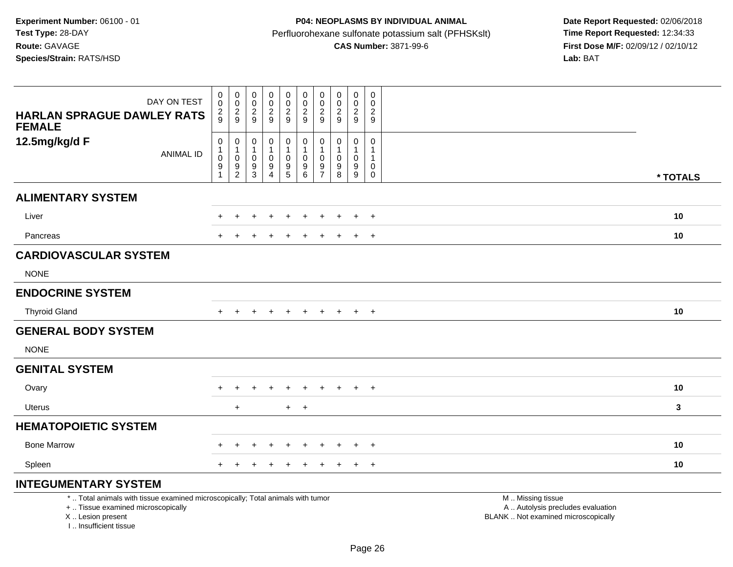I .. Insufficient tissue

# **P04: NEOPLASMS BY INDIVIDUAL ANIMAL**Perfluorohexane sulfonate potassium salt (PFHSKslt)<br>**CAS Number:** 3871-99-6

 **Date Report Requested:** 02/06/2018 **First Dose M/F:** 02/09/12 / 02/10/12<br>Lab: BAT

| DAY ON TEST<br><b>HARLAN SPRAGUE DAWLEY RATS</b><br><b>FEMALE</b>                                                                          | 0<br>0<br>$\frac{2}{9}$                                    | $\pmb{0}$<br>$\mathbf 0$<br>$\frac{2}{9}$                              | $\pmb{0}$<br>$\boldsymbol{0}$<br>$\frac{2}{9}$                  | $\pmb{0}$<br>$\mathbf 0$<br>$\overline{c}$<br>9                  | $\pmb{0}$<br>$\mathbf 0$<br>$\frac{2}{9}$                   | 0<br>$\pmb{0}$<br>$\frac{2}{9}$                                          | 0<br>0<br>$\frac{2}{9}$                                 | $\mathbf 0$<br>0<br>$\frac{2}{9}$       | $\pmb{0}$<br>0<br>$\frac{2}{9}$          | $\mathbf 0$<br>$\mathbf 0$<br>$\frac{2}{9}$               |                                                                                               |          |
|--------------------------------------------------------------------------------------------------------------------------------------------|------------------------------------------------------------|------------------------------------------------------------------------|-----------------------------------------------------------------|------------------------------------------------------------------|-------------------------------------------------------------|--------------------------------------------------------------------------|---------------------------------------------------------|-----------------------------------------|------------------------------------------|-----------------------------------------------------------|-----------------------------------------------------------------------------------------------|----------|
| 12.5mg/kg/d F<br><b>ANIMAL ID</b>                                                                                                          | $\pmb{0}$<br>$\mathbf{1}$<br>$\pmb{0}$<br>$\boldsymbol{9}$ | 0<br>$\mathbf{1}$<br>$\mathbf 0$<br>$\boldsymbol{9}$<br>$\overline{2}$ | $\mathbf 0$<br>$\overline{\mathbf{1}}$<br>$\mathbf 0$<br>9<br>3 | 0<br>$\mathbf{1}$<br>$\mathbf 0$<br>$\boldsymbol{9}$<br>$\Delta$ | $\mathbf 0$<br>$\mathbf{1}$<br>$\mathbf 0$<br>$\frac{9}{5}$ | $\boldsymbol{0}$<br>$\mathbf{1}$<br>$\mathsf 0$<br>$\boldsymbol{9}$<br>6 | 0<br>$\mathbf{1}$<br>$\mathbf 0$<br>9<br>$\overline{7}$ | 0<br>$\mathbf{1}$<br>$\Omega$<br>9<br>8 | $\mathbf 0$<br>$\mathbf 0$<br>$9\,$<br>9 | $\mathbf 0$<br>$\mathbf{1}$<br>$\mathbf 0$<br>$\mathbf 0$ |                                                                                               | * TOTALS |
| <b>ALIMENTARY SYSTEM</b>                                                                                                                   |                                                            |                                                                        |                                                                 |                                                                  |                                                             |                                                                          |                                                         |                                         |                                          |                                                           |                                                                                               |          |
| Liver                                                                                                                                      | $\pm$                                                      | $\pm$                                                                  | $\pm$                                                           | $\ddot{}$                                                        | $\pm$                                                       | $\pm$                                                                    | $\pm$                                                   | $\pm$                                   | $\pm$                                    | $+$                                                       |                                                                                               | 10       |
| Pancreas                                                                                                                                   |                                                            |                                                                        |                                                                 |                                                                  |                                                             |                                                                          |                                                         |                                         | $\ddot{}$                                | $+$                                                       |                                                                                               | 10       |
| <b>CARDIOVASCULAR SYSTEM</b>                                                                                                               |                                                            |                                                                        |                                                                 |                                                                  |                                                             |                                                                          |                                                         |                                         |                                          |                                                           |                                                                                               |          |
| <b>NONE</b>                                                                                                                                |                                                            |                                                                        |                                                                 |                                                                  |                                                             |                                                                          |                                                         |                                         |                                          |                                                           |                                                                                               |          |
| <b>ENDOCRINE SYSTEM</b>                                                                                                                    |                                                            |                                                                        |                                                                 |                                                                  |                                                             |                                                                          |                                                         |                                         |                                          |                                                           |                                                                                               |          |
| <b>Thyroid Gland</b>                                                                                                                       | $+$                                                        |                                                                        |                                                                 |                                                                  |                                                             |                                                                          |                                                         |                                         | $+$                                      | $+$                                                       |                                                                                               | 10       |
| <b>GENERAL BODY SYSTEM</b>                                                                                                                 |                                                            |                                                                        |                                                                 |                                                                  |                                                             |                                                                          |                                                         |                                         |                                          |                                                           |                                                                                               |          |
| <b>NONE</b>                                                                                                                                |                                                            |                                                                        |                                                                 |                                                                  |                                                             |                                                                          |                                                         |                                         |                                          |                                                           |                                                                                               |          |
| <b>GENITAL SYSTEM</b>                                                                                                                      |                                                            |                                                                        |                                                                 |                                                                  |                                                             |                                                                          |                                                         |                                         |                                          |                                                           |                                                                                               |          |
| Ovary                                                                                                                                      | $\pm$                                                      |                                                                        |                                                                 |                                                                  |                                                             |                                                                          |                                                         |                                         | $+$                                      | $+$                                                       |                                                                                               | 10       |
| <b>Uterus</b>                                                                                                                              |                                                            | $\ddot{}$                                                              |                                                                 |                                                                  | $+$                                                         | $+$                                                                      |                                                         |                                         |                                          |                                                           |                                                                                               | 3        |
| <b>HEMATOPOIETIC SYSTEM</b>                                                                                                                |                                                            |                                                                        |                                                                 |                                                                  |                                                             |                                                                          |                                                         |                                         |                                          |                                                           |                                                                                               |          |
| <b>Bone Marrow</b>                                                                                                                         |                                                            | $\div$                                                                 |                                                                 |                                                                  |                                                             |                                                                          |                                                         |                                         |                                          | $\overline{+}$                                            |                                                                                               | 10       |
| Spleen                                                                                                                                     | $\pm$                                                      |                                                                        |                                                                 |                                                                  |                                                             |                                                                          |                                                         |                                         | $\div$                                   | $+$                                                       |                                                                                               | 10       |
| <b>INTEGUMENTARY SYSTEM</b>                                                                                                                |                                                            |                                                                        |                                                                 |                                                                  |                                                             |                                                                          |                                                         |                                         |                                          |                                                           |                                                                                               |          |
| *  Total animals with tissue examined microscopically; Total animals with tumor<br>+  Tissue examined microscopically<br>X  Lesion present |                                                            |                                                                        |                                                                 |                                                                  |                                                             |                                                                          |                                                         |                                         |                                          |                                                           | M  Missing tissue<br>A  Autolysis precludes evaluation<br>BLANK  Not examined microscopically |          |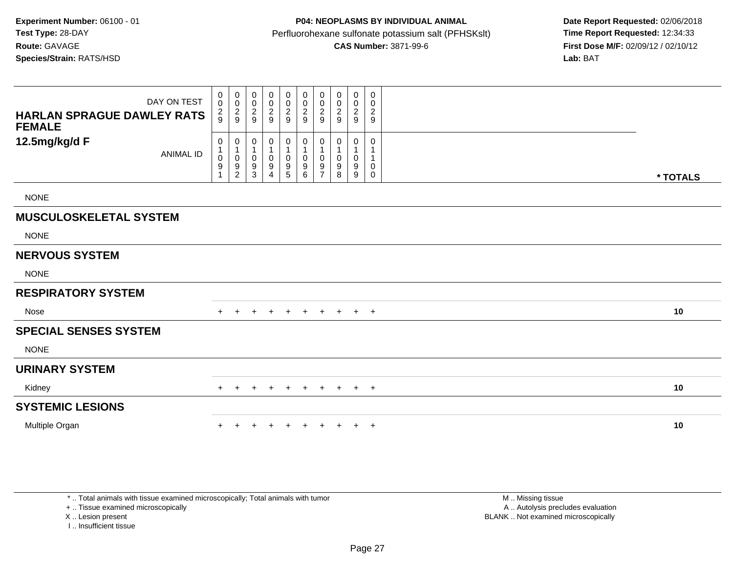| DAY ON TEST<br><b>HARLAN SPRAGUE DAWLEY RATS</b><br><b>FEMALE</b> | 0<br>$\mathsf{O}\xspace$<br>$\frac{2}{9}$                  | 0<br>$\mathsf{O}\xspace$<br>$\frac{2}{9}$     | 0<br>$\pmb{0}$<br>$\frac{2}{9}$ | 0<br>$\frac{0}{2}$                                                                 | 0<br>$\pmb{0}$<br>$\frac{2}{9}$                                 | 0<br>$\mathsf 0$<br>$\overline{c}$<br>9                         | 0<br>$\pmb{0}$<br>$\overline{\mathbf{c}}$<br>$9\,$ | 0<br>0<br>$\overline{c}$<br>$9\,$ | 0<br>$\pmb{0}$<br>$\overline{2}$<br>$9\,$    | 0<br>0<br>$\overline{2}$<br>9 |          |
|-------------------------------------------------------------------|------------------------------------------------------------|-----------------------------------------------|---------------------------------|------------------------------------------------------------------------------------|-----------------------------------------------------------------|-----------------------------------------------------------------|----------------------------------------------------|-----------------------------------|----------------------------------------------|-------------------------------|----------|
| 12.5mg/kg/d F<br><b>ANIMAL ID</b>                                 | $\pmb{0}$<br>$\mathbf{1}$<br>$\pmb{0}$<br>$\boldsymbol{9}$ | 0<br>$\mathbf{1}$<br>0<br>9<br>$\overline{2}$ | 0<br>0<br>9<br>3                | $\boldsymbol{0}$<br>1<br>$\pmb{0}$<br>$\boldsymbol{9}$<br>$\boldsymbol{\varDelta}$ | 0<br>$\mathbf{1}$<br>0<br>$\begin{array}{c} 9 \\ 5 \end{array}$ | $\pmb{0}$<br>$\mathbf{1}$<br>$\pmb{0}$<br>$\boldsymbol{9}$<br>6 | 0<br>1<br>0<br>9<br>$\overline{\phantom{a}}$       | 0<br>0<br>9<br>8                  | 0<br>1<br>$\pmb{0}$<br>$\boldsymbol{9}$<br>9 | $\Omega$<br>0<br>$\mathbf 0$  | * TOTALS |
| <b>NONE</b>                                                       |                                                            |                                               |                                 |                                                                                    |                                                                 |                                                                 |                                                    |                                   |                                              |                               |          |
| <b>MUSCULOSKELETAL SYSTEM</b>                                     |                                                            |                                               |                                 |                                                                                    |                                                                 |                                                                 |                                                    |                                   |                                              |                               |          |
| <b>NONE</b>                                                       |                                                            |                                               |                                 |                                                                                    |                                                                 |                                                                 |                                                    |                                   |                                              |                               |          |
| <b>NERVOUS SYSTEM</b>                                             |                                                            |                                               |                                 |                                                                                    |                                                                 |                                                                 |                                                    |                                   |                                              |                               |          |
| <b>NONE</b>                                                       |                                                            |                                               |                                 |                                                                                    |                                                                 |                                                                 |                                                    |                                   |                                              |                               |          |
| <b>RESPIRATORY SYSTEM</b>                                         |                                                            |                                               |                                 |                                                                                    |                                                                 |                                                                 |                                                    |                                   |                                              |                               |          |
| Nose                                                              |                                                            |                                               |                                 |                                                                                    | $\div$                                                          |                                                                 | $\pm$                                              | $\pm$                             | $+$                                          | $+$                           | 10       |
| <b>SPECIAL SENSES SYSTEM</b>                                      |                                                            |                                               |                                 |                                                                                    |                                                                 |                                                                 |                                                    |                                   |                                              |                               |          |
| <b>NONE</b>                                                       |                                                            |                                               |                                 |                                                                                    |                                                                 |                                                                 |                                                    |                                   |                                              |                               |          |
| <b>URINARY SYSTEM</b>                                             |                                                            |                                               |                                 |                                                                                    |                                                                 |                                                                 |                                                    |                                   |                                              |                               |          |
| Kidney                                                            | $+$                                                        |                                               |                                 |                                                                                    | $\overline{ }$                                                  |                                                                 | $\pm$                                              | $\ddot{}$                         |                                              | $+$ $+$                       | 10       |
| <b>SYSTEMIC LESIONS</b>                                           |                                                            |                                               |                                 |                                                                                    |                                                                 |                                                                 |                                                    |                                   |                                              |                               |          |
| Multiple Organ                                                    |                                                            |                                               |                                 |                                                                                    |                                                                 |                                                                 |                                                    |                                   | $\ddot{}$                                    | $+$                           | 10       |

\* .. Total animals with tissue examined microscopically; Total animals with tumor

+ .. Tissue examined microscopically

X .. Lesion present

I .. Insufficient tissue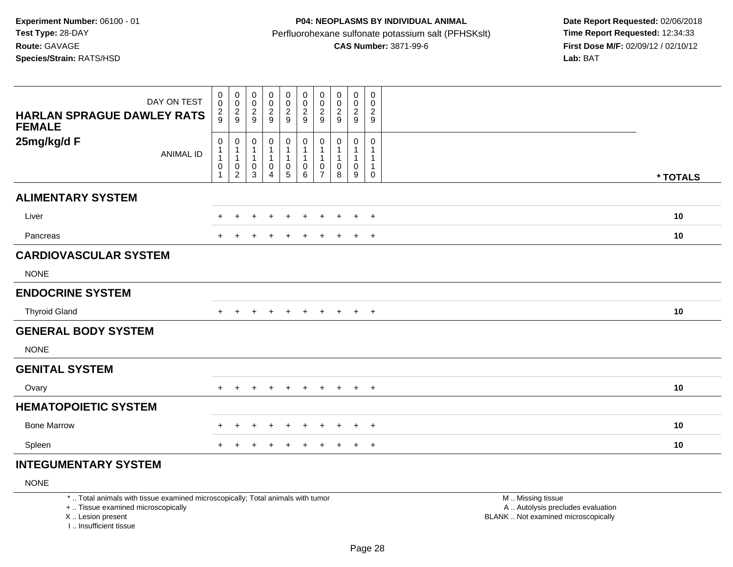## **P04: NEOPLASMS BY INDIVIDUAL ANIMAL**Perfluorohexane sulfonate potassium salt (PFHSKslt)<br>**CAS Number:** 3871-99-6

 **Date Report Requested:** 02/06/2018 **First Dose M/F:** 02/09/12 / 02/10/12<br>Lab: BAT

| DAY ON TEST<br><b>HARLAN SPRAGUE DAWLEY RATS</b><br><b>FEMALE</b> | 0<br>$\mathbf 0$<br>$\frac{2}{9}$ | $\boldsymbol{0}$<br>$\frac{0}{2}$                                                     | $\mathbf 0$<br>$\boldsymbol{0}$<br>$\overline{c}$<br>$\overline{9}$ | $\mathbf 0$<br>$\mathbf 0$<br>$\overline{c}$<br>9 | 0<br>$\frac{0}{2}$                       | $\pmb{0}$<br>$\frac{0}{2}$                                         | 0<br>$\pmb{0}$<br>$\overline{c}$<br>$\overline{9}$ | $\boldsymbol{0}$<br>$\pmb{0}$<br>$\frac{2}{9}$ | $\mathbf 0$<br>$\pmb{0}$<br>$\overline{2}$<br>$\boldsymbol{9}$ | 0<br>0<br>$\overline{c}$<br>9                  |          |  |
|-------------------------------------------------------------------|-----------------------------------|---------------------------------------------------------------------------------------|---------------------------------------------------------------------|---------------------------------------------------|------------------------------------------|--------------------------------------------------------------------|----------------------------------------------------|------------------------------------------------|----------------------------------------------------------------|------------------------------------------------|----------|--|
| 25mg/kg/d F<br><b>ANIMAL ID</b>                                   | 0<br>$\pmb{0}$<br>$\mathbf{1}$    | $\pmb{0}$<br>$\overline{\mathbf{1}}$<br>$\overline{1}$<br>$\pmb{0}$<br>$\overline{2}$ | 0<br>$\mathbf{1}$<br>1<br>0<br>$\ensuremath{\mathsf{3}}$            | $\pmb{0}$<br>1<br>1<br>0<br>4                     | $\mathbf 0$<br>1<br>0<br>$5\phantom{.0}$ | $\pmb{0}$<br>$\mathbf{1}$<br>$\mathbf{1}$<br>$\boldsymbol{0}$<br>6 | $\pmb{0}$<br>0<br>$\overline{7}$                   | 0<br>$\overline{1}$<br>-1<br>0<br>8            | 0<br>$\mathbf{1}$<br>$\mathbf{1}$<br>0<br>9                    | 0<br>$\mathbf{1}$<br>$\mathbf{1}$<br>$\pmb{0}$ | * TOTALS |  |
| <b>ALIMENTARY SYSTEM</b>                                          |                                   |                                                                                       |                                                                     |                                                   |                                          |                                                                    |                                                    |                                                |                                                                |                                                |          |  |
| Liver                                                             |                                   |                                                                                       | ÷                                                                   | ÷                                                 | $\pm$                                    | $\pm$                                                              | $\pm$                                              | ÷.                                             | $\pm$                                                          | $+$                                            | 10       |  |
| Pancreas                                                          |                                   |                                                                                       |                                                                     |                                                   |                                          | $\pm$                                                              | $\pm$                                              |                                                | $\pm$                                                          | $+$                                            | 10       |  |
| <b>CARDIOVASCULAR SYSTEM</b>                                      |                                   |                                                                                       |                                                                     |                                                   |                                          |                                                                    |                                                    |                                                |                                                                |                                                |          |  |
| <b>NONE</b>                                                       |                                   |                                                                                       |                                                                     |                                                   |                                          |                                                                    |                                                    |                                                |                                                                |                                                |          |  |
| <b>ENDOCRINE SYSTEM</b>                                           |                                   |                                                                                       |                                                                     |                                                   |                                          |                                                                    |                                                    |                                                |                                                                |                                                |          |  |
| <b>Thyroid Gland</b>                                              | $+$                               | $\ddot{}$                                                                             | $\ddot{}$                                                           | $\ddot{}$                                         | $\ddot{}$                                | $+$                                                                | $+$                                                | $+$                                            |                                                                | $+$ $+$                                        | 10       |  |
| <b>GENERAL BODY SYSTEM</b>                                        |                                   |                                                                                       |                                                                     |                                                   |                                          |                                                                    |                                                    |                                                |                                                                |                                                |          |  |
| <b>NONE</b>                                                       |                                   |                                                                                       |                                                                     |                                                   |                                          |                                                                    |                                                    |                                                |                                                                |                                                |          |  |
| <b>GENITAL SYSTEM</b>                                             |                                   |                                                                                       |                                                                     |                                                   |                                          |                                                                    |                                                    |                                                |                                                                |                                                |          |  |
| Ovary                                                             |                                   |                                                                                       |                                                                     |                                                   |                                          | $\pm$                                                              | $\pm$                                              | $\pm$                                          | $\ddot{}$                                                      | $+$                                            | 10       |  |
| <b>HEMATOPOIETIC SYSTEM</b>                                       |                                   |                                                                                       |                                                                     |                                                   |                                          |                                                                    |                                                    |                                                |                                                                |                                                |          |  |
| <b>Bone Marrow</b>                                                | $\div$                            | $\pm$                                                                                 | $\ddot{}$                                                           | $\div$                                            | $\ddot{}$                                | $+$                                                                | $\pm$                                              | $\pm$                                          | $+$                                                            | $+$                                            | 10       |  |
| Spleen                                                            |                                   |                                                                                       |                                                                     |                                                   |                                          | +                                                                  | $\pm$                                              |                                                | $\ddot{}$                                                      | $+$                                            | 10       |  |

#### **INTEGUMENTARY SYSTEM**

NONE

\* .. Total animals with tissue examined microscopically; Total animals with tumor

+ .. Tissue examined microscopically

X .. Lesion present

I .. Insufficient tissue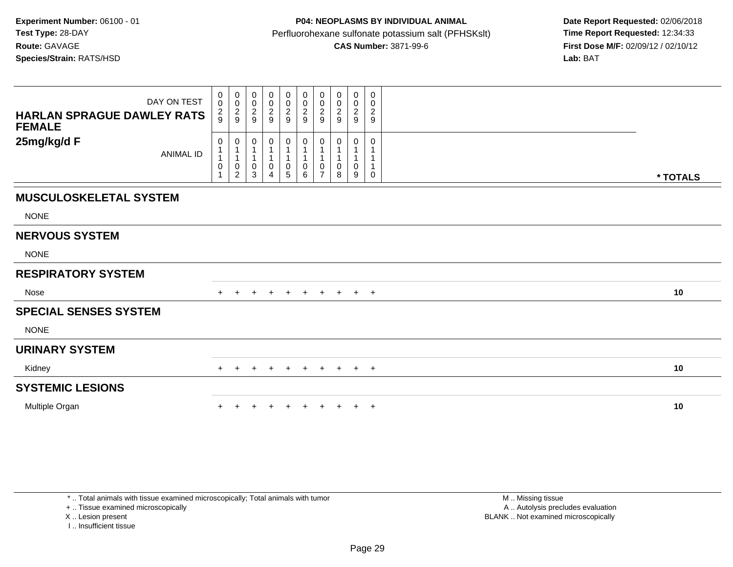| DAY ON TEST<br><b>HARLAN SPRAGUE DAWLEY RATS</b><br><b>FEMALE</b> |                     | 0<br>$_{\rm 0}^{\rm 0}$<br>$\mathbf 0$<br>$\frac{2}{9}$<br>$\frac{2}{9}$                | 0<br>0<br>$\frac{2}{9}$ | 00029               | $_{\rm 0}^{\rm 0}$<br>$\frac{2}{9}$ | 0<br>$\mathsf{O}\xspace$<br>$\frac{2}{9}$ | 0<br>$\pmb{0}$<br>$\frac{2}{9}$ | 0<br>$\pmb{0}$<br>$\frac{2}{9}$ | $\boldsymbol{0}$<br>$\frac{0}{2}$ | 0<br>0<br>$\frac{2}{9}$ |          |
|-------------------------------------------------------------------|---------------------|-----------------------------------------------------------------------------------------|-------------------------|---------------------|-------------------------------------|-------------------------------------------|---------------------------------|---------------------------------|-----------------------------------|-------------------------|----------|
| 25mg/kg/d F<br><b>ANIMAL ID</b>                                   | 0<br>$\pmb{0}$<br>1 | 0<br>$\mathbf{1}$<br>$\mathbf 1$<br>$\mathbf{1}$<br>$\mathbf{1}$<br>0<br>$\overline{2}$ | 0<br>0<br>3             | 0<br>$\pmb{0}$<br>4 | 0<br>1<br>0<br>5                    | 0<br>$\mathbf{1}$<br>$\pmb{0}$<br>6       | 0<br>0<br>$\overline{7}$        | 0<br>8                          | 0<br>0<br>9                       | 0<br>0                  | * TOTALS |
| <b>MUSCULOSKELETAL SYSTEM</b>                                     |                     |                                                                                         |                         |                     |                                     |                                           |                                 |                                 |                                   |                         |          |
| <b>NONE</b>                                                       |                     |                                                                                         |                         |                     |                                     |                                           |                                 |                                 |                                   |                         |          |
| <b>NERVOUS SYSTEM</b>                                             |                     |                                                                                         |                         |                     |                                     |                                           |                                 |                                 |                                   |                         |          |
| <b>NONE</b>                                                       |                     |                                                                                         |                         |                     |                                     |                                           |                                 |                                 |                                   |                         |          |
| <b>RESPIRATORY SYSTEM</b>                                         |                     |                                                                                         |                         |                     |                                     |                                           |                                 |                                 |                                   |                         |          |
| Nose                                                              |                     |                                                                                         |                         |                     | $\pm$                               |                                           |                                 | $+$                             | $+$ $+$                           |                         | 10       |
| <b>SPECIAL SENSES SYSTEM</b>                                      |                     |                                                                                         |                         |                     |                                     |                                           |                                 |                                 |                                   |                         |          |
| <b>NONE</b>                                                       |                     |                                                                                         |                         |                     |                                     |                                           |                                 |                                 |                                   |                         |          |
| <b>URINARY SYSTEM</b>                                             |                     |                                                                                         |                         |                     |                                     |                                           |                                 |                                 |                                   |                         |          |
| Kidney                                                            |                     | $\pm$                                                                                   | $\pm$                   | $+$                 | $+$                                 | $+$                                       | $+$                             | $+$                             | $+$ $+$                           |                         | 10       |
| <b>SYSTEMIC LESIONS</b>                                           |                     |                                                                                         |                         |                     |                                     |                                           |                                 |                                 |                                   |                         |          |
| Multiple Organ                                                    |                     |                                                                                         |                         |                     |                                     |                                           |                                 |                                 | $\pm$                             | $+$                     | 10       |

\* .. Total animals with tissue examined microscopically; Total animals with tumor

+ .. Tissue examined microscopically

X .. Lesion present

I .. Insufficient tissue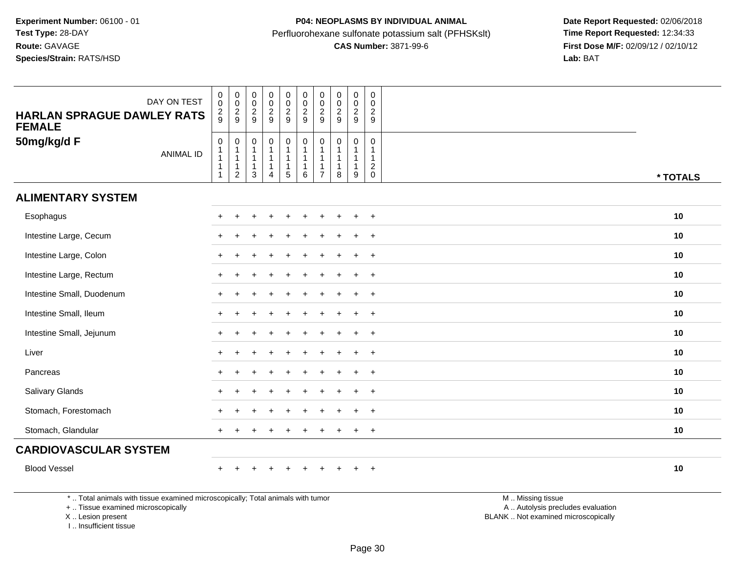| DAY ON TEST<br><b>HARLAN SPRAGUE DAWLEY RATS</b><br><b>FEMALE</b>               | $\begin{smallmatrix} 0\\0 \end{smallmatrix}$<br>$\frac{2}{9}$                     | $_{\rm 0}^{\rm 0}$<br>$\frac{2}{9}$                                             | $\pmb{0}$<br>$\mathbf 0$<br>$\sqrt{2}$<br>9                      | $\begin{array}{c} 0 \\ 0 \\ 2 \\ 9 \end{array}$                               | $\begin{array}{c} 0 \\ 0 \\ 2 \\ 9 \end{array}$                                       | $_{\rm 0}^{\rm 0}$<br>$\frac{2}{9}$ | $\pmb{0}$<br>$\frac{0}{2}$                                      | $\pmb{0}$<br>$\mathbf 0$<br>$\frac{2}{9}$                        | $\pmb{0}$<br>$\mathsf{O}\xspace$<br>$\frac{2}{9}$ | $_{\rm 0}^{\rm 0}$<br>$\frac{2}{9}$                           |                   |          |
|---------------------------------------------------------------------------------|-----------------------------------------------------------------------------------|---------------------------------------------------------------------------------|------------------------------------------------------------------|-------------------------------------------------------------------------------|---------------------------------------------------------------------------------------|-------------------------------------|-----------------------------------------------------------------|------------------------------------------------------------------|---------------------------------------------------|---------------------------------------------------------------|-------------------|----------|
| 50mg/kg/d F<br><b>ANIMAL ID</b>                                                 | $\mathbf 0$<br>$\mathbf{1}$<br>$\overline{1}$<br>$\overline{1}$<br>$\overline{1}$ | $\mathbf 0$<br>$\mathbf{1}$<br>$\mathbf{1}$<br>$\mathbf{1}$<br>$\boldsymbol{2}$ | $\mathbf 0$<br>$\mathbf{1}$<br>$\mathbf{1}$<br>$\mathbf{1}$<br>3 | $\mathbf 0$<br>$\mathbf{1}$<br>$\mathbf{1}$<br>$\mathbf{1}$<br>$\overline{4}$ | $\mathsf{O}\xspace$<br>$\mathbf{1}$<br>$\mathbf{1}$<br>$\mathbf{1}$<br>$\overline{5}$ | $\mathbf 0$<br>1<br>6               | $\mathbf 0$<br>$\overline{1}$<br>$\mathbf{1}$<br>$\overline{7}$ | $\mathbf 0$<br>$\mathbf{1}$<br>$\mathbf{1}$<br>$\mathbf{1}$<br>8 | $\mathbf 0$<br>$\mathbf{1}$<br>9                  | $\mathbf 0$<br>$\mathbf{1}$<br>$\overline{1}$<br>$^2_{\rm 0}$ |                   | * TOTALS |
| <b>ALIMENTARY SYSTEM</b>                                                        |                                                                                   |                                                                                 |                                                                  |                                                                               |                                                                                       |                                     |                                                                 |                                                                  |                                                   |                                                               |                   |          |
| Esophagus                                                                       |                                                                                   |                                                                                 |                                                                  |                                                                               |                                                                                       |                                     |                                                                 |                                                                  |                                                   | $\overline{+}$                                                |                   | 10       |
| Intestine Large, Cecum                                                          |                                                                                   |                                                                                 |                                                                  |                                                                               |                                                                                       |                                     |                                                                 |                                                                  |                                                   | $\ddot{}$                                                     |                   | 10       |
| Intestine Large, Colon                                                          |                                                                                   |                                                                                 |                                                                  |                                                                               |                                                                                       |                                     |                                                                 |                                                                  | $\ddot{}$                                         | $+$                                                           |                   | 10       |
| Intestine Large, Rectum                                                         |                                                                                   |                                                                                 |                                                                  |                                                                               |                                                                                       |                                     |                                                                 |                                                                  |                                                   | $+$                                                           |                   | 10       |
| Intestine Small, Duodenum                                                       |                                                                                   |                                                                                 |                                                                  |                                                                               |                                                                                       |                                     |                                                                 |                                                                  |                                                   | $\overline{+}$                                                |                   | 10       |
| Intestine Small, Ileum                                                          |                                                                                   |                                                                                 |                                                                  |                                                                               |                                                                                       |                                     |                                                                 |                                                                  |                                                   | $\ddot{}$                                                     |                   | 10       |
| Intestine Small, Jejunum                                                        |                                                                                   |                                                                                 |                                                                  |                                                                               |                                                                                       |                                     |                                                                 |                                                                  | $\ddot{}$                                         | $\overline{+}$                                                |                   | 10       |
| Liver                                                                           |                                                                                   |                                                                                 |                                                                  |                                                                               |                                                                                       |                                     |                                                                 |                                                                  |                                                   | $\overline{+}$                                                |                   | 10       |
| Pancreas                                                                        |                                                                                   |                                                                                 |                                                                  |                                                                               |                                                                                       |                                     |                                                                 |                                                                  |                                                   | $\overline{+}$                                                |                   | 10       |
| Salivary Glands                                                                 |                                                                                   |                                                                                 |                                                                  |                                                                               |                                                                                       |                                     |                                                                 |                                                                  |                                                   | $\ddot{}$                                                     |                   | 10       |
| Stomach, Forestomach                                                            |                                                                                   |                                                                                 |                                                                  |                                                                               |                                                                                       |                                     |                                                                 |                                                                  | $\ddot{}$                                         | $^{+}$                                                        |                   | 10       |
| Stomach, Glandular                                                              |                                                                                   |                                                                                 |                                                                  |                                                                               |                                                                                       |                                     |                                                                 |                                                                  | $\ddot{}$                                         | $\overline{+}$                                                |                   | 10       |
| <b>CARDIOVASCULAR SYSTEM</b>                                                    |                                                                                   |                                                                                 |                                                                  |                                                                               |                                                                                       |                                     |                                                                 |                                                                  |                                                   |                                                               |                   |          |
| <b>Blood Vessel</b>                                                             |                                                                                   |                                                                                 |                                                                  |                                                                               | $\pm$                                                                                 | $\div$                              |                                                                 |                                                                  | $\ddot{}$                                         | $\overline{+}$                                                |                   | 10       |
| *  Total animals with tissue examined microscopically; Total animals with tumor |                                                                                   |                                                                                 |                                                                  |                                                                               |                                                                                       |                                     |                                                                 |                                                                  |                                                   |                                                               | M  Missing tissue |          |

+ .. Tissue examined microscopically

X .. Lesion present

I .. Insufficient tissue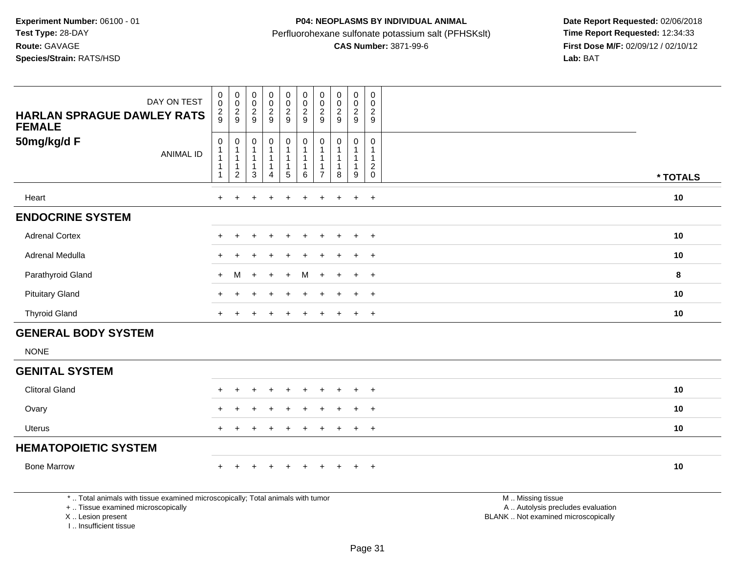| DAY ON TEST<br><b>HARLAN SPRAGUE DAWLEY RATS</b><br><b>FEMALE</b>                                                     | $\pmb{0}$<br>$\mathbf 0$<br>$\frac{2}{9}$                           | $\begin{smallmatrix} 0\\0 \end{smallmatrix}$<br>$\frac{2}{9}$                 | $\pmb{0}$<br>$\overline{0}$<br>$\frac{2}{9}$        | $_{\rm 0}^{\rm 0}$<br>$\frac{2}{9}$                              | $_{\rm 0}^{\rm 0}$<br>$\frac{2}{9}$                                     | $_{\rm 0}^{\rm 0}$<br>$\frac{2}{9}$                    | $_{\rm 0}^{\rm 0}$<br>$\frac{2}{9}$ | $\pmb{0}$<br>$\mathbf 0$<br>$\frac{2}{9}$                      | 0<br>$\pmb{0}$<br>$\frac{2}{9}$ | $\pmb{0}$<br>$\mathbf 0$<br>$\frac{2}{9}$                   |  |          |
|-----------------------------------------------------------------------------------------------------------------------|---------------------------------------------------------------------|-------------------------------------------------------------------------------|-----------------------------------------------------|------------------------------------------------------------------|-------------------------------------------------------------------------|--------------------------------------------------------|-------------------------------------|----------------------------------------------------------------|---------------------------------|-------------------------------------------------------------|--|----------|
| 50mg/kg/d F<br><b>ANIMAL ID</b>                                                                                       | $\pmb{0}$<br>$\mathbf{1}$<br>$\overline{1}$<br>-1<br>$\overline{1}$ | $\pmb{0}$<br>$\mathbf{1}$<br>$\mathbf{1}$<br>$\mathbf{1}$<br>$\boldsymbol{2}$ | $\pmb{0}$<br>1<br>$\mathbf{1}$<br>$\mathbf{1}$<br>3 | $\mathbf 0$<br>$\mathbf{1}$<br>$\mathbf{1}$<br>$\mathbf{1}$<br>4 | $\pmb{0}$<br>$\mathbf{1}$<br>$\mathbf{1}$<br>$\mathbf{1}$<br>$\sqrt{5}$ | $\pmb{0}$<br>$\mathbf{1}$<br>$\overline{1}$<br>$\,6\,$ | 0<br>$\overline{7}$                 | $\pmb{0}$<br>$\mathbf{1}$<br>$\mathbf{1}$<br>$\mathbf{1}$<br>8 | 0<br>$\mathbf{1}$<br>9          | $\mathbf 0$<br>$\mathbf{1}$<br>$\mathbf{1}$<br>$^2_{\rm 0}$ |  | * TOTALS |
| Heart                                                                                                                 | $\ddot{}$                                                           |                                                                               |                                                     |                                                                  |                                                                         |                                                        | ÷                                   | $\div$                                                         | $\ddot{}$                       | $+$                                                         |  | 10       |
| <b>ENDOCRINE SYSTEM</b>                                                                                               |                                                                     |                                                                               |                                                     |                                                                  |                                                                         |                                                        |                                     |                                                                |                                 |                                                             |  |          |
| <b>Adrenal Cortex</b>                                                                                                 |                                                                     |                                                                               |                                                     |                                                                  | $\ddot{}$                                                               |                                                        |                                     |                                                                | $\ddot{}$                       | $^{+}$                                                      |  | 10       |
| Adrenal Medulla                                                                                                       |                                                                     |                                                                               |                                                     |                                                                  |                                                                         |                                                        |                                     |                                                                |                                 | $\div$                                                      |  | 10       |
| Parathyroid Gland                                                                                                     | $\pm$                                                               | м                                                                             |                                                     |                                                                  |                                                                         | м                                                      |                                     |                                                                | ÷                               | $\overline{+}$                                              |  | 8        |
| <b>Pituitary Gland</b>                                                                                                |                                                                     |                                                                               |                                                     |                                                                  |                                                                         |                                                        |                                     |                                                                | $\ddot{}$                       | $+$                                                         |  | 10       |
| <b>Thyroid Gland</b>                                                                                                  |                                                                     |                                                                               |                                                     |                                                                  |                                                                         |                                                        |                                     |                                                                |                                 | $\ddot{}$                                                   |  | 10       |
| <b>GENERAL BODY SYSTEM</b>                                                                                            |                                                                     |                                                                               |                                                     |                                                                  |                                                                         |                                                        |                                     |                                                                |                                 |                                                             |  |          |
| <b>NONE</b>                                                                                                           |                                                                     |                                                                               |                                                     |                                                                  |                                                                         |                                                        |                                     |                                                                |                                 |                                                             |  |          |
| <b>GENITAL SYSTEM</b>                                                                                                 |                                                                     |                                                                               |                                                     |                                                                  |                                                                         |                                                        |                                     |                                                                |                                 |                                                             |  |          |
| <b>Clitoral Gland</b>                                                                                                 |                                                                     |                                                                               |                                                     |                                                                  |                                                                         |                                                        |                                     |                                                                |                                 | $\overline{+}$                                              |  | 10       |
| Ovary                                                                                                                 |                                                                     |                                                                               |                                                     |                                                                  |                                                                         |                                                        |                                     |                                                                | $\ddot{}$                       | $\ddot{}$                                                   |  | 10       |
| <b>Uterus</b>                                                                                                         |                                                                     |                                                                               |                                                     |                                                                  |                                                                         |                                                        |                                     |                                                                |                                 | $\ddot{}$                                                   |  | 10       |
| <b>HEMATOPOIETIC SYSTEM</b>                                                                                           |                                                                     |                                                                               |                                                     |                                                                  |                                                                         |                                                        |                                     |                                                                |                                 |                                                             |  |          |
| <b>Bone Marrow</b>                                                                                                    |                                                                     |                                                                               |                                                     | $\ddot{}$                                                        | $\ddot{}$                                                               | $\overline{1}$                                         |                                     |                                                                | $\ddot{}$                       | $+$                                                         |  | 10       |
| *  Total animals with tissue examined microscopically; Total animals with tumor<br>+  Tissue examined microscopically |                                                                     | M  Missing tissue<br>A  Autolysis precludes evaluation                        |                                                     |                                                                  |                                                                         |                                                        |                                     |                                                                |                                 |                                                             |  |          |

X .. Lesion present

I .. Insufficient tissue

Lesion present BLANK .. Not examined microscopically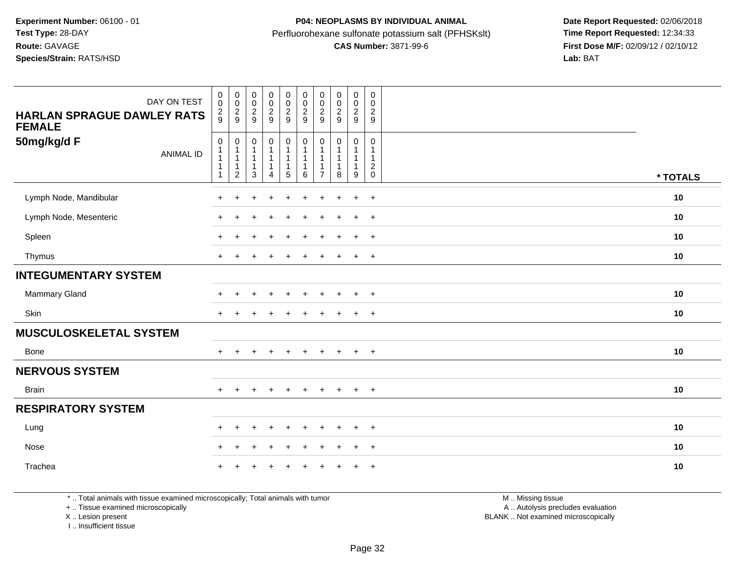| DAY ON TEST<br><b>HARLAN SPRAGUE DAWLEY RATS</b><br><b>FEMALE</b><br>50mg/kg/d F<br><b>ANIMAL ID</b> | $\begin{smallmatrix}0\0\0\end{smallmatrix}$<br>$\frac{2}{9}$<br>0 | 0000<br>$\pmb{0}$<br>$\overline{1}$<br>$\overline{1}$<br>$\overline{1}$ | $\begin{smallmatrix} 0\\0 \end{smallmatrix}$<br>$\frac{2}{9}$<br>$\pmb{0}$<br>$\mathbf{1}$<br>$\mathbf{1}$<br>$\overline{1}$ | $\begin{smallmatrix} 0\\0 \end{smallmatrix}$<br>$\frac{2}{9}$<br>$\pmb{0}$<br>$\mathbf{1}$<br>$\mathbf{1}$ | $_{\rm 0}^{\rm 0}$<br>$\frac{2}{9}$<br>0<br>$\mathbf{1}$<br>1<br>$\overline{1}$ | $_{\rm 0}^{\rm 0}$<br>$\frac{2}{9}$<br>$\pmb{0}$<br>1 | 00029<br>$\mathbf 0$<br>$\mathbf{1}$<br>$\mathbf{1}$<br>$\mathbf{1}$ | $\begin{smallmatrix} 0\\0 \end{smallmatrix}$<br>$\frac{2}{9}$<br>$\pmb{0}$<br>$\mathbf{1}$<br>$\mathbf{1}$<br>$\mathbf{1}$ | $\begin{smallmatrix} 0\\0 \end{smallmatrix}$<br>$\frac{2}{9}$<br>0<br>1<br>1 | $\begin{smallmatrix} 0\\0 \end{smallmatrix}$<br>$\frac{2}{9}$<br>$\mathbf 0$<br>$\mathbf{1}$<br>$\mathbf{1}$<br>$^2_{\rm 0}$ |          |
|------------------------------------------------------------------------------------------------------|-------------------------------------------------------------------|-------------------------------------------------------------------------|------------------------------------------------------------------------------------------------------------------------------|------------------------------------------------------------------------------------------------------------|---------------------------------------------------------------------------------|-------------------------------------------------------|----------------------------------------------------------------------|----------------------------------------------------------------------------------------------------------------------------|------------------------------------------------------------------------------|------------------------------------------------------------------------------------------------------------------------------|----------|
|                                                                                                      | 1                                                                 | $\boldsymbol{2}$                                                        | 3                                                                                                                            | 4                                                                                                          | 5                                                                               | 6                                                     | $\overline{7}$                                                       | 8                                                                                                                          | 9                                                                            |                                                                                                                              | * TOTALS |
| Lymph Node, Mandibular                                                                               | $\ddot{}$                                                         |                                                                         |                                                                                                                              |                                                                                                            |                                                                                 |                                                       |                                                                      |                                                                                                                            | $\ddot{}$                                                                    | $^{+}$                                                                                                                       | 10       |
| Lymph Node, Mesenteric                                                                               | $\ddot{}$                                                         |                                                                         |                                                                                                                              |                                                                                                            |                                                                                 |                                                       |                                                                      |                                                                                                                            | $\ddot{}$                                                                    | $\overline{+}$                                                                                                               | 10       |
| Spleen                                                                                               | $\div$                                                            |                                                                         |                                                                                                                              |                                                                                                            |                                                                                 |                                                       |                                                                      |                                                                                                                            | $\ddot{}$                                                                    | $\ddot{}$                                                                                                                    | 10       |
| Thymus                                                                                               | $\ddot{}$                                                         |                                                                         |                                                                                                                              | ÷                                                                                                          | $\div$                                                                          | $\ddot{}$                                             | ÷                                                                    | ÷                                                                                                                          | $\ddot{}$                                                                    | $\overline{+}$                                                                                                               | 10       |
| <b>INTEGUMENTARY SYSTEM</b>                                                                          |                                                                   |                                                                         |                                                                                                                              |                                                                                                            |                                                                                 |                                                       |                                                                      |                                                                                                                            |                                                                              |                                                                                                                              |          |
| Mammary Gland                                                                                        |                                                                   |                                                                         |                                                                                                                              | $\overline{1}$                                                                                             | $\ddot{}$                                                                       | $\ddot{}$                                             |                                                                      | $\ddot{}$                                                                                                                  | $\ddot{}$                                                                    | $+$                                                                                                                          | 10       |
| Skin                                                                                                 | $\ddot{}$                                                         |                                                                         |                                                                                                                              |                                                                                                            |                                                                                 | $\div$                                                |                                                                      |                                                                                                                            | $\pm$                                                                        | $+$                                                                                                                          | 10       |
| <b>MUSCULOSKELETAL SYSTEM</b>                                                                        |                                                                   |                                                                         |                                                                                                                              |                                                                                                            |                                                                                 |                                                       |                                                                      |                                                                                                                            |                                                                              |                                                                                                                              |          |
| Bone                                                                                                 | $+$                                                               |                                                                         |                                                                                                                              |                                                                                                            |                                                                                 |                                                       |                                                                      |                                                                                                                            | $\ddot{}$                                                                    | $+$                                                                                                                          | 10       |
| <b>NERVOUS SYSTEM</b>                                                                                |                                                                   |                                                                         |                                                                                                                              |                                                                                                            |                                                                                 |                                                       |                                                                      |                                                                                                                            |                                                                              |                                                                                                                              |          |
| <b>Brain</b>                                                                                         | $+$                                                               | $\ddot{}$                                                               | $\div$                                                                                                                       | $\div$                                                                                                     | $+$                                                                             | $\pm$                                                 | $\pm$                                                                | $+$                                                                                                                        | $+$                                                                          | $+$                                                                                                                          | 10       |
| <b>RESPIRATORY SYSTEM</b>                                                                            |                                                                   |                                                                         |                                                                                                                              |                                                                                                            |                                                                                 |                                                       |                                                                      |                                                                                                                            |                                                                              |                                                                                                                              |          |
| Lung                                                                                                 | $\ddot{}$                                                         | $\pm$                                                                   |                                                                                                                              | ÷                                                                                                          |                                                                                 |                                                       |                                                                      |                                                                                                                            | $\ddot{}$                                                                    | $\overline{+}$                                                                                                               | 10       |
| Nose                                                                                                 | $\pm$                                                             | ÷                                                                       |                                                                                                                              |                                                                                                            |                                                                                 |                                                       |                                                                      |                                                                                                                            | $\ddot{}$                                                                    | $^{+}$                                                                                                                       | 10       |
| Trachea                                                                                              |                                                                   |                                                                         |                                                                                                                              |                                                                                                            |                                                                                 |                                                       |                                                                      |                                                                                                                            | ÷                                                                            | $\overline{+}$                                                                                                               | 10       |

\* .. Total animals with tissue examined microscopically; Total animals with tumor

+ .. Tissue examined microscopically

X .. Lesion present

I .. Insufficient tissue